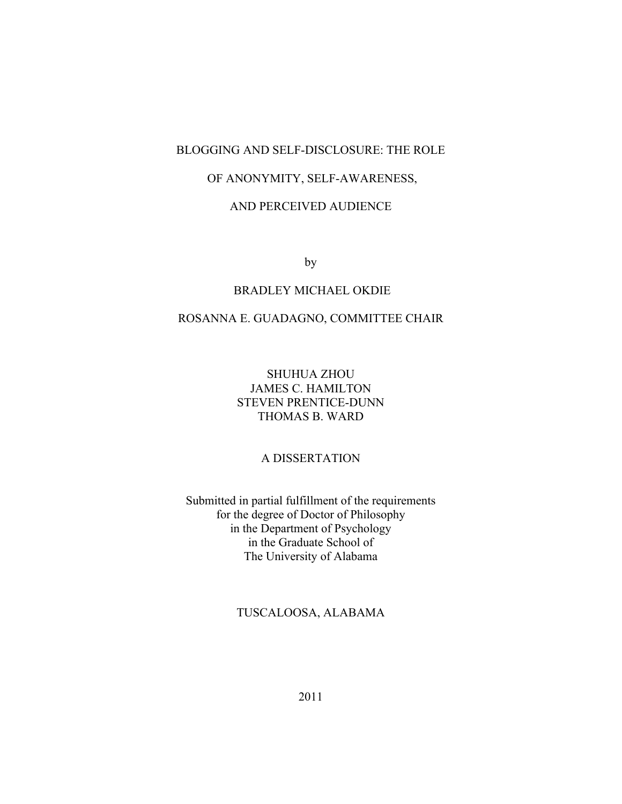## BLOGGING AND SELF-DISCLOSURE: THE ROLE

## OF ANONYMITY, SELF-AWARENESS,

## AND PERCEIVED AUDIENCE

by

## BRADLEY MICHAEL OKDIE

# ROSANNA E. GUADAGNO, COMMITTEE CHAIR

SHUHUA ZHOU JAMES C. HAMILTON STEVEN PRENTICE-DUNN THOMAS B. WARD

# A DISSERTATION

Submitted in partial fulfillment of the requirements for the degree of Doctor of Philosophy in the Department of Psychology in the Graduate School of The University of Alabama

# TUSCALOOSA, ALABAMA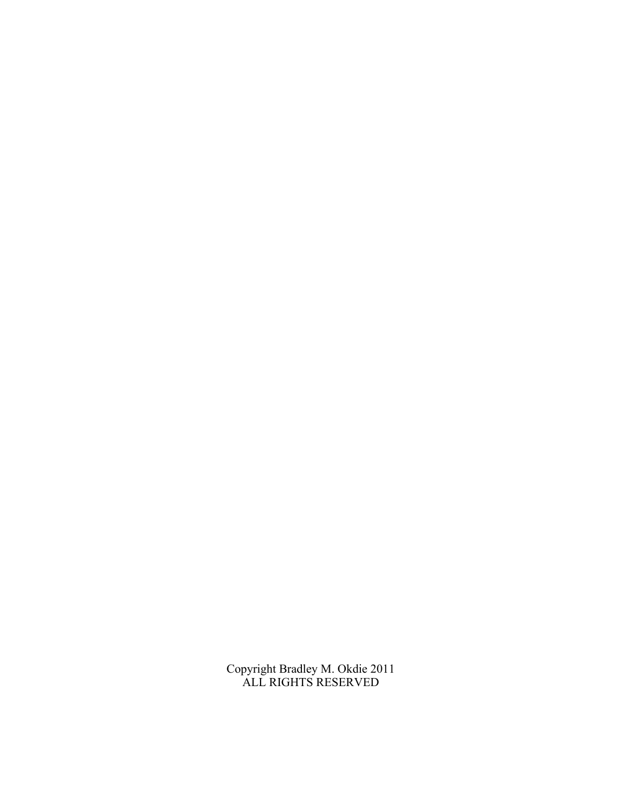Copyright Bradley M. Okdie 2011 ALL RIGHTS RESERVED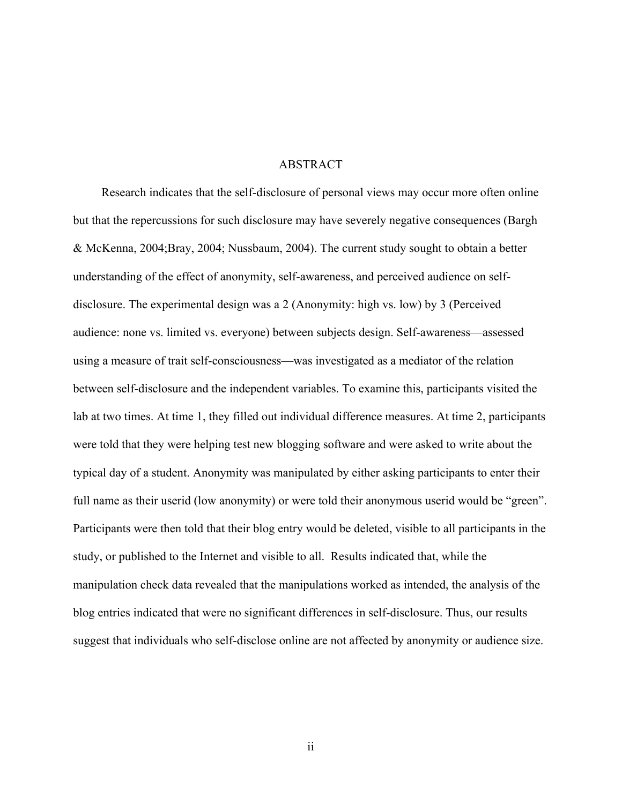#### ABSTRACT

Research indicates that the self-disclosure of personal views may occur more often online but that the repercussions for such disclosure may have severely negative consequences (Bargh & McKenna, 2004;Bray, 2004; Nussbaum, 2004). The current study sought to obtain a better understanding of the effect of anonymity, self-awareness, and perceived audience on selfdisclosure. The experimental design was a 2 (Anonymity: high vs. low) by 3 (Perceived audience: none vs. limited vs. everyone) between subjects design. Self-awareness—assessed using a measure of trait self-consciousness—was investigated as a mediator of the relation between self-disclosure and the independent variables. To examine this, participants visited the lab at two times. At time 1, they filled out individual difference measures. At time 2, participants were told that they were helping test new blogging software and were asked to write about the typical day of a student. Anonymity was manipulated by either asking participants to enter their full name as their userid (low anonymity) or were told their anonymous userid would be "green". Participants were then told that their blog entry would be deleted, visible to all participants in the study, or published to the Internet and visible to all. Results indicated that, while the manipulation check data revealed that the manipulations worked as intended, the analysis of the blog entries indicated that were no significant differences in self-disclosure. Thus, our results suggest that individuals who self-disclose online are not affected by anonymity or audience size.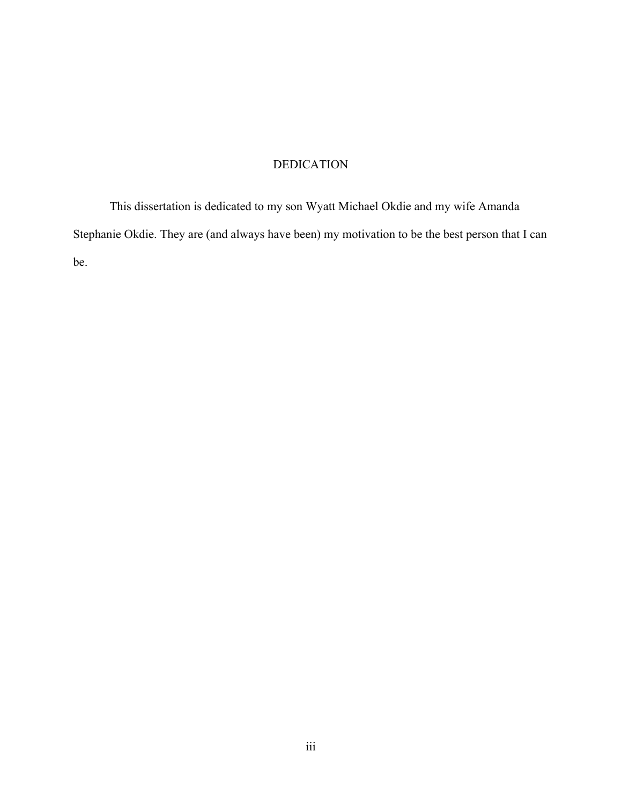# DEDICATION

This dissertation is dedicated to my son Wyatt Michael Okdie and my wife Amanda Stephanie Okdie. They are (and always have been) my motivation to be the best person that I can be.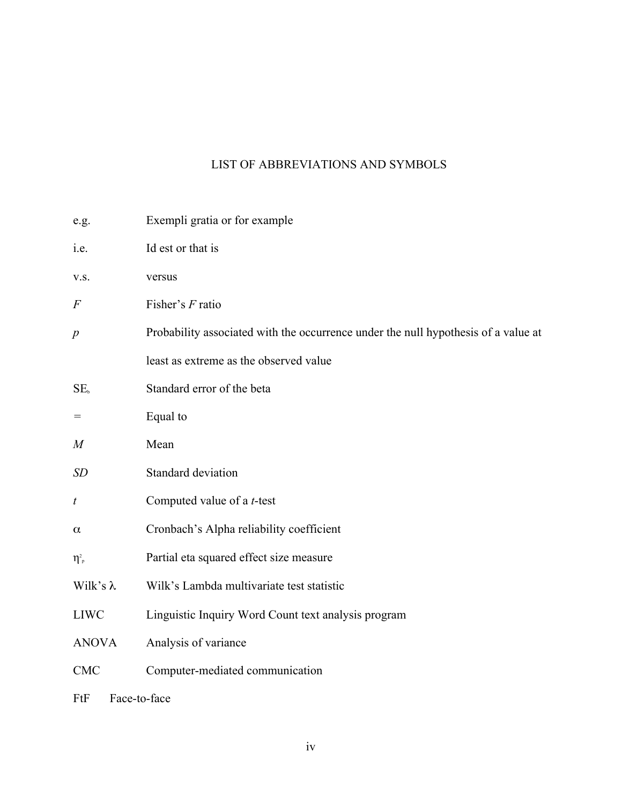# LIST OF ABBREVIATIONS AND SYMBOLS

| e.g.             | Exempli gratia or for example                                                      |  |  |  |
|------------------|------------------------------------------------------------------------------------|--|--|--|
| i.e.             | Id est or that is                                                                  |  |  |  |
| V.S.             | versus                                                                             |  |  |  |
| $\,F$            | Fisher's F ratio                                                                   |  |  |  |
| $\boldsymbol{p}$ | Probability associated with the occurrence under the null hypothesis of a value at |  |  |  |
|                  | least as extreme as the observed value                                             |  |  |  |
| SE <sub>b</sub>  | Standard error of the beta                                                         |  |  |  |
| $=$              | Equal to                                                                           |  |  |  |
| $\boldsymbol{M}$ | Mean                                                                               |  |  |  |
| SD               | Standard deviation                                                                 |  |  |  |
| t                | Computed value of a <i>t</i> -test                                                 |  |  |  |
| $\alpha$         | Cronbach's Alpha reliability coefficient                                           |  |  |  |
| $\eta_{\rm p}^2$ | Partial eta squared effect size measure                                            |  |  |  |
| Wilk's $\lambda$ | Wilk's Lambda multivariate test statistic                                          |  |  |  |
| <b>LIWC</b>      | Linguistic Inquiry Word Count text analysis program                                |  |  |  |
| <b>ANOVA</b>     | Analysis of variance                                                               |  |  |  |
| <b>CMC</b>       | Computer-mediated communication                                                    |  |  |  |
| FtF              | Face-to-face                                                                       |  |  |  |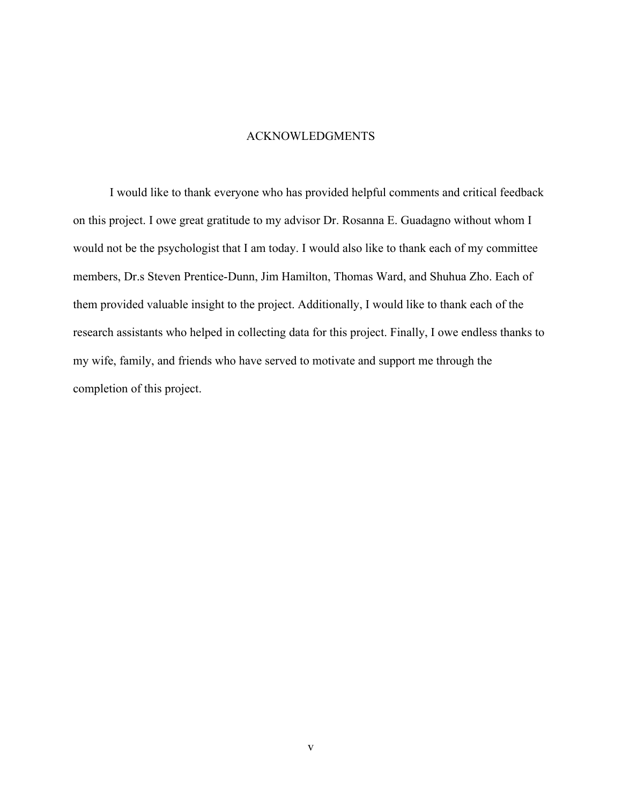## ACKNOWLEDGMENTS

I would like to thank everyone who has provided helpful comments and critical feedback on this project. I owe great gratitude to my advisor Dr. Rosanna E. Guadagno without whom I would not be the psychologist that I am today. I would also like to thank each of my committee members, Dr.s Steven Prentice-Dunn, Jim Hamilton, Thomas Ward, and Shuhua Zho. Each of them provided valuable insight to the project. Additionally, I would like to thank each of the research assistants who helped in collecting data for this project. Finally, I owe endless thanks to my wife, family, and friends who have served to motivate and support me through the completion of this project.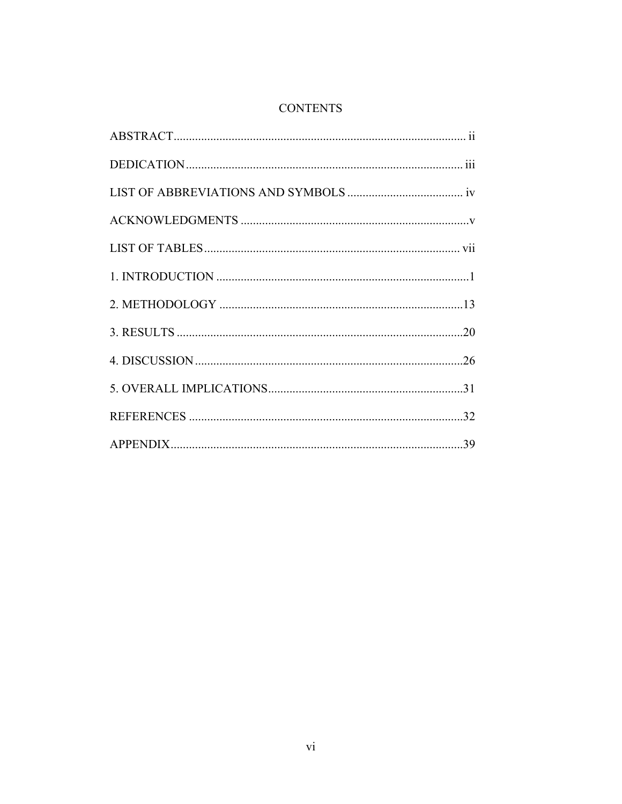# **CONTENTS**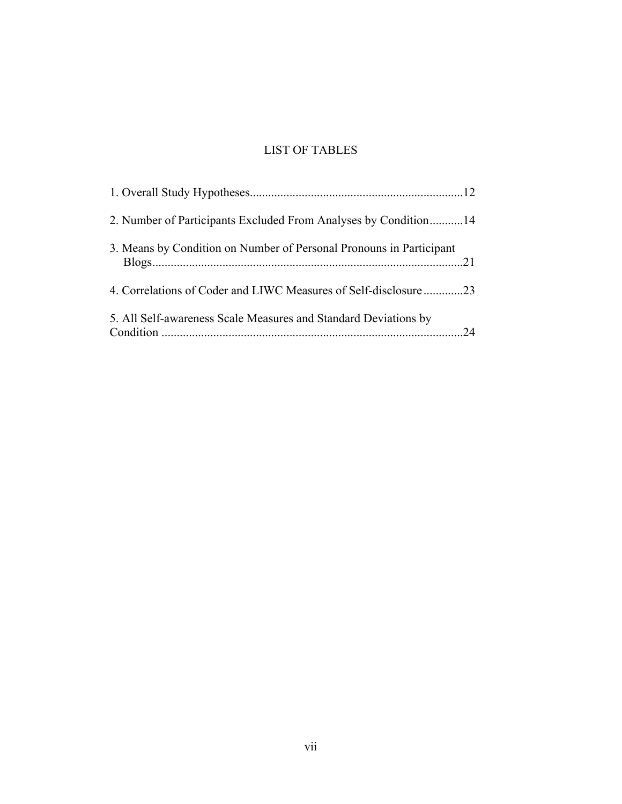# LIST OF TABLES

| 2. Number of Participants Excluded From Analyses by Condition14     |    |
|---------------------------------------------------------------------|----|
| 3. Means by Condition on Number of Personal Pronouns in Participant |    |
| 4. Correlations of Coder and LIWC Measures of Self-disclosure 23    |    |
| 5. All Self-awareness Scale Measures and Standard Deviations by     | 24 |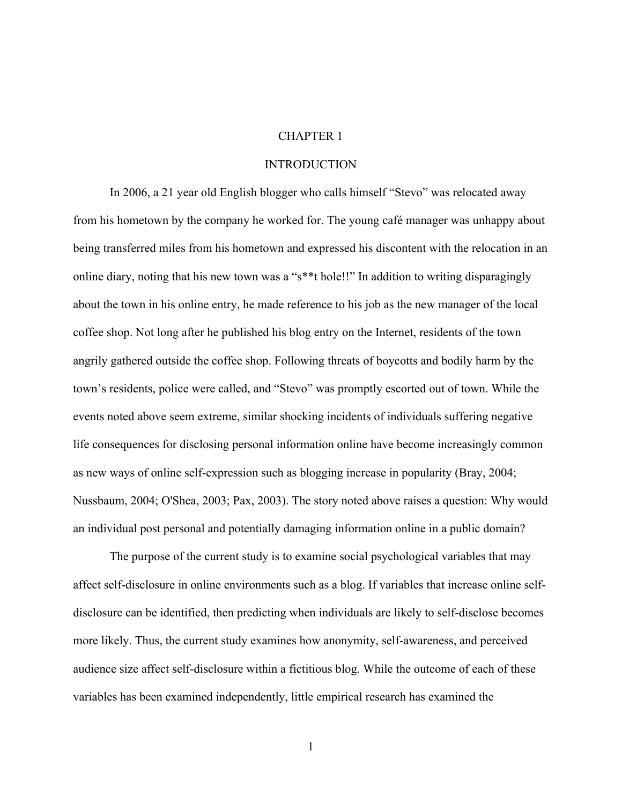## CHAPTER 1

#### **INTRODUCTION**

In 2006, a 21 year old English blogger who calls himself "Stevo" was relocated away from his hometown by the company he worked for. The young café manager was unhappy about being transferred miles from his hometown and expressed his discontent with the relocation in an online diary, noting that his new town was a "s\*\*t hole!!" In addition to writing disparagingly about the town in his online entry, he made reference to his job as the new manager of the local coffee shop. Not long after he published his blog entry on the Internet, residents of the town angrily gathered outside the coffee shop. Following threats of boycotts and bodily harm by the town's residents, police were called, and "Stevo" was promptly escorted out of town. While the events noted above seem extreme, similar shocking incidents of individuals suffering negative life consequences for disclosing personal information online have become increasingly common as new ways of online self-expression such as blogging increase in popularity (Bray, 2004; Nussbaum, 2004; O'Shea, 2003; Pax, 2003). The story noted above raises a question: Why would an individual post personal and potentially damaging information online in a public domain?

The purpose of the current study is to examine social psychological variables that may affect self-disclosure in online environments such as a blog. If variables that increase online selfdisclosure can be identified, then predicting when individuals are likely to self-disclose becomes more likely. Thus, the current study examines how anonymity, self-awareness, and perceived audience size affect self-disclosure within a fictitious blog. While the outcome of each of these variables has been examined independently, little empirical research has examined the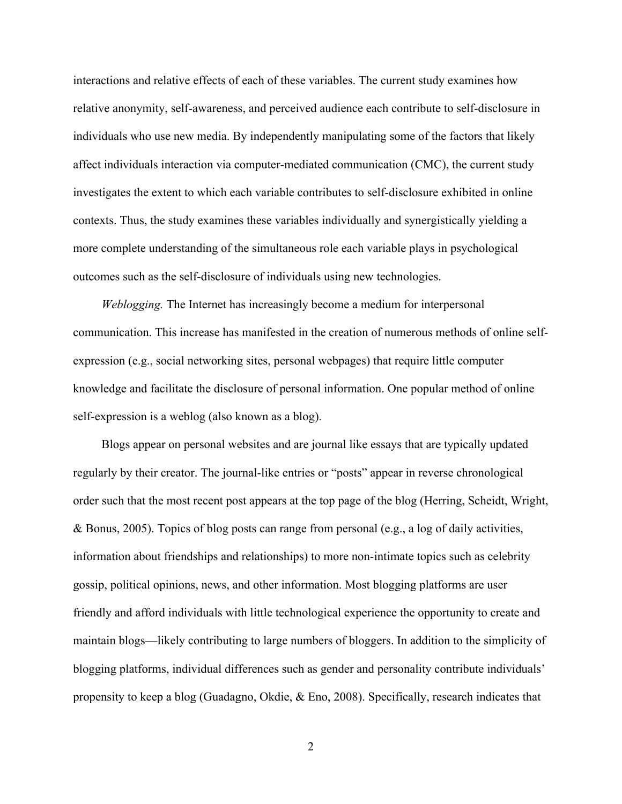interactions and relative effects of each of these variables. The current study examines how relative anonymity, self-awareness, and perceived audience each contribute to self-disclosure in individuals who use new media. By independently manipulating some of the factors that likely affect individuals interaction via computer-mediated communication (CMC), the current study investigates the extent to which each variable contributes to self-disclosure exhibited in online contexts. Thus, the study examines these variables individually and synergistically yielding a more complete understanding of the simultaneous role each variable plays in psychological outcomes such as the self-disclosure of individuals using new technologies.

*Weblogging.* The Internet has increasingly become a medium for interpersonal communication. This increase has manifested in the creation of numerous methods of online selfexpression (e.g., social networking sites, personal webpages) that require little computer knowledge and facilitate the disclosure of personal information. One popular method of online self-expression is a weblog (also known as a blog).

Blogs appear on personal websites and are journal like essays that are typically updated regularly by their creator. The journal-like entries or "posts" appear in reverse chronological order such that the most recent post appears at the top page of the blog (Herring, Scheidt, Wright, & Bonus, 2005). Topics of blog posts can range from personal (e.g., a log of daily activities, information about friendships and relationships) to more non-intimate topics such as celebrity gossip, political opinions, news, and other information. Most blogging platforms are user friendly and afford individuals with little technological experience the opportunity to create and maintain blogs—likely contributing to large numbers of bloggers. In addition to the simplicity of blogging platforms, individual differences such as gender and personality contribute individuals' propensity to keep a blog (Guadagno, Okdie, & Eno, 2008). Specifically, research indicates that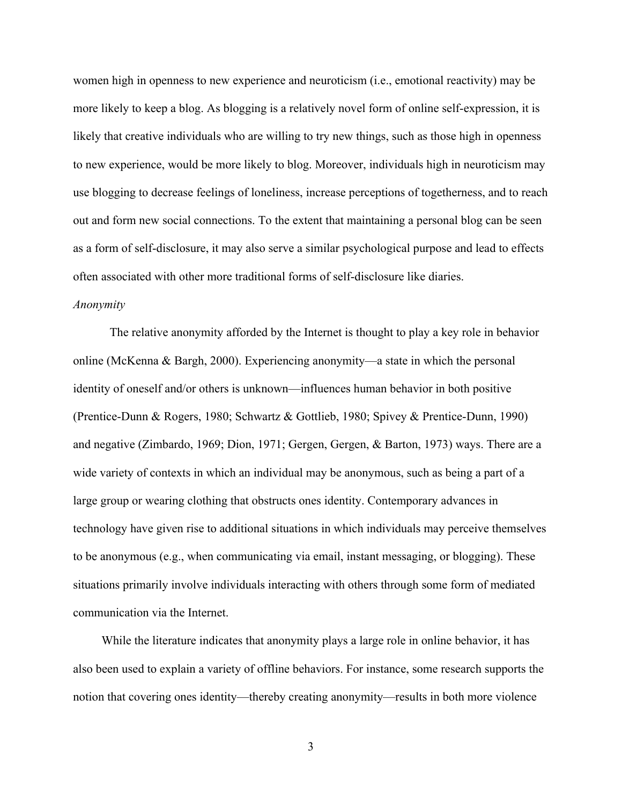women high in openness to new experience and neuroticism (i.e., emotional reactivity) may be more likely to keep a blog. As blogging is a relatively novel form of online self-expression, it is likely that creative individuals who are willing to try new things, such as those high in openness to new experience, would be more likely to blog. Moreover, individuals high in neuroticism may use blogging to decrease feelings of loneliness, increase perceptions of togetherness, and to reach out and form new social connections. To the extent that maintaining a personal blog can be seen as a form of self-disclosure, it may also serve a similar psychological purpose and lead to effects often associated with other more traditional forms of self-disclosure like diaries.

# *Anonymity*

The relative anonymity afforded by the Internet is thought to play a key role in behavior online (McKenna & Bargh, 2000). Experiencing anonymity—a state in which the personal identity of oneself and/or others is unknown—influences human behavior in both positive (Prentice-Dunn & Rogers, 1980; Schwartz & Gottlieb, 1980; Spivey & Prentice-Dunn, 1990) and negative (Zimbardo, 1969; Dion, 1971; Gergen, Gergen, & Barton, 1973) ways. There are a wide variety of contexts in which an individual may be anonymous, such as being a part of a large group or wearing clothing that obstructs ones identity. Contemporary advances in technology have given rise to additional situations in which individuals may perceive themselves to be anonymous (e.g., when communicating via email, instant messaging, or blogging). These situations primarily involve individuals interacting with others through some form of mediated communication via the Internet.

While the literature indicates that anonymity plays a large role in online behavior, it has also been used to explain a variety of offline behaviors. For instance, some research supports the notion that covering ones identity—thereby creating anonymity—results in both more violence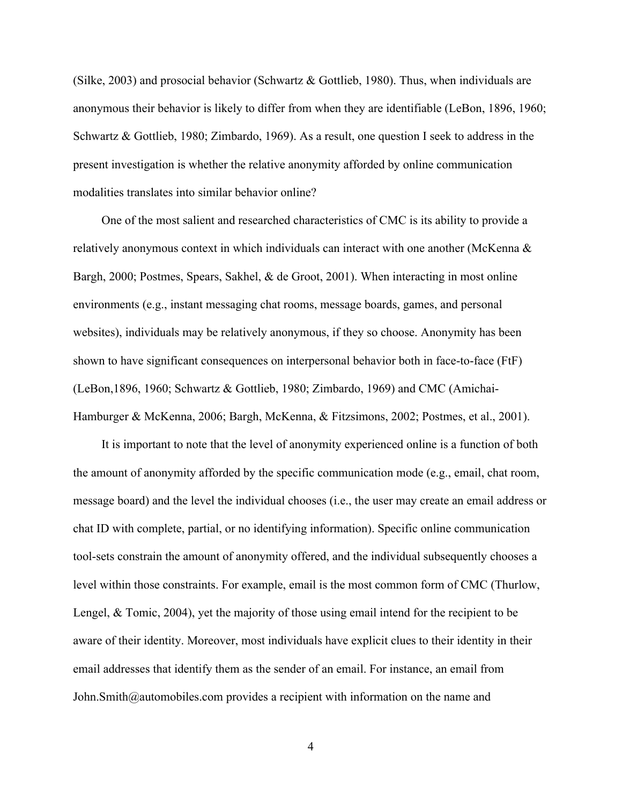(Silke, 2003) and prosocial behavior (Schwartz  $\&$  Gottlieb, 1980). Thus, when individuals are anonymous their behavior is likely to differ from when they are identifiable (LeBon, 1896, 1960; Schwartz & Gottlieb, 1980; Zimbardo, 1969). As a result, one question I seek to address in the present investigation is whether the relative anonymity afforded by online communication modalities translates into similar behavior online?

One of the most salient and researched characteristics of CMC is its ability to provide a relatively anonymous context in which individuals can interact with one another (McKenna & Bargh, 2000; Postmes, Spears, Sakhel, & de Groot, 2001). When interacting in most online environments (e.g., instant messaging chat rooms, message boards, games, and personal websites), individuals may be relatively anonymous, if they so choose. Anonymity has been shown to have significant consequences on interpersonal behavior both in face-to-face (FtF) (LeBon,1896, 1960; Schwartz & Gottlieb, 1980; Zimbardo, 1969) and CMC (Amichai-Hamburger & McKenna, 2006; Bargh, McKenna, & Fitzsimons, 2002; Postmes, et al., 2001).

It is important to note that the level of anonymity experienced online is a function of both the amount of anonymity afforded by the specific communication mode (e.g., email, chat room, message board) and the level the individual chooses (i.e., the user may create an email address or chat ID with complete, partial, or no identifying information). Specific online communication tool-sets constrain the amount of anonymity offered, and the individual subsequently chooses a level within those constraints. For example, email is the most common form of CMC (Thurlow, Lengel, & Tomic, 2004), yet the majority of those using email intend for the recipient to be aware of their identity. Moreover, most individuals have explicit clues to their identity in their email addresses that identify them as the sender of an email. For instance, an email from John.Smith@automobiles.com provides a recipient with information on the name and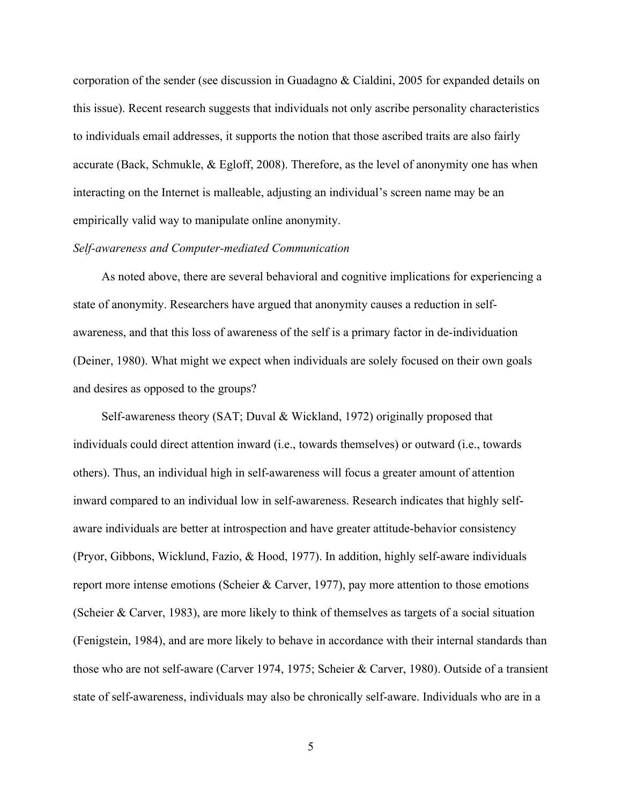corporation of the sender (see discussion in Guadagno & Cialdini, 2005 for expanded details on this issue). Recent research suggests that individuals not only ascribe personality characteristics to individuals email addresses, it supports the notion that those ascribed traits are also fairly accurate (Back, Schmukle, & Egloff, 2008). Therefore, as the level of anonymity one has when interacting on the Internet is malleable, adjusting an individual's screen name may be an empirically valid way to manipulate online anonymity.

#### *Self-awareness and Computer-mediated Communication*

As noted above, there are several behavioral and cognitive implications for experiencing a state of anonymity. Researchers have argued that anonymity causes a reduction in selfawareness, and that this loss of awareness of the self is a primary factor in de-individuation (Deiner, 1980). What might we expect when individuals are solely focused on their own goals and desires as opposed to the groups?

Self-awareness theory (SAT; Duval & Wickland, 1972) originally proposed that individuals could direct attention inward (i.e., towards themselves) or outward (i.e., towards others). Thus, an individual high in self-awareness will focus a greater amount of attention inward compared to an individual low in self-awareness. Research indicates that highly selfaware individuals are better at introspection and have greater attitude-behavior consistency (Pryor, Gibbons, Wicklund, Fazio, & Hood, 1977). In addition, highly self-aware individuals report more intense emotions (Scheier & Carver, 1977), pay more attention to those emotions (Scheier & Carver, 1983), are more likely to think of themselves as targets of a social situation (Fenigstein, 1984), and are more likely to behave in accordance with their internal standards than those who are not self-aware (Carver 1974, 1975; Scheier & Carver, 1980). Outside of a transient state of self-awareness, individuals may also be chronically self-aware. Individuals who are in a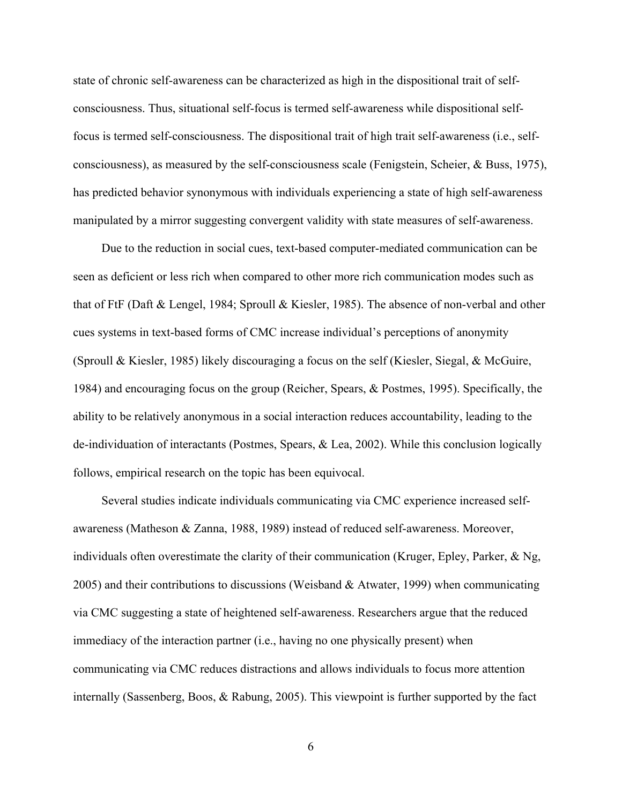state of chronic self-awareness can be characterized as high in the dispositional trait of selfconsciousness. Thus, situational self-focus is termed self-awareness while dispositional selffocus is termed self-consciousness. The dispositional trait of high trait self-awareness (i.e., selfconsciousness), as measured by the self-consciousness scale (Fenigstein, Scheier, & Buss, 1975), has predicted behavior synonymous with individuals experiencing a state of high self-awareness manipulated by a mirror suggesting convergent validity with state measures of self-awareness.

Due to the reduction in social cues, text-based computer-mediated communication can be seen as deficient or less rich when compared to other more rich communication modes such as that of FtF (Daft & Lengel, 1984; Sproull & Kiesler, 1985). The absence of non-verbal and other cues systems in text-based forms of CMC increase individual's perceptions of anonymity (Sproull & Kiesler, 1985) likely discouraging a focus on the self (Kiesler, Siegal, & McGuire, 1984) and encouraging focus on the group (Reicher, Spears, & Postmes, 1995). Specifically, the ability to be relatively anonymous in a social interaction reduces accountability, leading to the de-individuation of interactants (Postmes, Spears, & Lea, 2002). While this conclusion logically follows, empirical research on the topic has been equivocal.

Several studies indicate individuals communicating via CMC experience increased selfawareness (Matheson & Zanna, 1988, 1989) instead of reduced self-awareness. Moreover, individuals often overestimate the clarity of their communication (Kruger, Epley, Parker, & Ng, 2005) and their contributions to discussions (Weisband & Atwater, 1999) when communicating via CMC suggesting a state of heightened self-awareness. Researchers argue that the reduced immediacy of the interaction partner (i.e., having no one physically present) when communicating via CMC reduces distractions and allows individuals to focus more attention internally (Sassenberg, Boos, & Rabung, 2005). This viewpoint is further supported by the fact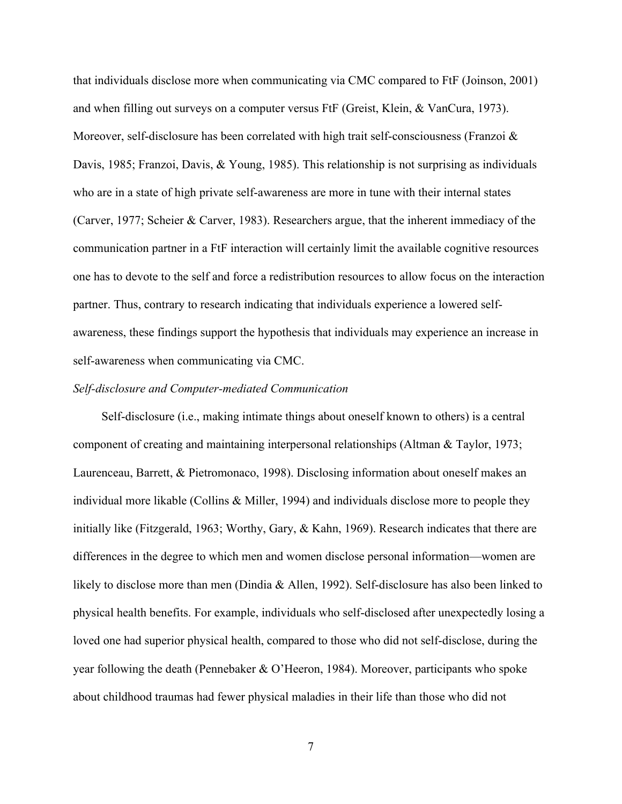that individuals disclose more when communicating via CMC compared to FtF (Joinson, 2001) and when filling out surveys on a computer versus FtF (Greist, Klein, & VanCura, 1973). Moreover, self-disclosure has been correlated with high trait self-consciousness (Franzoi  $\&$ Davis, 1985; Franzoi, Davis, & Young, 1985). This relationship is not surprising as individuals who are in a state of high private self-awareness are more in tune with their internal states (Carver, 1977; Scheier & Carver, 1983). Researchers argue, that the inherent immediacy of the communication partner in a FtF interaction will certainly limit the available cognitive resources one has to devote to the self and force a redistribution resources to allow focus on the interaction partner. Thus, contrary to research indicating that individuals experience a lowered selfawareness, these findings support the hypothesis that individuals may experience an increase in self-awareness when communicating via CMC.

#### *Self-disclosure and Computer-mediated Communication*

Self-disclosure (i.e., making intimate things about oneself known to others) is a central component of creating and maintaining interpersonal relationships (Altman & Taylor, 1973; Laurenceau, Barrett, & Pietromonaco, 1998). Disclosing information about oneself makes an individual more likable (Collins  $\&$  Miller, 1994) and individuals disclose more to people they initially like (Fitzgerald, 1963; Worthy, Gary, & Kahn, 1969). Research indicates that there are differences in the degree to which men and women disclose personal information—women are likely to disclose more than men (Dindia & Allen, 1992). Self-disclosure has also been linked to physical health benefits. For example, individuals who self-disclosed after unexpectedly losing a loved one had superior physical health, compared to those who did not self-disclose, during the year following the death (Pennebaker & O'Heeron, 1984). Moreover, participants who spoke about childhood traumas had fewer physical maladies in their life than those who did not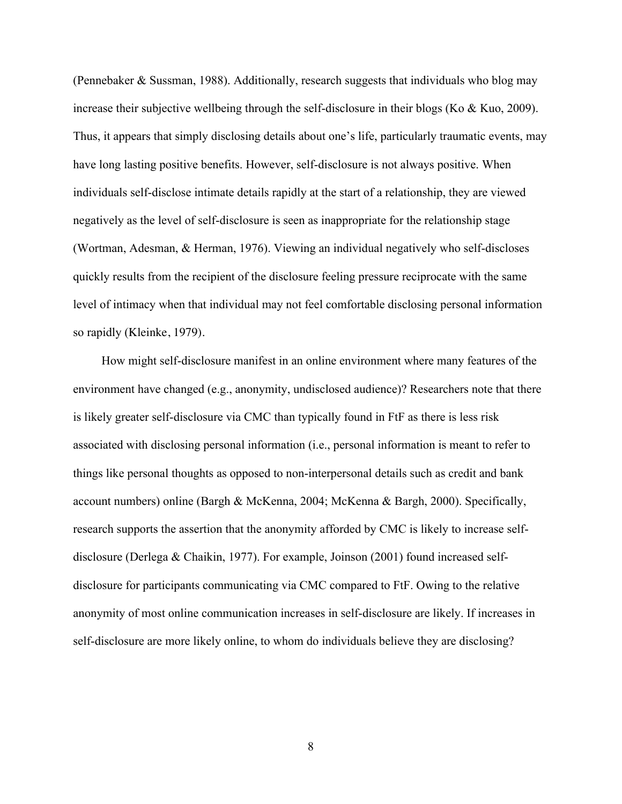(Pennebaker & Sussman, 1988). Additionally, research suggests that individuals who blog may increase their subjective wellbeing through the self-disclosure in their blogs (Ko & Kuo, 2009). Thus, it appears that simply disclosing details about one's life, particularly traumatic events, may have long lasting positive benefits. However, self-disclosure is not always positive. When individuals self-disclose intimate details rapidly at the start of a relationship, they are viewed negatively as the level of self-disclosure is seen as inappropriate for the relationship stage (Wortman, Adesman, & Herman, 1976). Viewing an individual negatively who self-discloses quickly results from the recipient of the disclosure feeling pressure reciprocate with the same level of intimacy when that individual may not feel comfortable disclosing personal information so rapidly (Kleinke, 1979).

How might self-disclosure manifest in an online environment where many features of the environment have changed (e.g., anonymity, undisclosed audience)? Researchers note that there is likely greater self-disclosure via CMC than typically found in FtF as there is less risk associated with disclosing personal information (i.e., personal information is meant to refer to things like personal thoughts as opposed to non-interpersonal details such as credit and bank account numbers) online (Bargh & McKenna, 2004; McKenna & Bargh, 2000). Specifically, research supports the assertion that the anonymity afforded by CMC is likely to increase selfdisclosure (Derlega & Chaikin, 1977). For example, Joinson (2001) found increased selfdisclosure for participants communicating via CMC compared to FtF. Owing to the relative anonymity of most online communication increases in self-disclosure are likely. If increases in self-disclosure are more likely online, to whom do individuals believe they are disclosing?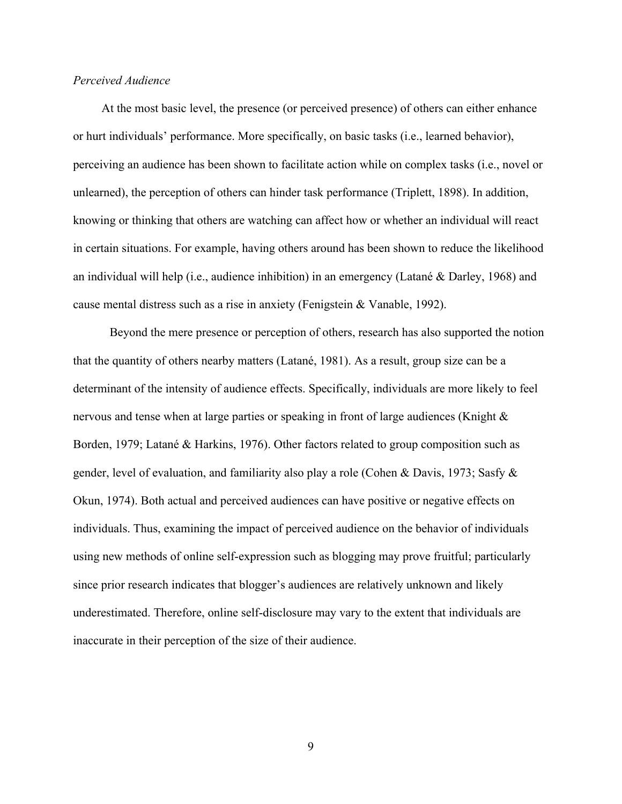### *Perceived Audience*

At the most basic level, the presence (or perceived presence) of others can either enhance or hurt individuals' performance. More specifically, on basic tasks (i.e., learned behavior), perceiving an audience has been shown to facilitate action while on complex tasks (i.e., novel or unlearned), the perception of others can hinder task performance (Triplett, 1898). In addition, knowing or thinking that others are watching can affect how or whether an individual will react in certain situations. For example, having others around has been shown to reduce the likelihood an individual will help (i.e., audience inhibition) in an emergency (Latané & Darley, 1968) and cause mental distress such as a rise in anxiety (Fenigstein & Vanable, 1992).

Beyond the mere presence or perception of others, research has also supported the notion that the quantity of others nearby matters (Latané, 1981). As a result, group size can be a determinant of the intensity of audience effects. Specifically, individuals are more likely to feel nervous and tense when at large parties or speaking in front of large audiences (Knight & Borden, 1979; Latané & Harkins, 1976). Other factors related to group composition such as gender, level of evaluation, and familiarity also play a role (Cohen & Davis, 1973; Sasfy & Okun, 1974). Both actual and perceived audiences can have positive or negative effects on individuals. Thus, examining the impact of perceived audience on the behavior of individuals using new methods of online self-expression such as blogging may prove fruitful; particularly since prior research indicates that blogger's audiences are relatively unknown and likely underestimated. Therefore, online self-disclosure may vary to the extent that individuals are inaccurate in their perception of the size of their audience.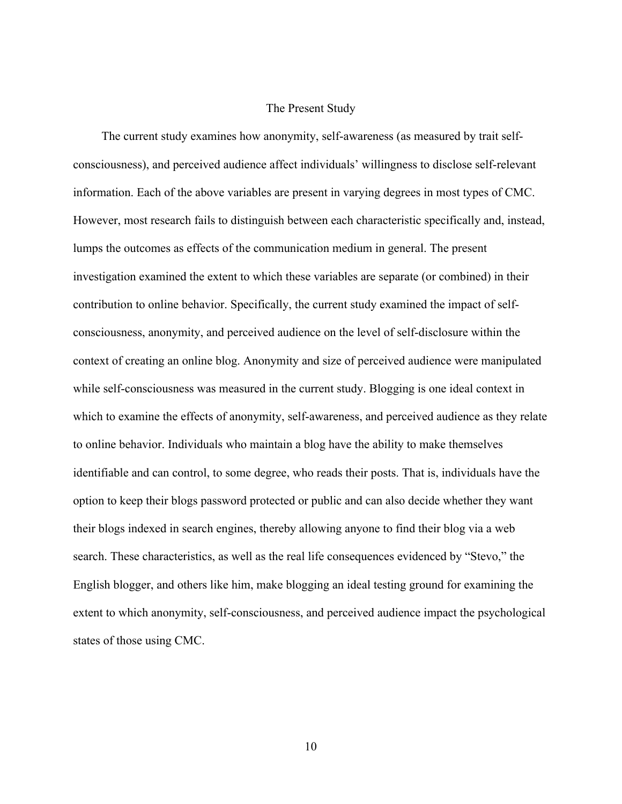## The Present Study

The current study examines how anonymity, self-awareness (as measured by trait selfconsciousness), and perceived audience affect individuals' willingness to disclose self-relevant information. Each of the above variables are present in varying degrees in most types of CMC. However, most research fails to distinguish between each characteristic specifically and, instead, lumps the outcomes as effects of the communication medium in general. The present investigation examined the extent to which these variables are separate (or combined) in their contribution to online behavior. Specifically, the current study examined the impact of selfconsciousness, anonymity, and perceived audience on the level of self-disclosure within the context of creating an online blog. Anonymity and size of perceived audience were manipulated while self-consciousness was measured in the current study. Blogging is one ideal context in which to examine the effects of anonymity, self-awareness, and perceived audience as they relate to online behavior. Individuals who maintain a blog have the ability to make themselves identifiable and can control, to some degree, who reads their posts. That is, individuals have the option to keep their blogs password protected or public and can also decide whether they want their blogs indexed in search engines, thereby allowing anyone to find their blog via a web search. These characteristics, as well as the real life consequences evidenced by "Stevo," the English blogger, and others like him, make blogging an ideal testing ground for examining the extent to which anonymity, self-consciousness, and perceived audience impact the psychological states of those using CMC.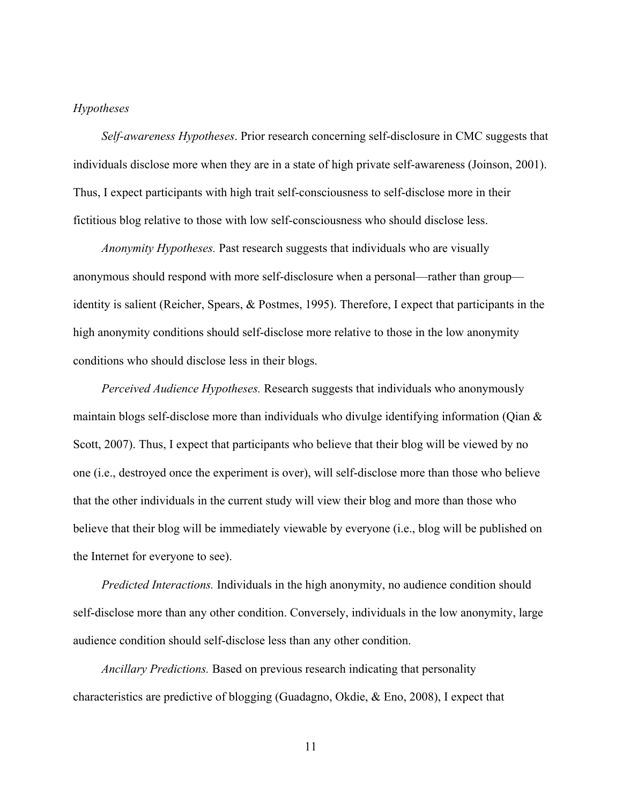### *Hypotheses*

*Self-awareness Hypotheses*. Prior research concerning self-disclosure in CMC suggests that individuals disclose more when they are in a state of high private self-awareness (Joinson, 2001). Thus, I expect participants with high trait self-consciousness to self-disclose more in their fictitious blog relative to those with low self-consciousness who should disclose less.

*Anonymity Hypotheses.* Past research suggests that individuals who are visually anonymous should respond with more self-disclosure when a personal—rather than group identity is salient (Reicher, Spears, & Postmes, 1995). Therefore, I expect that participants in the high anonymity conditions should self-disclose more relative to those in the low anonymity conditions who should disclose less in their blogs.

*Perceived Audience Hypotheses.* Research suggests that individuals who anonymously maintain blogs self-disclose more than individuals who divulge identifying information (Qian & Scott, 2007). Thus, I expect that participants who believe that their blog will be viewed by no one (i.e., destroyed once the experiment is over), will self-disclose more than those who believe that the other individuals in the current study will view their blog and more than those who believe that their blog will be immediately viewable by everyone (i.e., blog will be published on the Internet for everyone to see).

*Predicted Interactions.* Individuals in the high anonymity, no audience condition should self-disclose more than any other condition. Conversely, individuals in the low anonymity, large audience condition should self-disclose less than any other condition.

*Ancillary Predictions.* Based on previous research indicating that personality characteristics are predictive of blogging (Guadagno, Okdie, & Eno, 2008), I expect that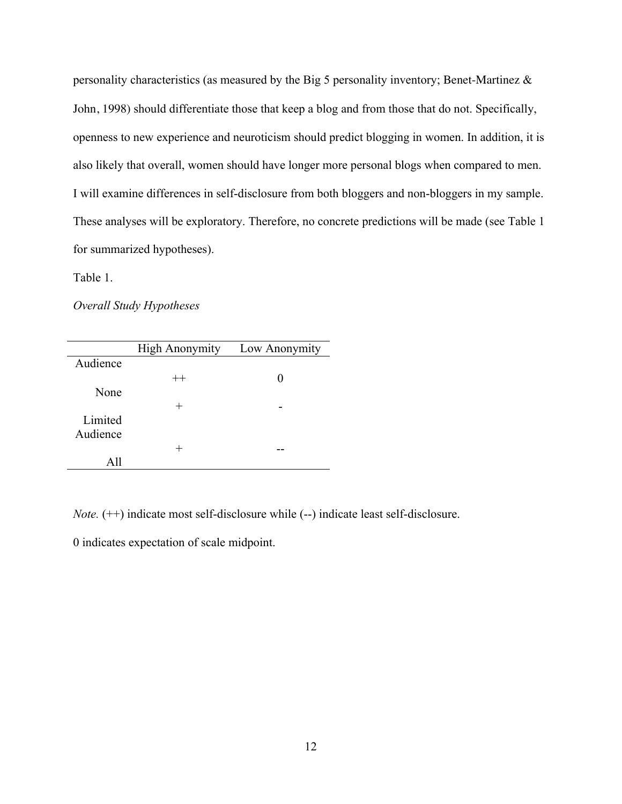personality characteristics (as measured by the Big 5 personality inventory; Benet-Martinez & John, 1998) should differentiate those that keep a blog and from those that do not. Specifically, openness to new experience and neuroticism should predict blogging in women. In addition, it is also likely that overall, women should have longer more personal blogs when compared to men. I will examine differences in self-disclosure from both bloggers and non-bloggers in my sample. These analyses will be exploratory. Therefore, no concrete predictions will be made (see Table 1 for summarized hypotheses).

Table 1.

*Overall Study Hypotheses*

|          | <b>High Anonymity</b> | Low Anonymity |
|----------|-----------------------|---------------|
| Audience |                       |               |
|          | $++$                  |               |
| None     |                       |               |
|          | $\div$                |               |
| Limited  |                       |               |
| Audience |                       |               |
|          |                       |               |
| A 11     |                       |               |

*Note.* (++) indicate most self-disclosure while (--) indicate least self-disclosure.

0 indicates expectation of scale midpoint.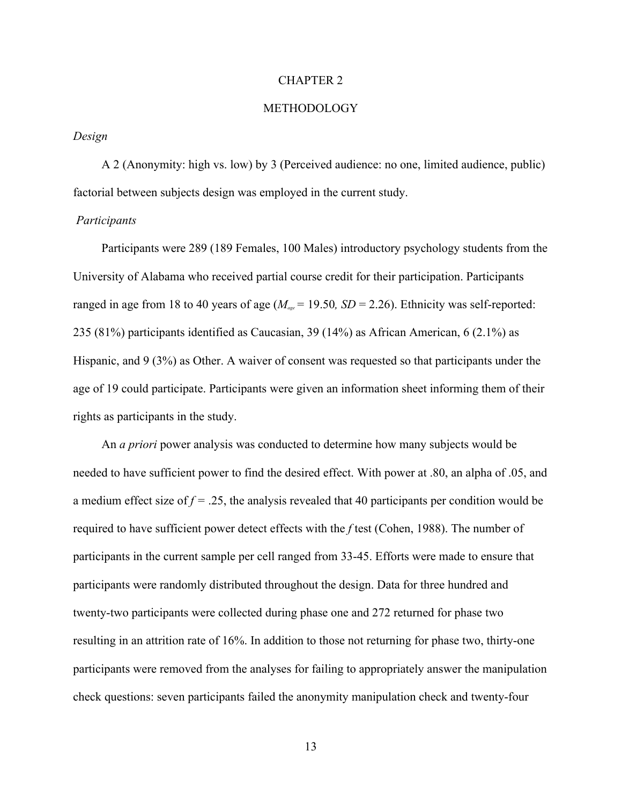#### CHAPTER 2

## METHODOLOGY

### *Design*

A 2 (Anonymity: high vs. low) by 3 (Perceived audience: no one, limited audience, public) factorial between subjects design was employed in the current study.

#### *Participants*

Participants were 289 (189 Females, 100 Males) introductory psychology students from the University of Alabama who received partial course credit for their participation. Participants ranged in age from 18 to 40 years of age ( $M_{\text{age}} = 19.50$ ,  $SD = 2.26$ ). Ethnicity was self-reported: 235 (81%) participants identified as Caucasian, 39 (14%) as African American, 6 (2.1%) as Hispanic, and 9 (3%) as Other. A waiver of consent was requested so that participants under the age of 19 could participate. Participants were given an information sheet informing them of their rights as participants in the study.

An *a priori* power analysis was conducted to determine how many subjects would be needed to have sufficient power to find the desired effect. With power at .80, an alpha of .05, and a medium effect size of *f =* .25, the analysis revealed that 40 participants per condition would be required to have sufficient power detect effects with the *f* test (Cohen, 1988). The number of participants in the current sample per cell ranged from 33-45. Efforts were made to ensure that participants were randomly distributed throughout the design. Data for three hundred and twenty-two participants were collected during phase one and 272 returned for phase two resulting in an attrition rate of 16%. In addition to those not returning for phase two, thirty-one participants were removed from the analyses for failing to appropriately answer the manipulation check questions: seven participants failed the anonymity manipulation check and twenty-four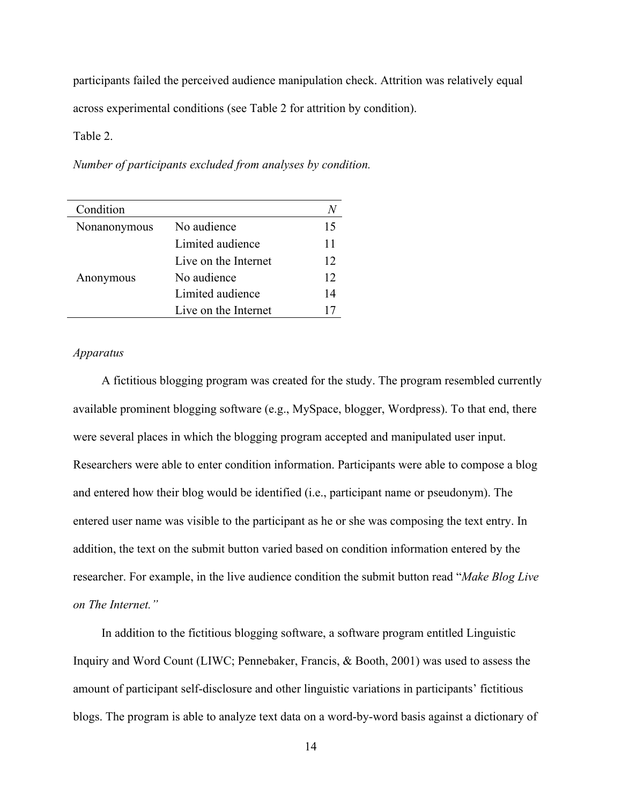participants failed the perceived audience manipulation check. Attrition was relatively equal across experimental conditions (see Table 2 for attrition by condition).

Table 2.

*Number of participants excluded from analyses by condition.*

| Condition    |                      |    |
|--------------|----------------------|----|
| Nonanonymous | No audience          | 15 |
|              | Limited audience     | 11 |
|              | Live on the Internet | 12 |
| Anonymous    | No audience          | 12 |
|              | Limited audience     | 14 |
|              | Live on the Internet |    |

## *Apparatus*

A fictitious blogging program was created for the study. The program resembled currently available prominent blogging software (e.g., MySpace, blogger, Wordpress). To that end, there were several places in which the blogging program accepted and manipulated user input. Researchers were able to enter condition information. Participants were able to compose a blog and entered how their blog would be identified (i.e., participant name or pseudonym). The entered user name was visible to the participant as he or she was composing the text entry. In addition, the text on the submit button varied based on condition information entered by the researcher. For example, in the live audience condition the submit button read "*Make Blog Live on The Internet."*

In addition to the fictitious blogging software, a software program entitled Linguistic Inquiry and Word Count (LIWC; Pennebaker, Francis, & Booth, 2001) was used to assess the amount of participant self-disclosure and other linguistic variations in participants' fictitious blogs. The program is able to analyze text data on a word-by-word basis against a dictionary of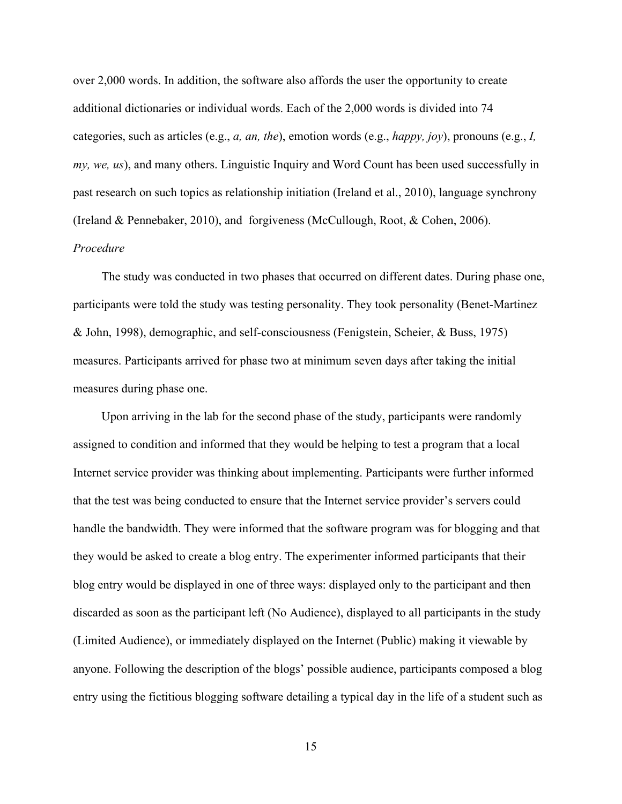over 2,000 words. In addition, the software also affords the user the opportunity to create additional dictionaries or individual words. Each of the 2,000 words is divided into 74 categories, such as articles (e.g., *a, an, the*), emotion words (e.g., *happy, joy*), pronouns (e.g., *I, my, we, us*), and many others. Linguistic Inquiry and Word Count has been used successfully in past research on such topics as relationship initiation (Ireland et al., 2010), language synchrony (Ireland & Pennebaker, 2010), and forgiveness (McCullough, Root, & Cohen, 2006). *Procedure*

The study was conducted in two phases that occurred on different dates. During phase one, participants were told the study was testing personality. They took personality (Benet-Martinez & John, 1998), demographic, and self-consciousness (Fenigstein, Scheier, & Buss, 1975) measures. Participants arrived for phase two at minimum seven days after taking the initial measures during phase one.

Upon arriving in the lab for the second phase of the study, participants were randomly assigned to condition and informed that they would be helping to test a program that a local Internet service provider was thinking about implementing. Participants were further informed that the test was being conducted to ensure that the Internet service provider's servers could handle the bandwidth. They were informed that the software program was for blogging and that they would be asked to create a blog entry. The experimenter informed participants that their blog entry would be displayed in one of three ways: displayed only to the participant and then discarded as soon as the participant left (No Audience), displayed to all participants in the study (Limited Audience), or immediately displayed on the Internet (Public) making it viewable by anyone. Following the description of the blogs' possible audience, participants composed a blog entry using the fictitious blogging software detailing a typical day in the life of a student such as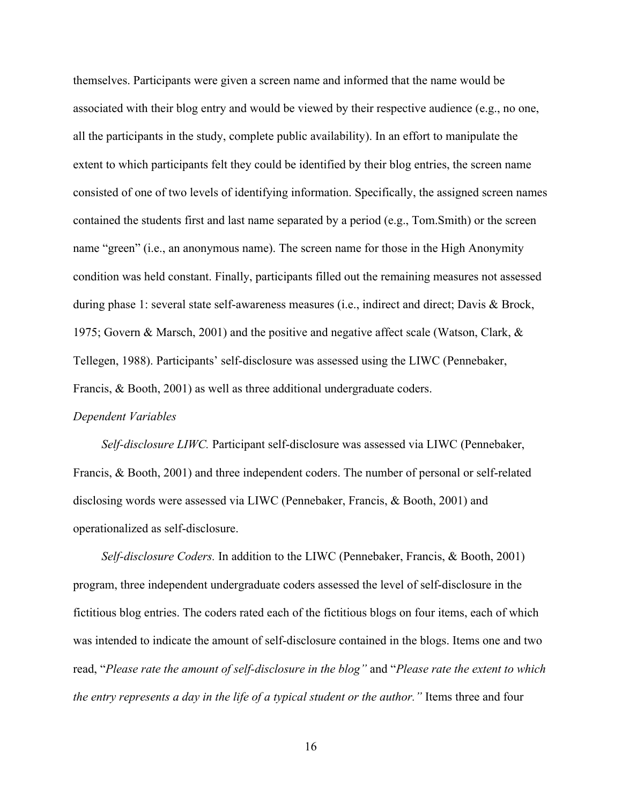themselves. Participants were given a screen name and informed that the name would be associated with their blog entry and would be viewed by their respective audience (e.g., no one, all the participants in the study, complete public availability). In an effort to manipulate the extent to which participants felt they could be identified by their blog entries, the screen name consisted of one of two levels of identifying information. Specifically, the assigned screen names contained the students first and last name separated by a period (e.g., Tom.Smith) or the screen name "green" (i.e., an anonymous name). The screen name for those in the High Anonymity condition was held constant. Finally, participants filled out the remaining measures not assessed during phase 1: several state self-awareness measures (i.e., indirect and direct; Davis & Brock, 1975; Govern & Marsch, 2001) and the positive and negative affect scale (Watson, Clark, & Tellegen, 1988). Participants' self-disclosure was assessed using the LIWC (Pennebaker, Francis, & Booth, 2001) as well as three additional undergraduate coders.

## *Dependent Variables*

*Self-disclosure LIWC.* Participant self-disclosure was assessed via LIWC (Pennebaker, Francis, & Booth, 2001) and three independent coders. The number of personal or self-related disclosing words were assessed via LIWC (Pennebaker, Francis, & Booth, 2001) and operationalized as self-disclosure.

*Self-disclosure Coders.* In addition to the LIWC (Pennebaker, Francis, & Booth, 2001) program, three independent undergraduate coders assessed the level of self-disclosure in the fictitious blog entries. The coders rated each of the fictitious blogs on four items, each of which was intended to indicate the amount of self-disclosure contained in the blogs. Items one and two read, "*Please rate the amount of self-disclosure in the blog"* and "*Please rate the extent to which the entry represents a day in the life of a typical student or the author."* Items three and four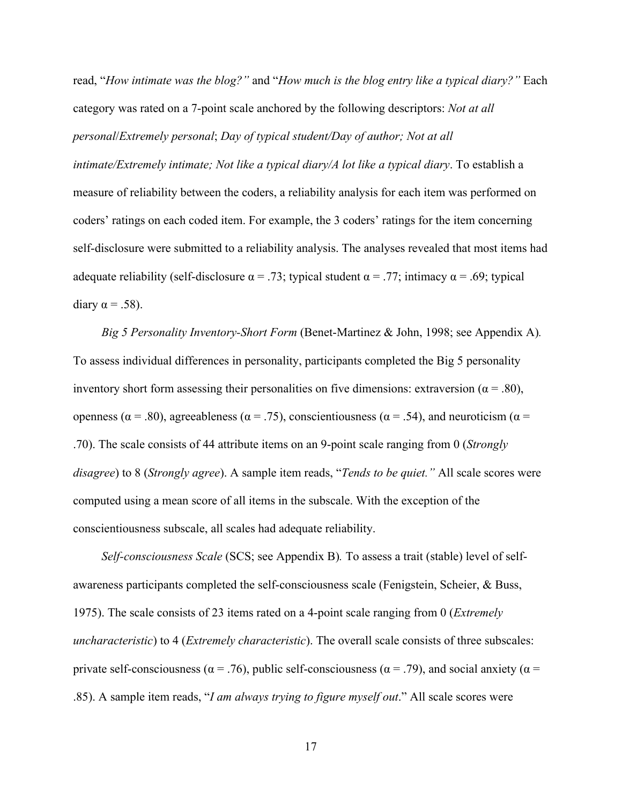read, "*How intimate was the blog?"* and "*How much is the blog entry like a typical diary?"* Each category was rated on a 7-point scale anchored by the following descriptors: *Not at all personal*/*Extremely personal*; *Day of typical student/Day of author; Not at all intimate/Extremely intimate; Not like a typical diary/A lot like a typical diary*. To establish a measure of reliability between the coders, a reliability analysis for each item was performed on coders' ratings on each coded item. For example, the 3 coders' ratings for the item concerning self-disclosure were submitted to a reliability analysis. The analyses revealed that most items had adequate reliability (self-disclosure  $\alpha = .73$ ; typical student  $\alpha = .77$ ; intimacy  $\alpha = .69$ ; typical diary  $\alpha = .58$ ).

*Big 5 Personality Inventory-Short Form* (Benet-Martinez & John, 1998; see Appendix A)*.*  To assess individual differences in personality, participants completed the Big 5 personality inventory short form assessing their personalities on five dimensions: extraversion ( $\alpha$  = .80), openness ( $α = .80$ ), agreeableness ( $α = .75$ ), conscientiousness ( $α = .54$ ), and neuroticism ( $α =$ .70). The scale consists of 44 attribute items on an 9-point scale ranging from 0 (*Strongly disagree*) to 8 (*Strongly agree*). A sample item reads, "*Tends to be quiet."* All scale scores were computed using a mean score of all items in the subscale. With the exception of the conscientiousness subscale, all scales had adequate reliability.

*Self-consciousness Scale* (SCS; see Appendix B)*.* To assess a trait (stable) level of selfawareness participants completed the self-consciousness scale (Fenigstein, Scheier, & Buss, 1975). The scale consists of 23 items rated on a 4-point scale ranging from 0 (*Extremely uncharacteristic*) to 4 (*Extremely characteristic*). The overall scale consists of three subscales: private self-consciousness ( $\alpha$  = .76), public self-consciousness ( $\alpha$  = .79), and social anxiety ( $\alpha$  = .85). A sample item reads, "*I am always trying to figure myself out*." All scale scores were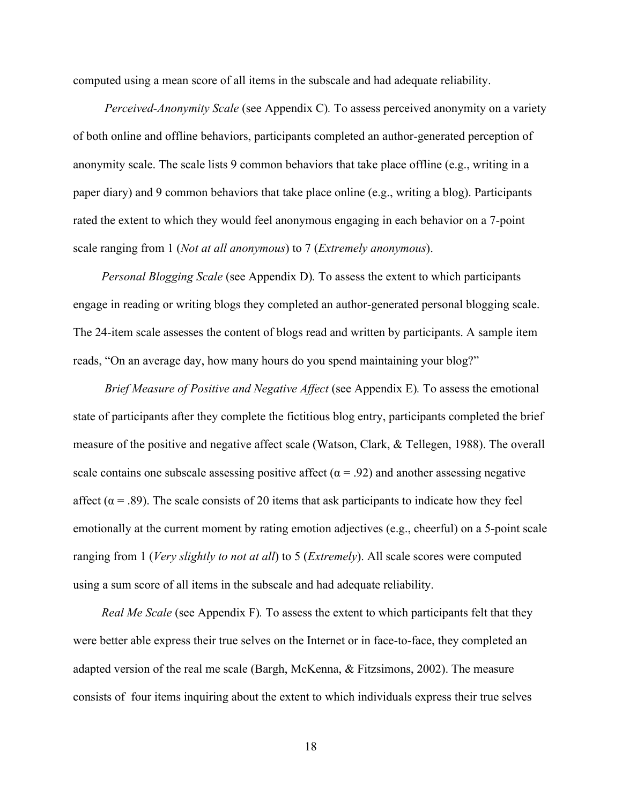computed using a mean score of all items in the subscale and had adequate reliability.

*Perceived-Anonymity Scale* (see Appendix C)*.* To assess perceived anonymity on a variety of both online and offline behaviors, participants completed an author-generated perception of anonymity scale. The scale lists 9 common behaviors that take place offline (e.g., writing in a paper diary) and 9 common behaviors that take place online (e.g., writing a blog). Participants rated the extent to which they would feel anonymous engaging in each behavior on a 7-point scale ranging from 1 (*Not at all anonymous*) to 7 (*Extremely anonymous*).

*Personal Blogging Scale* (see Appendix D)*.* To assess the extent to which participants engage in reading or writing blogs they completed an author-generated personal blogging scale. The 24-item scale assesses the content of blogs read and written by participants. A sample item reads, "On an average day, how many hours do you spend maintaining your blog?"

*Brief Measure of Positive and Negative Affect* (see Appendix E)*.* To assess the emotional state of participants after they complete the fictitious blog entry, participants completed the brief measure of the positive and negative affect scale (Watson, Clark, & Tellegen, 1988). The overall scale contains one subscale assessing positive affect ( $\alpha$  = .92) and another assessing negative affect ( $\alpha$  = .89). The scale consists of 20 items that ask participants to indicate how they feel emotionally at the current moment by rating emotion adjectives (e.g., cheerful) on a 5-point scale ranging from 1 (*Very slightly to not at all*) to 5 (*Extremely*). All scale scores were computed using a sum score of all items in the subscale and had adequate reliability.

*Real Me Scale* (see Appendix F)*.* To assess the extent to which participants felt that they were better able express their true selves on the Internet or in face-to-face, they completed an adapted version of the real me scale (Bargh, McKenna, & Fitzsimons, 2002). The measure consists of four items inquiring about the extent to which individuals express their true selves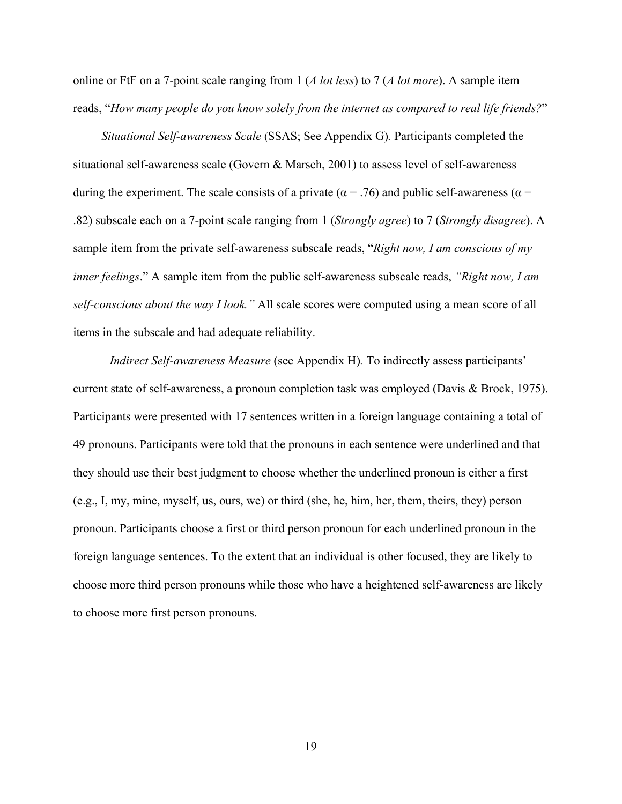online or FtF on a 7-point scale ranging from 1 (*A lot less*) to 7 (*A lot more*). A sample item reads, "*How many people do you know solely from the internet as compared to real life friends?*"

*Situational Self-awareness Scale* (SSAS; See Appendix G)*.* Participants completed the situational self-awareness scale (Govern & Marsch, 2001) to assess level of self-awareness during the experiment. The scale consists of a private ( $\alpha = .76$ ) and public self-awareness ( $\alpha =$ .82) subscale each on a 7-point scale ranging from 1 (*Strongly agree*) to 7 (*Strongly disagree*). A sample item from the private self-awareness subscale reads, "*Right now, I am conscious of my inner feelings*." A sample item from the public self-awareness subscale reads, *"Right now, I am self-conscious about the way I look."* All scale scores were computed using a mean score of all items in the subscale and had adequate reliability.

*Indirect Self-awareness Measure* (see Appendix H)*.* To indirectly assess participants' current state of self-awareness, a pronoun completion task was employed (Davis & Brock, 1975). Participants were presented with 17 sentences written in a foreign language containing a total of 49 pronouns. Participants were told that the pronouns in each sentence were underlined and that they should use their best judgment to choose whether the underlined pronoun is either a first (e.g., I, my, mine, myself, us, ours, we) or third (she, he, him, her, them, theirs, they) person pronoun. Participants choose a first or third person pronoun for each underlined pronoun in the foreign language sentences. To the extent that an individual is other focused, they are likely to choose more third person pronouns while those who have a heightened self-awareness are likely to choose more first person pronouns.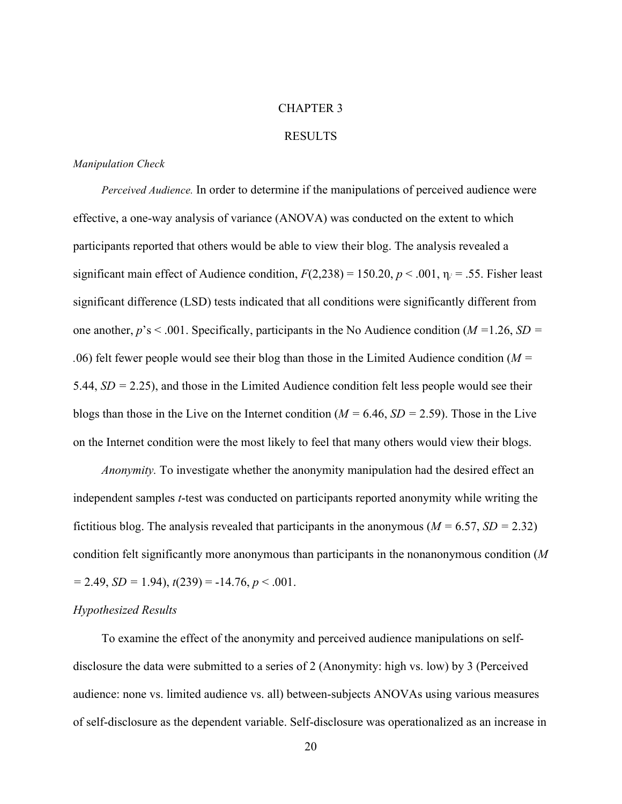# CHAPTER 3

# RESULTS

#### *Manipulation Check*

*Perceived Audience.* In order to determine if the manipulations of perceived audience were effective, a one-way analysis of variance (ANOVA) was conducted on the extent to which participants reported that others would be able to view their blog. The analysis revealed a significant main effect of Audience condition,  $F(2,238) = 150.20$ ,  $p < .001$ ,  $\eta_i = .55$ . Fisher least significant difference (LSD) tests indicated that all conditions were significantly different from one another, *p*'s < .001. Specifically, participants in the No Audience condition (*M =*1.26, *SD = .*06) felt fewer people would see their blog than those in the Limited Audience condition (*M =*  5.44, *SD =* 2.25), and those in the Limited Audience condition felt less people would see their blogs than those in the Live on the Internet condition (*M =* 6.46, *SD =* 2.59). Those in the Live on the Internet condition were the most likely to feel that many others would view their blogs.

*Anonymity.* To investigate whether the anonymity manipulation had the desired effect an independent samples *t*-test was conducted on participants reported anonymity while writing the fictitious blog. The analysis revealed that participants in the anonymous ( $M = 6.57$ ,  $SD = 2.32$ ) condition felt significantly more anonymous than participants in the nonanonymous condition (*M*   $= 2.49, SD = 1.94$ ,  $t(239) = -14.76, p < .001$ .

### *Hypothesized Results*

To examine the effect of the anonymity and perceived audience manipulations on selfdisclosure the data were submitted to a series of 2 (Anonymity: high vs. low) by 3 (Perceived audience: none vs. limited audience vs. all) between-subjects ANOVAs using various measures of self-disclosure as the dependent variable. Self-disclosure was operationalized as an increase in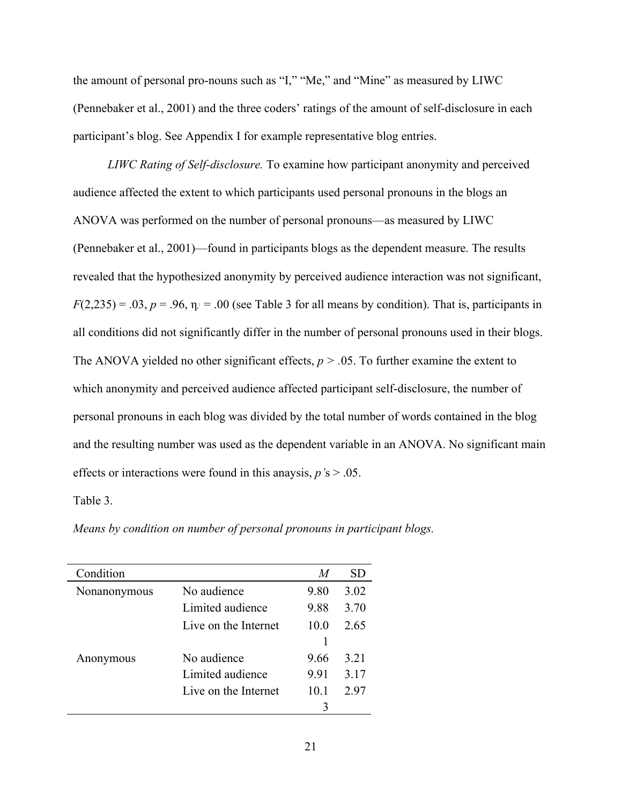the amount of personal pro-nouns such as "I," "Me," and "Mine" as measured by LIWC (Pennebaker et al., 2001) and the three coders' ratings of the amount of self-disclosure in each participant's blog. See Appendix I for example representative blog entries.

 *LIWC Rating of Self-disclosure.* To examine how participant anonymity and perceived audience affected the extent to which participants used personal pronouns in the blogs an ANOVA was performed on the number of personal pronouns—as measured by LIWC (Pennebaker et al., 2001)—found in participants blogs as the dependent measure. The results revealed that the hypothesized anonymity by perceived audience interaction was not significant,  $F(2,235) = .03$ ,  $p = .96$ ,  $\eta_i = .00$  (see Table 3 for all means by condition). That is, participants in all conditions did not significantly differ in the number of personal pronouns used in their blogs. The ANOVA yielded no other significant effects,  $p > .05$ . To further examine the extent to which anonymity and perceived audience affected participant self-disclosure, the number of personal pronouns in each blog was divided by the total number of words contained in the blog and the resulting number was used as the dependent variable in an ANOVA. No significant main effects or interactions were found in this anaysis, *p'*s > .05.

Table 3.

| Condition    |                      | M    | SD    |
|--------------|----------------------|------|-------|
| Nonanonymous | No audience          | 9.80 | 3.02  |
|              | Limited audience     | 9.88 | 3.70  |
|              | Live on the Internet | 10 0 | 2.65  |
|              |                      |      |       |
| Anonymous    | No audience          | 9.66 | 3 2 1 |
|              | Limited audience     | 991  | 3.17  |
|              | Live on the Internet | 10 1 | 2.97  |
|              |                      | 3    |       |

*Means by condition on number of personal pronouns in participant blogs.*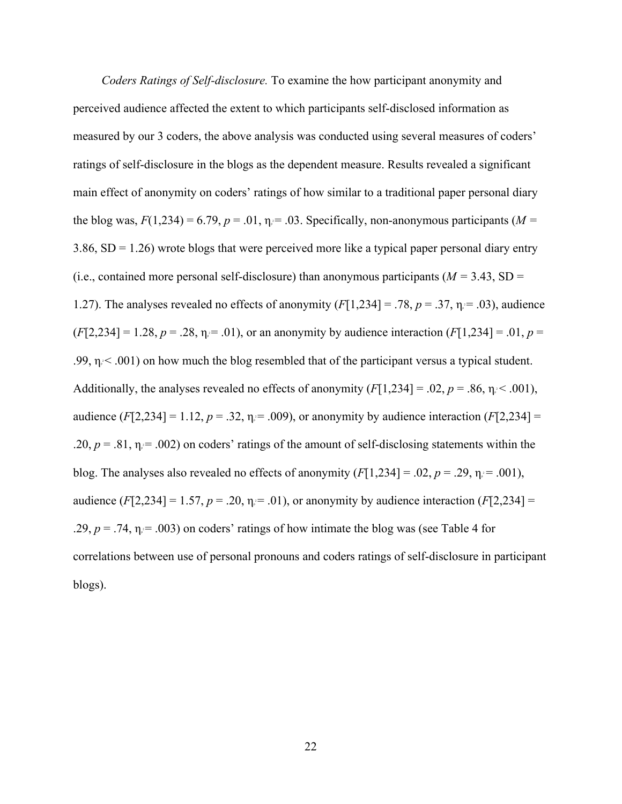*Coders Ratings of Self-disclosure.* To examine the how participant anonymity and perceived audience affected the extent to which participants self-disclosed information as measured by our 3 coders, the above analysis was conducted using several measures of coders' ratings of self-disclosure in the blogs as the dependent measure. Results revealed a significant main effect of anonymity on coders' ratings of how similar to a traditional paper personal diary the blog was,  $F(1,234) = 6.79$ ,  $p = .01$ ,  $\eta = .03$ . Specifically, non-anonymous participants ( $M =$ 3.86, SD = 1.26) wrote blogs that were perceived more like a typical paper personal diary entry (i.e., contained more personal self-disclosure) than anonymous participants ( $M = 3.43$ , SD = 1.27). The analyses revealed no effects of anonymity  $(F[1,234] = .78, p = .37, \eta = .03)$ , audience  $(F[2,234] = 1.28, p = .28, \eta = .01)$ , or an anonymity by audience interaction  $(F[1,234] = .01, p = .01)$ .99,  $\eta \ll 0.001$ ) on how much the blog resembled that of the participant versus a typical student. Additionally, the analyses revealed no effects of anonymity  $(F[1,234] = .02, p = .86, \eta \le .001)$ , audience  $(F[2,234] = 1.12, p = .32, \eta = .009)$ , or anonymity by audience interaction  $(F[2,234] =$ .20,  $p = .81$ ,  $\eta = .002$ ) on coders' ratings of the amount of self-disclosing statements within the blog. The analyses also revealed no effects of anonymity  $(F[1,234] = .02, p = .29, \eta = .001)$ , audience  $(F[2,234] = 1.57, p = .20, \eta = .01)$ , or anonymity by audience interaction  $(F[2,234] =$ .29,  $p = .74$ ,  $\eta = .003$ ) on coders' ratings of how intimate the blog was (see Table 4 for correlations between use of personal pronouns and coders ratings of self-disclosure in participant blogs).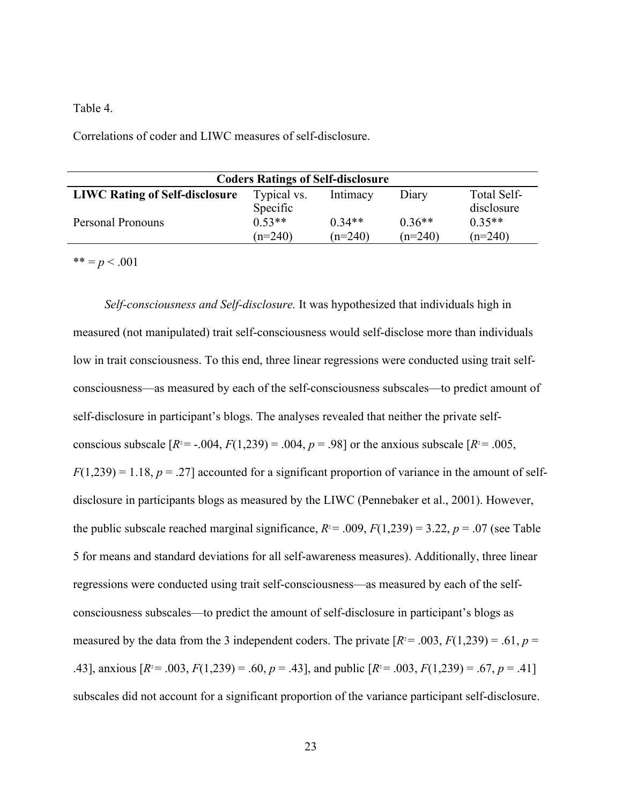# Table 4.

Correlations of coder and LIWC measures of self-disclosure.

| <b>Coders Ratings of Self-disclosure</b> |                         |                       |                       |                           |  |
|------------------------------------------|-------------------------|-----------------------|-----------------------|---------------------------|--|
| <b>LIWC Rating of Self-disclosure</b>    | Typical vs.<br>Specific | Intimacy              | Diary                 | Total Self-<br>disclosure |  |
| Personal Pronouns                        | $0.53**$<br>$(n=240)$   | $0.34**$<br>$(n=240)$ | $0.36**$<br>$(n=240)$ | $0.35**$<br>$(n=240)$     |  |

 $*** = p < .001$ 

*Self-consciousness and Self-disclosure.* It was hypothesized that individuals high in measured (not manipulated) trait self-consciousness would self-disclose more than individuals low in trait consciousness. To this end, three linear regressions were conducted using trait selfconsciousness—as measured by each of the self-consciousness subscales—to predict amount of self-disclosure in participant's blogs. The analyses revealed that neither the private selfconscious subscale  $[R^2 = -0.004, F(1,239) = 0.004, p = 0.98]$  or the anxious subscale  $[R^2 = 0.005, p = 0.004]$  $F(1,239) = 1.18$ ,  $p = .27$  accounted for a significant proportion of variance in the amount of selfdisclosure in participants blogs as measured by the LIWC (Pennebaker et al., 2001). However, the public subscale reached marginal significance,  $R^2 = .009$ ,  $F(1,239) = 3.22$ ,  $p = .07$  (see Table 5 for means and standard deviations for all self-awareness measures). Additionally, three linear regressions were conducted using trait self-consciousness—as measured by each of the selfconsciousness subscales—to predict the amount of self-disclosure in participant's blogs as measured by the data from the 3 independent coders. The private  $[R^2 = .003, F(1,239) = .61, p =$ .43], anxious  $[R^2 = .003, F(1,239) = .60, p = .43]$ , and public  $[R^2 = .003, F(1,239) = .67, p = .41]$ subscales did not account for a significant proportion of the variance participant self-disclosure.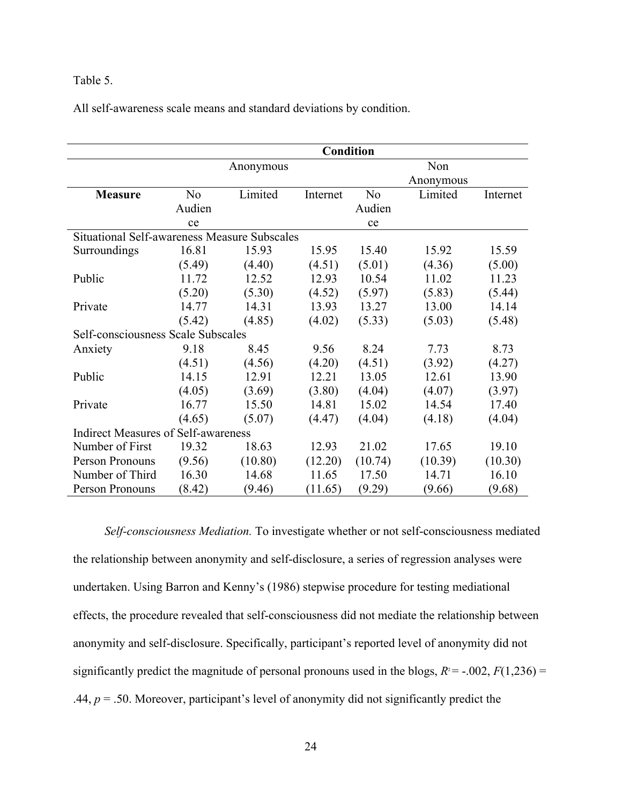# Table 5.

All self-awareness scale means and standard deviations by condition.

|                                                     | <b>Condition</b> |           |          |                |           |          |
|-----------------------------------------------------|------------------|-----------|----------|----------------|-----------|----------|
|                                                     |                  | Anonymous |          |                | Non       |          |
|                                                     |                  |           |          |                | Anonymous |          |
| <b>Measure</b>                                      | N <sub>0</sub>   | Limited   | Internet | N <sub>0</sub> | Limited   | Internet |
|                                                     | Audien           |           |          | Audien         |           |          |
|                                                     | ce               |           |          | ce             |           |          |
| <b>Situational Self-awareness Measure Subscales</b> |                  |           |          |                |           |          |
| Surroundings                                        | 16.81            | 15.93     | 15.95    | 15.40          | 15.92     | 15.59    |
|                                                     | (5.49)           | (4.40)    | (4.51)   | (5.01)         | (4.36)    | (5.00)   |
| Public                                              | 11.72            | 12.52     | 12.93    | 10.54          | 11.02     | 11.23    |
|                                                     | (5.20)           | (5.30)    | (4.52)   | (5.97)         | (5.83)    | (5.44)   |
| Private                                             | 14.77            | 14.31     | 13.93    | 13.27          | 13.00     | 14.14    |
|                                                     | (5.42)           | (4.85)    | (4.02)   | (5.33)         | (5.03)    | (5.48)   |
| Self-consciousness Scale Subscales                  |                  |           |          |                |           |          |
| Anxiety                                             | 9.18             | 8.45      | 9.56     | 8.24           | 7.73      | 8.73     |
|                                                     | (4.51)           | (4.56)    | (4.20)   | (4.51)         | (3.92)    | (4.27)   |
| Public                                              | 14.15            | 12.91     | 12.21    | 13.05          | 12.61     | 13.90    |
|                                                     | (4.05)           | (3.69)    | (3.80)   | (4.04)         | (4.07)    | (3.97)   |
| Private                                             | 16.77            | 15.50     | 14.81    | 15.02          | 14.54     | 17.40    |
|                                                     | (4.65)           | (5.07)    | (4.47)   | (4.04)         | (4.18)    | (4.04)   |
| <b>Indirect Measures of Self-awareness</b>          |                  |           |          |                |           |          |
| Number of First                                     | 19.32            | 18.63     | 12.93    | 21.02          | 17.65     | 19.10    |
| Person Pronouns                                     | (9.56)           | (10.80)   | (12.20)  | (10.74)        | (10.39)   | (10.30)  |
| Number of Third                                     | 16.30            | 14.68     | 11.65    | 17.50          | 14.71     | 16.10    |
| Person Pronouns                                     | (8.42)           | (9.46)    | (11.65)  | (9.29)         | (9.66)    | (9.68)   |

*Self-consciousness Mediation.* To investigate whether or not self-consciousness mediated the relationship between anonymity and self-disclosure, a series of regression analyses were undertaken. Using Barron and Kenny's (1986) stepwise procedure for testing mediational effects, the procedure revealed that self-consciousness did not mediate the relationship between anonymity and self-disclosure. Specifically, participant's reported level of anonymity did not significantly predict the magnitude of personal pronouns used in the blogs,  $R^2$  = -.002,  $F(1,236)$  = .44,  $p = 0.50$ . Moreover, participant's level of anonymity did not significantly predict the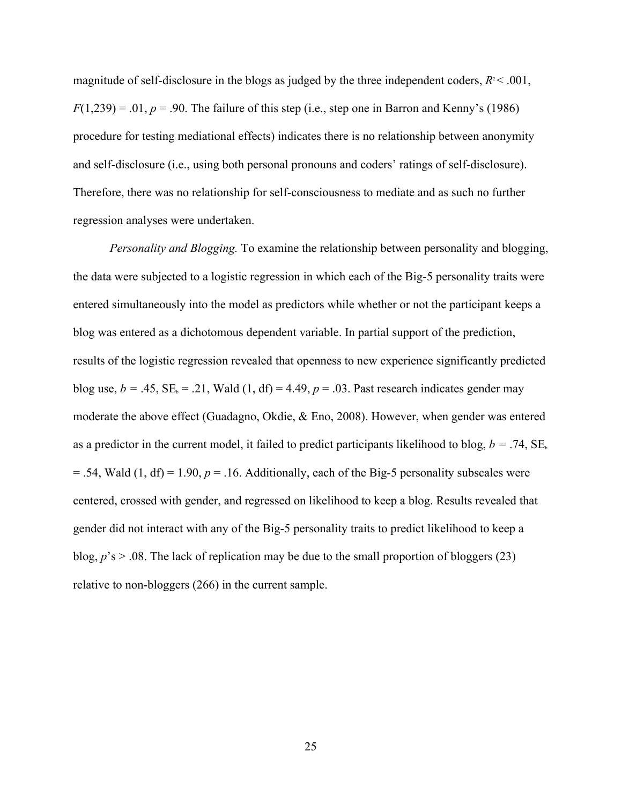magnitude of self-disclosure in the blogs as judged by the three independent coders,  $R^2$  < .001,  $F(1,239) = 0.01$ ,  $p = 0.90$ . The failure of this step (i.e., step one in Barron and Kenny's (1986) procedure for testing mediational effects) indicates there is no relationship between anonymity and self-disclosure (i.e., using both personal pronouns and coders' ratings of self-disclosure). Therefore, there was no relationship for self-consciousness to mediate and as such no further regression analyses were undertaken.

*Personality and Blogging.* To examine the relationship between personality and blogging, the data were subjected to a logistic regression in which each of the Big-5 personality traits were entered simultaneously into the model as predictors while whether or not the participant keeps a blog was entered as a dichotomous dependent variable. In partial support of the prediction, results of the logistic regression revealed that openness to new experience significantly predicted blog use,  $b = .45$ ,  $SE_b = .21$ , Wald (1, df) = 4.49,  $p = .03$ . Past research indicates gender may moderate the above effect (Guadagno, Okdie, & Eno, 2008). However, when gender was entered as a predictor in the current model, it failed to predict participants likelihood to blog,  $b = .74$ , SE<sub>b</sub>  $= .54$ , Wald  $(1, df) = 1.90$ ,  $p = .16$ . Additionally, each of the Big-5 personality subscales were centered, crossed with gender, and regressed on likelihood to keep a blog. Results revealed that gender did not interact with any of the Big-5 personality traits to predict likelihood to keep a blog, *p*'s > .08. The lack of replication may be due to the small proportion of bloggers (23) relative to non-bloggers (266) in the current sample.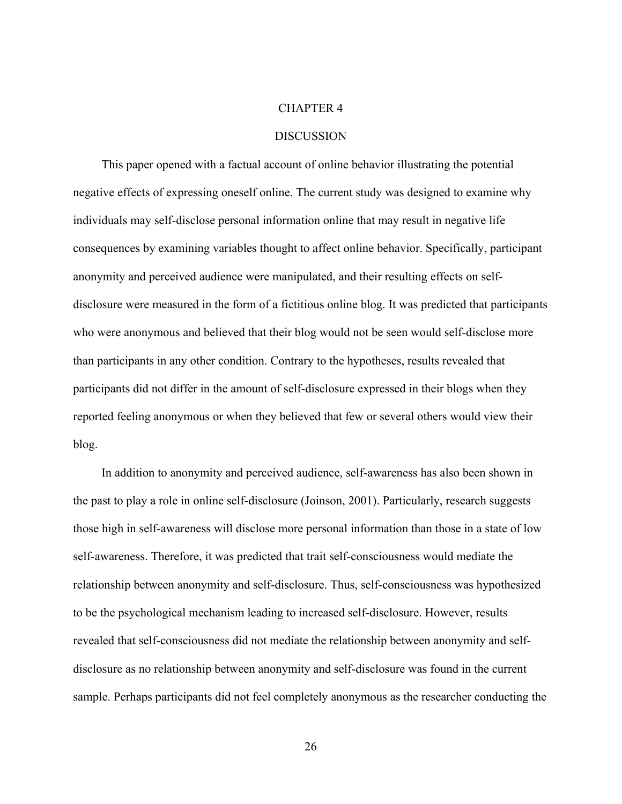#### CHAPTER 4

#### **DISCUSSION**

This paper opened with a factual account of online behavior illustrating the potential negative effects of expressing oneself online. The current study was designed to examine why individuals may self-disclose personal information online that may result in negative life consequences by examining variables thought to affect online behavior. Specifically, participant anonymity and perceived audience were manipulated, and their resulting effects on selfdisclosure were measured in the form of a fictitious online blog. It was predicted that participants who were anonymous and believed that their blog would not be seen would self-disclose more than participants in any other condition. Contrary to the hypotheses, results revealed that participants did not differ in the amount of self-disclosure expressed in their blogs when they reported feeling anonymous or when they believed that few or several others would view their blog.

In addition to anonymity and perceived audience, self-awareness has also been shown in the past to play a role in online self-disclosure (Joinson, 2001). Particularly, research suggests those high in self-awareness will disclose more personal information than those in a state of low self-awareness. Therefore, it was predicted that trait self-consciousness would mediate the relationship between anonymity and self-disclosure. Thus, self-consciousness was hypothesized to be the psychological mechanism leading to increased self-disclosure. However, results revealed that self-consciousness did not mediate the relationship between anonymity and selfdisclosure as no relationship between anonymity and self-disclosure was found in the current sample. Perhaps participants did not feel completely anonymous as the researcher conducting the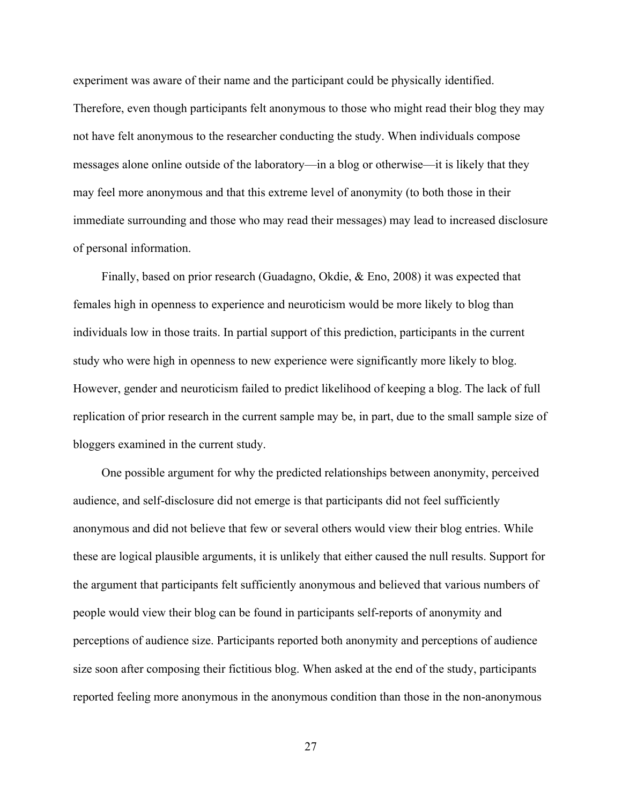experiment was aware of their name and the participant could be physically identified. Therefore, even though participants felt anonymous to those who might read their blog they may not have felt anonymous to the researcher conducting the study. When individuals compose messages alone online outside of the laboratory—in a blog or otherwise—it is likely that they may feel more anonymous and that this extreme level of anonymity (to both those in their immediate surrounding and those who may read their messages) may lead to increased disclosure of personal information.

Finally, based on prior research (Guadagno, Okdie, & Eno, 2008) it was expected that females high in openness to experience and neuroticism would be more likely to blog than individuals low in those traits. In partial support of this prediction, participants in the current study who were high in openness to new experience were significantly more likely to blog. However, gender and neuroticism failed to predict likelihood of keeping a blog. The lack of full replication of prior research in the current sample may be, in part, due to the small sample size of bloggers examined in the current study.

One possible argument for why the predicted relationships between anonymity, perceived audience, and self-disclosure did not emerge is that participants did not feel sufficiently anonymous and did not believe that few or several others would view their blog entries. While these are logical plausible arguments, it is unlikely that either caused the null results. Support for the argument that participants felt sufficiently anonymous and believed that various numbers of people would view their blog can be found in participants self-reports of anonymity and perceptions of audience size. Participants reported both anonymity and perceptions of audience size soon after composing their fictitious blog. When asked at the end of the study, participants reported feeling more anonymous in the anonymous condition than those in the non-anonymous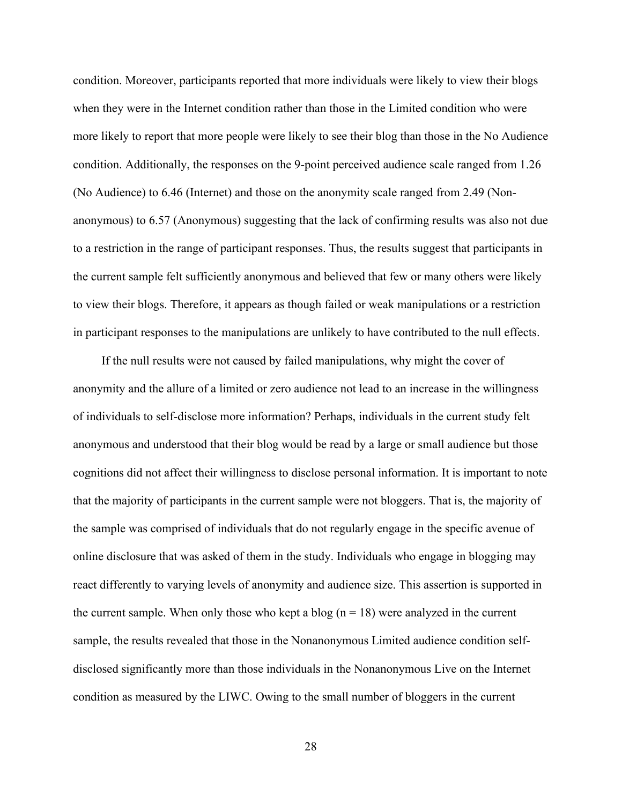condition. Moreover, participants reported that more individuals were likely to view their blogs when they were in the Internet condition rather than those in the Limited condition who were more likely to report that more people were likely to see their blog than those in the No Audience condition. Additionally, the responses on the 9-point perceived audience scale ranged from 1.26 (No Audience) to 6.46 (Internet) and those on the anonymity scale ranged from 2.49 (Nonanonymous) to 6.57 (Anonymous) suggesting that the lack of confirming results was also not due to a restriction in the range of participant responses. Thus, the results suggest that participants in the current sample felt sufficiently anonymous and believed that few or many others were likely to view their blogs. Therefore, it appears as though failed or weak manipulations or a restriction in participant responses to the manipulations are unlikely to have contributed to the null effects.

If the null results were not caused by failed manipulations, why might the cover of anonymity and the allure of a limited or zero audience not lead to an increase in the willingness of individuals to self-disclose more information? Perhaps, individuals in the current study felt anonymous and understood that their blog would be read by a large or small audience but those cognitions did not affect their willingness to disclose personal information. It is important to note that the majority of participants in the current sample were not bloggers. That is, the majority of the sample was comprised of individuals that do not regularly engage in the specific avenue of online disclosure that was asked of them in the study. Individuals who engage in blogging may react differently to varying levels of anonymity and audience size. This assertion is supported in the current sample. When only those who kept a blog  $(n = 18)$  were analyzed in the current sample, the results revealed that those in the Nonanonymous Limited audience condition selfdisclosed significantly more than those individuals in the Nonanonymous Live on the Internet condition as measured by the LIWC. Owing to the small number of bloggers in the current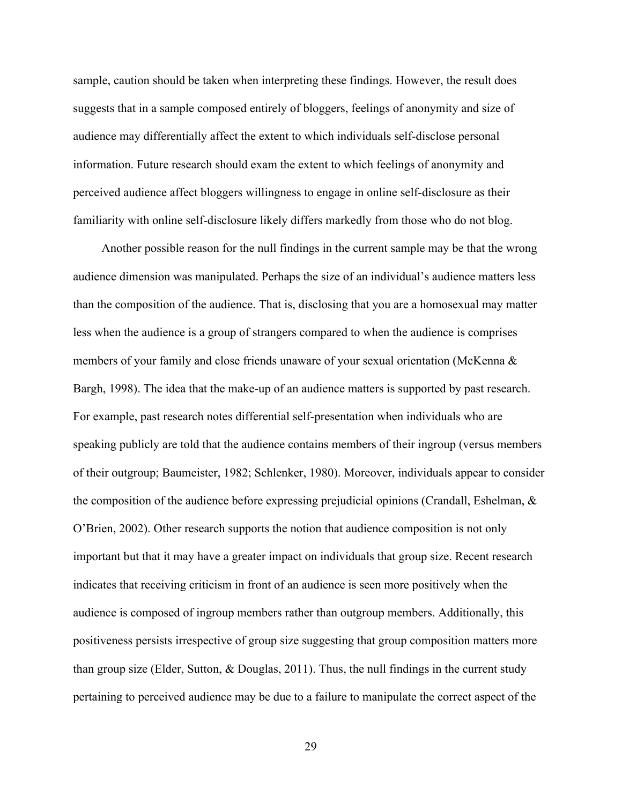sample, caution should be taken when interpreting these findings. However, the result does suggests that in a sample composed entirely of bloggers, feelings of anonymity and size of audience may differentially affect the extent to which individuals self-disclose personal information. Future research should exam the extent to which feelings of anonymity and perceived audience affect bloggers willingness to engage in online self-disclosure as their familiarity with online self-disclosure likely differs markedly from those who do not blog.

Another possible reason for the null findings in the current sample may be that the wrong audience dimension was manipulated. Perhaps the size of an individual's audience matters less than the composition of the audience. That is, disclosing that you are a homosexual may matter less when the audience is a group of strangers compared to when the audience is comprises members of your family and close friends unaware of your sexual orientation (McKenna & Bargh, 1998). The idea that the make-up of an audience matters is supported by past research. For example, past research notes differential self-presentation when individuals who are speaking publicly are told that the audience contains members of their ingroup (versus members of their outgroup; Baumeister, 1982; Schlenker, 1980). Moreover, individuals appear to consider the composition of the audience before expressing prejudicial opinions (Crandall, Eshelman,  $\&$ O'Brien, 2002). Other research supports the notion that audience composition is not only important but that it may have a greater impact on individuals that group size. Recent research indicates that receiving criticism in front of an audience is seen more positively when the audience is composed of ingroup members rather than outgroup members. Additionally, this positiveness persists irrespective of group size suggesting that group composition matters more than group size (Elder, Sutton,  $\&$  Douglas, 2011). Thus, the null findings in the current study pertaining to perceived audience may be due to a failure to manipulate the correct aspect of the

29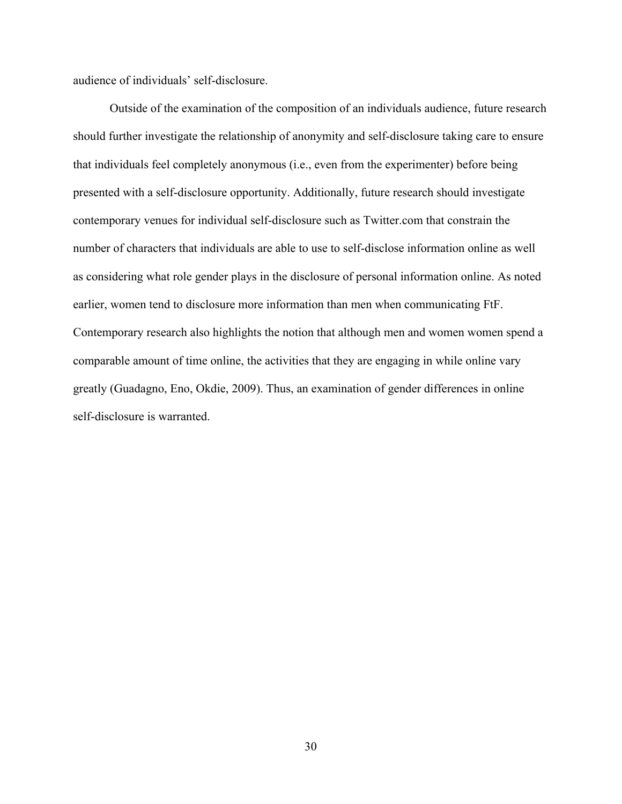audience of individuals' self-disclosure.

Outside of the examination of the composition of an individuals audience, future research should further investigate the relationship of anonymity and self-disclosure taking care to ensure that individuals feel completely anonymous (i.e., even from the experimenter) before being presented with a self-disclosure opportunity. Additionally, future research should investigate contemporary venues for individual self-disclosure such as Twitter.com that constrain the number of characters that individuals are able to use to self-disclose information online as well as considering what role gender plays in the disclosure of personal information online. As noted earlier, women tend to disclosure more information than men when communicating FtF. Contemporary research also highlights the notion that although men and women women spend a comparable amount of time online, the activities that they are engaging in while online vary greatly (Guadagno, Eno, Okdie, 2009). Thus, an examination of gender differences in online self-disclosure is warranted.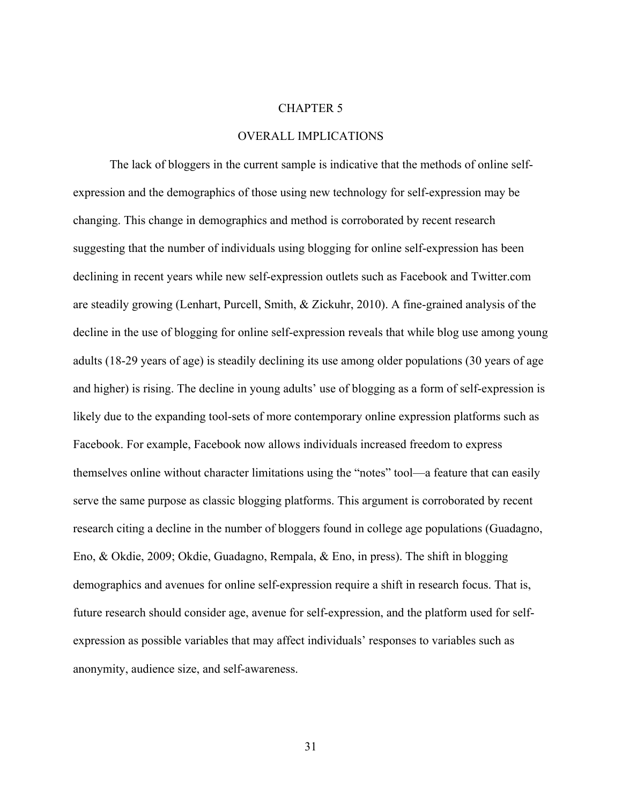#### CHAPTER 5

### OVERALL IMPLICATIONS

The lack of bloggers in the current sample is indicative that the methods of online selfexpression and the demographics of those using new technology for self-expression may be changing. This change in demographics and method is corroborated by recent research suggesting that the number of individuals using blogging for online self-expression has been declining in recent years while new self-expression outlets such as Facebook and Twitter.com are steadily growing (Lenhart, Purcell, Smith, & Zickuhr, 2010). A fine-grained analysis of the decline in the use of blogging for online self-expression reveals that while blog use among young adults (18-29 years of age) is steadily declining its use among older populations (30 years of age and higher) is rising. The decline in young adults' use of blogging as a form of self-expression is likely due to the expanding tool-sets of more contemporary online expression platforms such as Facebook. For example, Facebook now allows individuals increased freedom to express themselves online without character limitations using the "notes" tool—a feature that can easily serve the same purpose as classic blogging platforms. This argument is corroborated by recent research citing a decline in the number of bloggers found in college age populations (Guadagno, Eno, & Okdie, 2009; Okdie, Guadagno, Rempala, & Eno, in press). The shift in blogging demographics and avenues for online self-expression require a shift in research focus. That is, future research should consider age, avenue for self-expression, and the platform used for selfexpression as possible variables that may affect individuals' responses to variables such as anonymity, audience size, and self-awareness.

31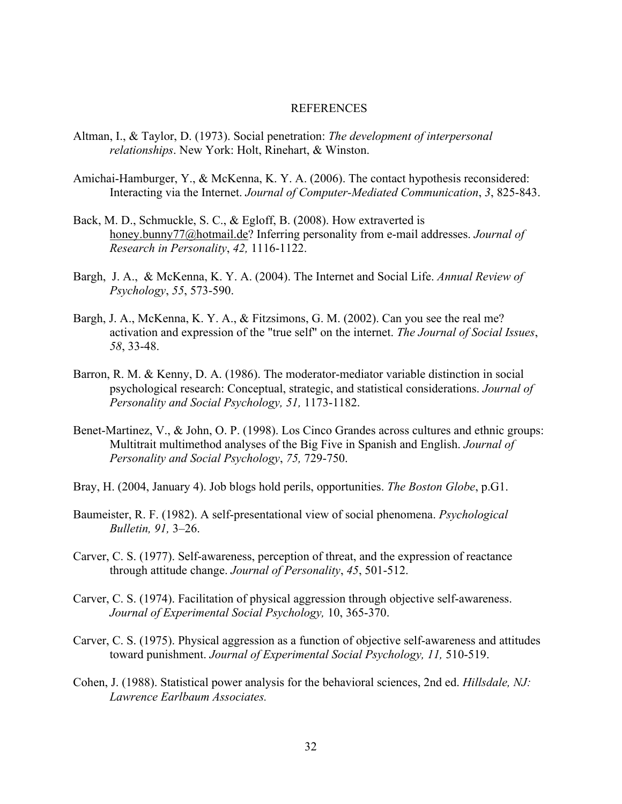### REFERENCES

- Altman, I., & Taylor, D. (1973). Social penetration: *The development of interpersonal relationships*. New York: Holt, Rinehart, & Winston.
- Amichai-Hamburger, Y., & McKenna, K. Y. A. (2006). The contact hypothesis reconsidered: Interacting via the Internet. *Journal of Computer-Mediated Communication*, *3*, 825-843.
- Back, M. D., Schmuckle, S. C., & Egloff, B. (2008). How extraverted is honey.bunny77@hotmail.de? Inferring personality from e-mail addresses. *Journal of Research in Personality*, *42,* 1116-1122.
- Bargh, J. A., & McKenna, K. Y. A. (2004). The Internet and Social Life. *Annual Review of Psychology*, *55*, 573-590.
- Bargh, J. A., McKenna, K. Y. A., & Fitzsimons, G. M. (2002). Can you see the real me? activation and expression of the "true self" on the internet. *The Journal of Social Issues*, *58*, 33-48.
- Barron, R. M. & Kenny, D. A. (1986). The moderator-mediator variable distinction in social psychological research: Conceptual, strategic, and statistical considerations. *Journal of Personality and Social Psychology, 51,* 1173-1182.
- Benet-Martinez, V., & John, O. P. (1998). Los Cinco Grandes across cultures and ethnic groups: Multitrait multimethod analyses of the Big Five in Spanish and English. *Journal of Personality and Social Psychology*, *75,* 729-750.
- Bray, H. (2004, January 4). Job blogs hold perils, opportunities. *The Boston Globe*, p.G1.
- Baumeister, R. F. (1982). A self-presentational view of social phenomena. *Psychological Bulletin, 91,* 3–26.
- Carver, C. S. (1977). Self-awareness, perception of threat, and the expression of reactance through attitude change. *Journal of Personality*, *45*, 501-512.
- Carver, C. S. (1974). Facilitation of physical aggression through objective self-awareness. *Journal of Experimental Social Psychology,* 10, 365-370.
- Carver, C. S. (1975). Physical aggression as a function of objective self-awareness and attitudes toward punishment. *Journal of Experimental Social Psychology, 11,* 510-519.
- Cohen, J. (1988). Statistical power analysis for the behavioral sciences, 2nd ed. *Hillsdale, NJ: Lawrence Earlbaum Associates.*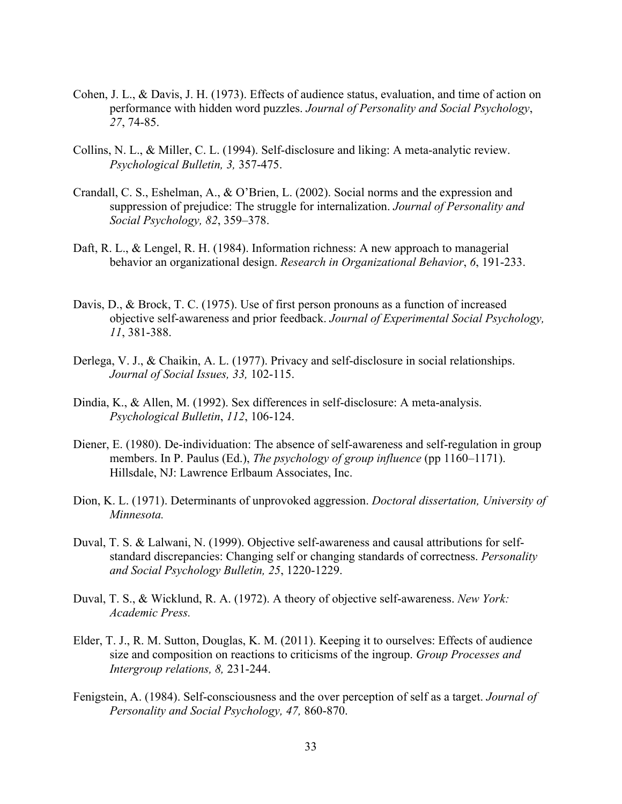- Cohen, J. L., & Davis, J. H. (1973). Effects of audience status, evaluation, and time of action on performance with hidden word puzzles. *Journal of Personality and Social Psychology*, *27*, 74-85.
- Collins, N. L., & Miller, C. L. (1994). Self-disclosure and liking: A meta-analytic review. *Psychological Bulletin, 3,* 357-475.
- Crandall, C. S., Eshelman, A., & O'Brien, L. (2002). Social norms and the expression and suppression of prejudice: The struggle for internalization. *Journal of Personality and Social Psychology, 82*, 359–378.
- Daft, R. L., & Lengel, R. H. (1984). Information richness: A new approach to managerial behavior an organizational design. *Research in Organizational Behavior*, *6*, 191-233.
- Davis, D., & Brock, T. C. (1975). Use of first person pronouns as a function of increased objective self-awareness and prior feedback. *Journal of Experimental Social Psychology, 11*, 381-388.
- Derlega, V. J., & Chaikin, A. L. (1977). Privacy and self-disclosure in social relationships. *Journal of Social Issues, 33,* 102-115.
- Dindia, K., & Allen, M. (1992). Sex differences in self-disclosure: A meta-analysis. *Psychological Bulletin*, *112*, 106-124.
- Diener, E. (1980). De-individuation: The absence of self-awareness and self-regulation in group members. In P. Paulus (Ed.), *The psychology of group influence* (pp 1160–1171). Hillsdale, NJ: Lawrence Erlbaum Associates, Inc.
- Dion, K. L. (1971). Determinants of unprovoked aggression. *Doctoral dissertation, University of Minnesota.*
- Duval, T. S. & Lalwani, N. (1999). Objective self-awareness and causal attributions for selfstandard discrepancies: Changing self or changing standards of correctness. *Personality and Social Psychology Bulletin, 25*, 1220-1229.
- Duval, T. S., & Wicklund, R. A. (1972). A theory of objective self-awareness. *New York: Academic Press.*
- Elder, T. J., R. M. Sutton, Douglas, K. M. (2011). Keeping it to ourselves: Effects of audience size and composition on reactions to criticisms of the ingroup. *Group Processes and Intergroup relations, 8,* 231-244.
- Fenigstein, A. (1984). Self-consciousness and the over perception of self as a target. *Journal of Personality and Social Psychology, 47,* 860-870.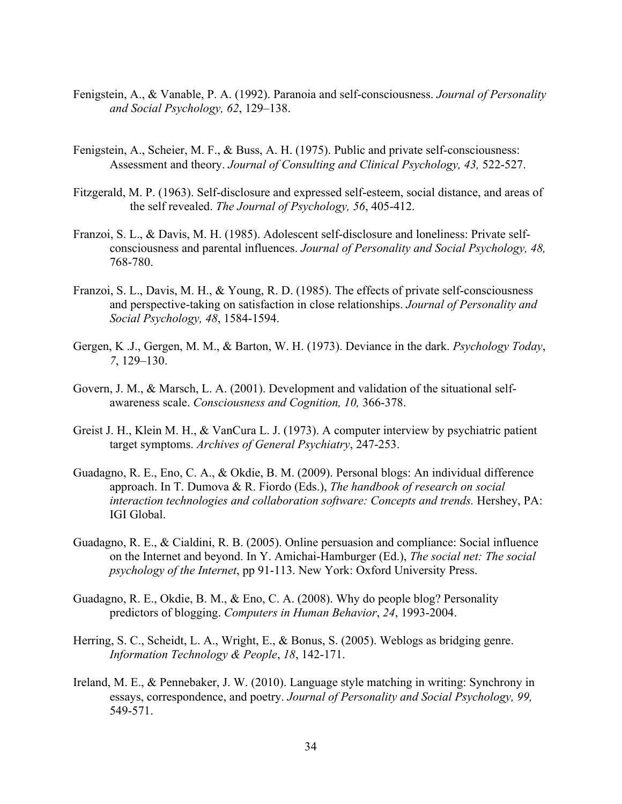- Fenigstein, A., & Vanable, P. A. (1992). Paranoia and self-consciousness. *Journal of Personality and Social Psychology, 62*, 129–138.
- Fenigstein, A., Scheier, M. F., & Buss, A. H. (1975). Public and private self-consciousness: Assessment and theory. *Journal of Consulting and Clinical Psychology, 43,* 522-527.
- Fitzgerald, M. P. (1963). Self-disclosure and expressed self-esteem, social distance, and areas of the self revealed. *The Journal of Psychology, 56*, 405-412.
- Franzoi, S. L., & Davis, M. H. (1985). Adolescent self-disclosure and loneliness: Private selfconsciousness and parental influences. *Journal of Personality and Social Psychology, 48,* 768-780.
- Franzoi, S. L., Davis, M. H., & Young, R. D. (1985). The effects of private self-consciousness and perspective-taking on satisfaction in close relationships. *Journal of Personality and Social Psychology, 48*, 1584-1594.
- Gergen, K .J., Gergen, M. M., & Barton, W. H. (1973). Deviance in the dark. *Psychology Today*, *7*, 129–130.
- Govern, J. M., & Marsch, L. A. (2001). Development and validation of the situational selfawareness scale. *Consciousness and Cognition, 10,* 366-378.
- Greist J. H., Klein M. H., & VanCura L. J. (1973). A computer interview by psychiatric patient target symptoms. *Archives of General Psychiatry*, 247-253.
- Guadagno, R. E., Eno, C. A., & Okdie, B. M. (2009). Personal blogs: An individual difference approach. In T. Dumova & R. Fiordo (Eds.), *The handbook of research on social interaction technologies and collaboration software: Concepts and trends.* Hershey, PA: IGI Global.
- Guadagno, R. E., & Cialdini, R. B. (2005). Online persuasion and compliance: Social influence on the Internet and beyond. In Y. Amichai-Hamburger (Ed.), *The social net: The social psychology of the Internet*, pp 91-113. New York: Oxford University Press.
- Guadagno, R. E., Okdie, B. M., & Eno, C. A. (2008). Why do people blog? Personality predictors of blogging. *Computers in Human Behavior*, *24*, 1993-2004.
- Herring, S. C., Scheidt, L. A., Wright, E., & Bonus, S. (2005). Weblogs as bridging genre. *Information Technology & People*, *18*, 142-171.
- Ireland, M. E., & Pennebaker, J. W. (2010). Language style matching in writing: Synchrony in essays, correspondence, and poetry. *Journal of Personality and Social Psychology, 99,*  549-571.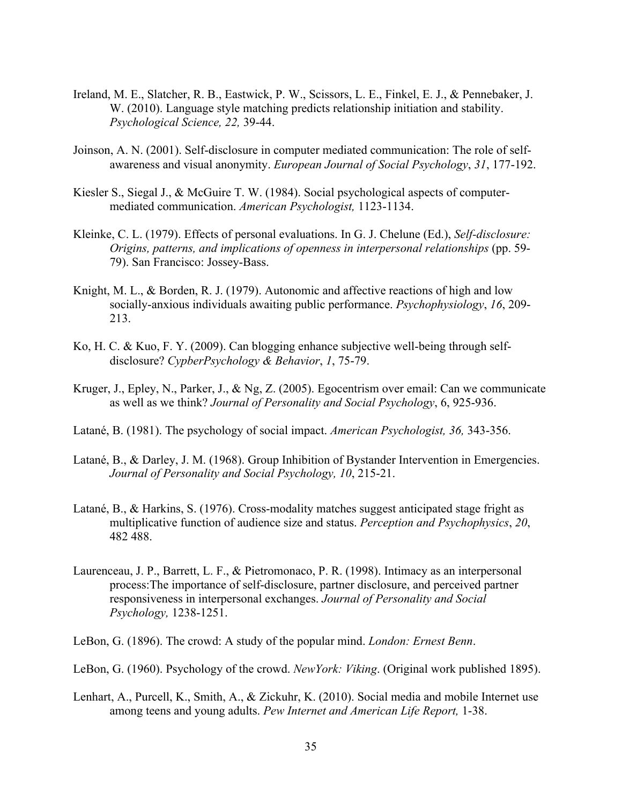- Ireland, M. E., Slatcher, R. B., Eastwick, P. W., Scissors, L. E., Finkel, E. J., & Pennebaker, J. W. (2010). Language style matching predicts relationship initiation and stability. *Psychological Science, 22,* 39-44.
- Joinson, A. N. (2001). Self-disclosure in computer mediated communication: The role of selfawareness and visual anonymity. *European Journal of Social Psychology*, *31*, 177-192.
- Kiesler S., Siegal J., & McGuire T. W. (1984). Social psychological aspects of computermediated communication. *American Psychologist,* 1123-1134.
- Kleinke, C. L. (1979). Effects of personal evaluations. In G. J. Chelune (Ed.), *Self-disclosure: Origins, patterns, and implications of openness in interpersonal relationships* (pp. 59- 79). San Francisco: Jossey-Bass.
- Knight, M. L., & Borden, R. J. (1979). Autonomic and affective reactions of high and low socially-anxious individuals awaiting public performance. *Psychophysiology*, *16*, 209- 213.
- Ko, H. C. & Kuo, F. Y. (2009). Can blogging enhance subjective well-being through selfdisclosure? *CypberPsychology & Behavior*, *1*, 75-79.
- Kruger, J., Epley, N., Parker, J., & Ng, Z. (2005). Egocentrism over email: Can we communicate as well as we think? *Journal of Personality and Social Psychology*, 6, 925-936.
- Latané, B. (1981). The psychology of social impact. *American Psychologist, 36,* 343-356.
- Latané, B., & Darley, J. M. (1968). Group Inhibition of Bystander Intervention in Emergencies. *Journal of Personality and Social Psychology, 10*, 215-21.
- Latané, B., & Harkins, S. (1976). Cross-modality matches suggest anticipated stage fright as multiplicative function of audience size and status. *Perception and Psychophysics*, *20*, 482 488.
- Laurenceau, J. P., Barrett, L. F., & Pietromonaco, P. R. (1998). Intimacy as an interpersonal process:The importance of self-disclosure, partner disclosure, and perceived partner responsiveness in interpersonal exchanges. *Journal of Personality and Social Psychology,* 1238-1251.
- LeBon, G. (1896). The crowd: A study of the popular mind. *London: Ernest Benn*.
- LeBon, G. (1960). Psychology of the crowd. *NewYork: Viking*. (Original work published 1895).
- Lenhart, A., Purcell, K., Smith, A., & Zickuhr, K. (2010). Social media and mobile Internet use among teens and young adults. *Pew Internet and American Life Report,* 1-38.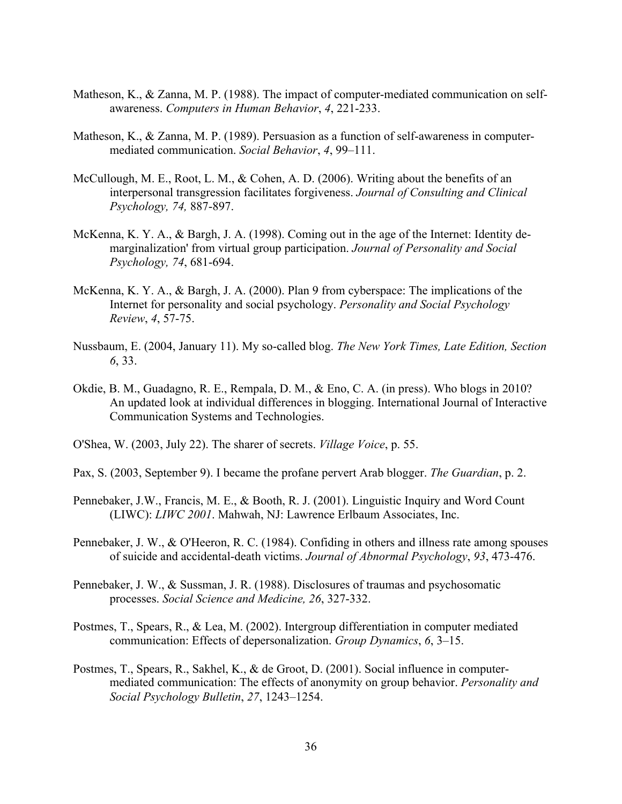- Matheson, K., & Zanna, M. P. (1988). The impact of computer-mediated communication on selfawareness. *Computers in Human Behavior*, *4*, 221-233.
- Matheson, K., & Zanna, M. P. (1989). Persuasion as a function of self-awareness in computermediated communication. *Social Behavior*, *4*, 99–111.
- McCullough, M. E., Root, L. M., & Cohen, A. D. (2006). Writing about the benefits of an interpersonal transgression facilitates forgiveness. *Journal of Consulting and Clinical Psychology, 74,* 887-897.
- McKenna, K. Y. A., & Bargh, J. A. (1998). Coming out in the age of the Internet: Identity demarginalization' from virtual group participation. *Journal of Personality and Social Psychology, 74*, 681-694.
- McKenna, K. Y. A., & Bargh, J. A. (2000). Plan 9 from cyberspace: The implications of the Internet for personality and social psychology. *Personality and Social Psychology Review*, *4*, 57-75.
- Nussbaum, E. (2004, January 11). My so-called blog. *The New York Times, Late Edition, Section 6*, 33.
- Okdie, B. M., Guadagno, R. E., Rempala, D. M., & Eno, C. A. (in press). Who blogs in 2010? An updated look at individual differences in blogging. International Journal of Interactive Communication Systems and Technologies.
- O'Shea, W. (2003, July 22). The sharer of secrets. *Village Voice*, p. 55.
- Pax, S. (2003, September 9). I became the profane pervert Arab blogger. *The Guardian*, p. 2.
- Pennebaker, J.W., Francis, M. E., & Booth, R. J. (2001). Linguistic Inquiry and Word Count (LIWC): *LIWC 2001*. Mahwah, NJ: Lawrence Erlbaum Associates, Inc.
- Pennebaker, J. W., & O'Heeron, R. C. (1984). Confiding in others and illness rate among spouses of suicide and accidental-death victims. *Journal of Abnormal Psychology*, *93*, 473-476.
- Pennebaker, J. W., & Sussman, J. R. (1988). Disclosures of traumas and psychosomatic processes. *Social Science and Medicine, 26*, 327-332.
- Postmes, T., Spears, R., & Lea, M. (2002). Intergroup differentiation in computer mediated communication: Effects of depersonalization. *Group Dynamics*, *6*, 3–15.
- Postmes, T., Spears, R., Sakhel, K., & de Groot, D. (2001). Social influence in computermediated communication: The effects of anonymity on group behavior. *Personality and Social Psychology Bulletin*, *27*, 1243–1254.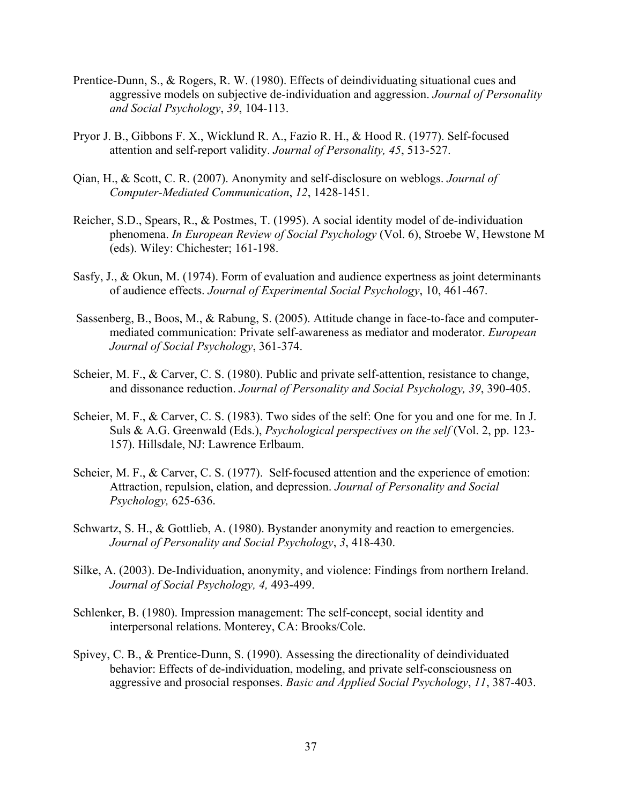- Prentice-Dunn, S., & Rogers, R. W. (1980). Effects of deindividuating situational cues and aggressive models on subjective de-individuation and aggression. *Journal of Personality and Social Psychology*, *39*, 104-113.
- Pryor J. B., Gibbons F. X., Wicklund R. A., Fazio R. H., & Hood R. (1977). Self-focused attention and self-report validity. *Journal of Personality, 45*, 513-527.
- Qian, H., & Scott, C. R. (2007). Anonymity and self-disclosure on weblogs. *Journal of Computer-Mediated Communication*, *12*, 1428-1451.
- Reicher, S.D., Spears, R., & Postmes, T. (1995). A social identity model of de-individuation phenomena. *In European Review of Social Psychology* (Vol. 6), Stroebe W, Hewstone M (eds). Wiley: Chichester; 161-198.
- Sasfy, J., & Okun, M. (1974). Form of evaluation and audience expertness as joint determinants of audience effects. *Journal of Experimental Social Psychology*, 10, 461-467.
- Sassenberg, B., Boos, M., & Rabung, S. (2005). Attitude change in face-to-face and computermediated communication: Private self-awareness as mediator and moderator. *European Journal of Social Psychology*, 361-374.
- Scheier, M. F., & Carver, C. S. (1980). Public and private self-attention, resistance to change, and dissonance reduction. *Journal of Personality and Social Psychology, 39*, 390-405.
- Scheier, M. F., & Carver, C. S. (1983). Two sides of the self: One for you and one for me. In J. Suls & A.G. Greenwald (Eds.), *Psychological perspectives on the self* (Vol. 2, pp. 123- 157). Hillsdale, NJ: Lawrence Erlbaum.
- Scheier, M. F., & Carver, C. S. (1977). Self-focused attention and the experience of emotion: Attraction, repulsion, elation, and depression. *Journal of Personality and Social Psychology,* 625-636.
- Schwartz, S. H., & Gottlieb, A. (1980). Bystander anonymity and reaction to emergencies. *Journal of Personality and Social Psychology*, *3*, 418-430.
- Silke, A. (2003). De-Individuation, anonymity, and violence: Findings from northern Ireland. *Journal of Social Psychology, 4,* 493-499.
- Schlenker, B. (1980). Impression management: The self-concept, social identity and interpersonal relations. Monterey, CA: Brooks/Cole.
- Spivey, C. B., & Prentice-Dunn, S. (1990). Assessing the directionality of deindividuated behavior: Effects of de-individuation, modeling, and private self-consciousness on aggressive and prosocial responses. *Basic and Applied Social Psychology*, *11*, 387-403.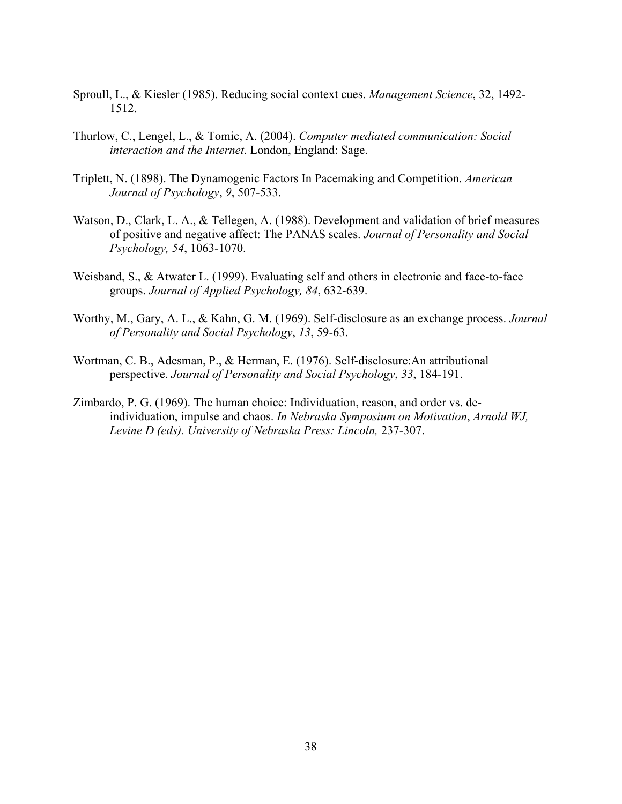- Sproull, L., & Kiesler (1985). Reducing social context cues. *Management Science*, 32, 1492- 1512.
- Thurlow, C., Lengel, L., & Tomic, A. (2004). *Computer mediated communication: Social interaction and the Internet*. London, England: Sage.
- Triplett, N. (1898). The Dynamogenic Factors In Pacemaking and Competition. *American Journal of Psychology*, *9*, 507-533.
- Watson, D., Clark, L. A., & Tellegen, A. (1988). Development and validation of brief measures of positive and negative affect: The PANAS scales. *Journal of Personality and Social Psychology, 54*, 1063-1070.
- Weisband, S., & Atwater L. (1999). Evaluating self and others in electronic and face-to-face groups. *Journal of Applied Psychology, 84*, 632-639.
- Worthy, M., Gary, A. L., & Kahn, G. M. (1969). Self-disclosure as an exchange process. *Journal of Personality and Social Psychology*, *13*, 59-63.
- Wortman, C. B., Adesman, P., & Herman, E. (1976). Self-disclosure:An attributional perspective. *Journal of Personality and Social Psychology*, *33*, 184-191.
- Zimbardo, P. G. (1969). The human choice: Individuation, reason, and order vs. deindividuation, impulse and chaos. *In Nebraska Symposium on Motivation*, *Arnold WJ, Levine D (eds). University of Nebraska Press: Lincoln,* 237-307.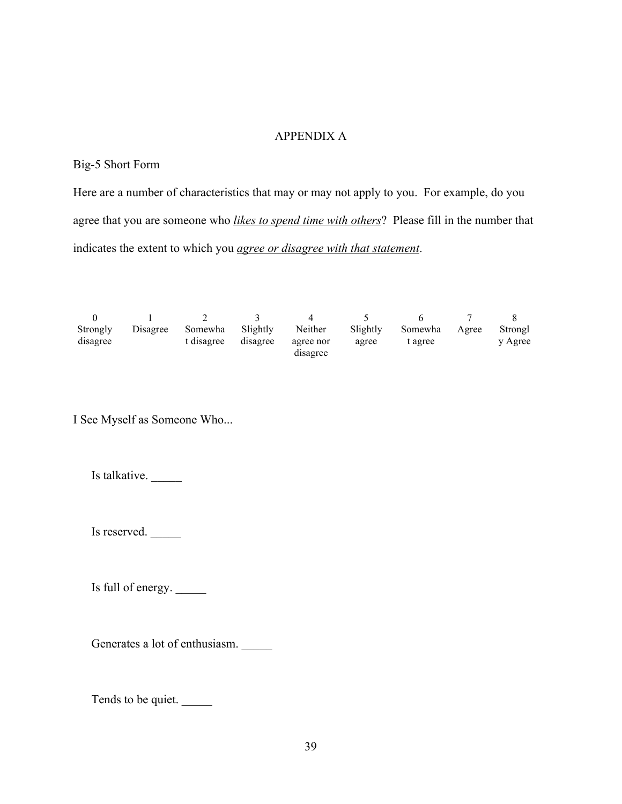## APPENDIX A

## Big-5 Short Form

Here are a number of characteristics that may or may not apply to you. For example, do you agree that you are someone who *likes to spend time with others*? Please fill in the number that indicates the extent to which you *agree or disagree with that statement*.

| Strongly<br>disagree | Disagree | Somewha<br>t disagree | Slightly<br>disagree | Neither<br>agree nor<br>disagree | Slightly<br>agree | Somewha<br>t agree | Agree | Strongl<br>y Agree |
|----------------------|----------|-----------------------|----------------------|----------------------------------|-------------------|--------------------|-------|--------------------|

I See Myself as Someone Who...

Is talkative.

Is reserved.

Is full of energy.

Generates a lot of enthusiasm.

Tends to be quiet.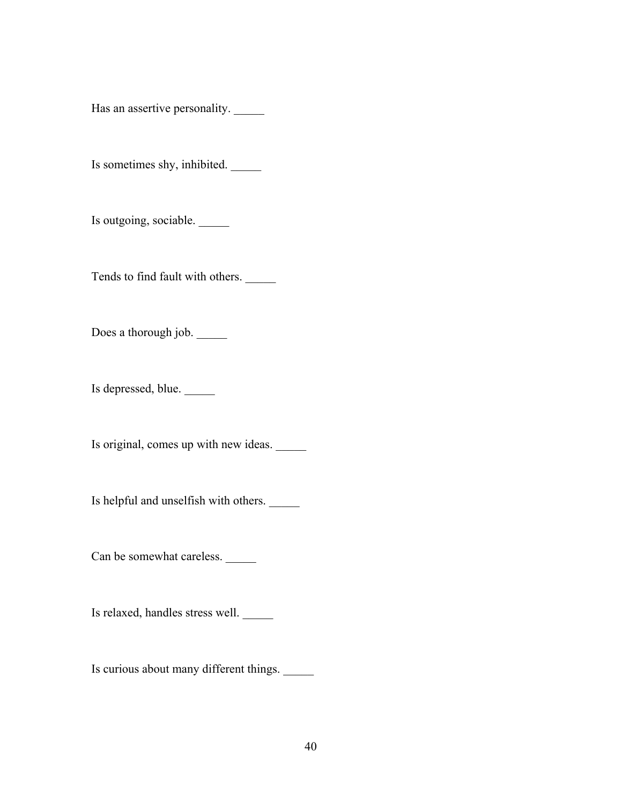Has an assertive personality.

Is sometimes shy, inhibited. \_\_\_\_\_

Is outgoing, sociable.

Tends to find fault with others.

Does a thorough job.

Is depressed, blue.

Is original, comes up with new ideas.

Is helpful and unselfish with others. \_\_\_\_\_\_

Can be somewhat careless. \_\_\_\_\_\_\_

Is relaxed, handles stress well. \_\_\_\_\_

Is curious about many different things. \_\_\_\_\_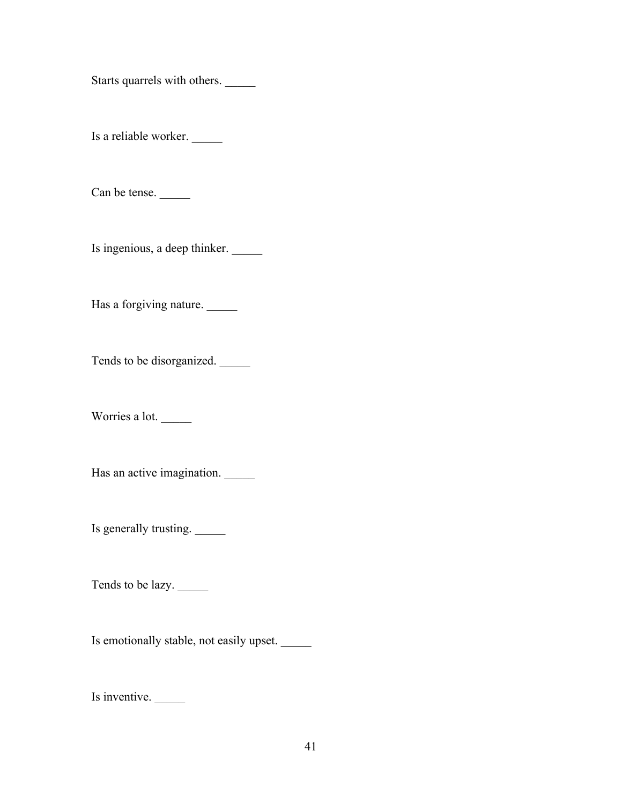Starts quarrels with others.

Is a reliable worker. \_\_\_\_\_

Can be tense.

Is ingenious, a deep thinker. \_\_\_\_\_

Has a forgiving nature.

Tends to be disorganized.

Worries a lot.

Has an active imagination. \_\_\_\_\_\_

Is generally trusting.

Tends to be lazy.

Is emotionally stable, not easily upset. \_\_\_\_\_

Is inventive.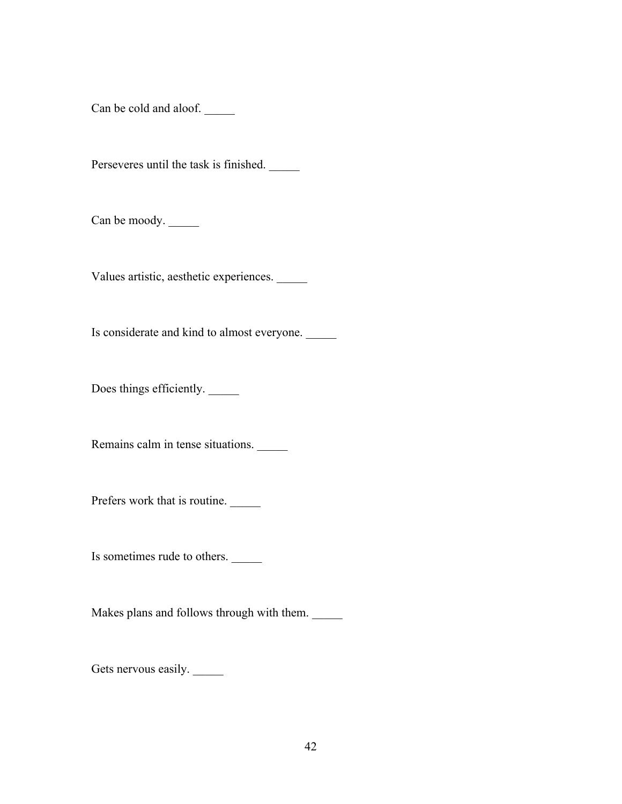Can be cold and aloof. \_\_\_\_\_\_

Perseveres until the task is finished.

Can be moody.

Values artistic, aesthetic experiences. \_\_\_\_\_

Is considerate and kind to almost everyone.

Does things efficiently.

Remains calm in tense situations.

Prefers work that is routine.

Is sometimes rude to others.

Makes plans and follows through with them.

Gets nervous easily.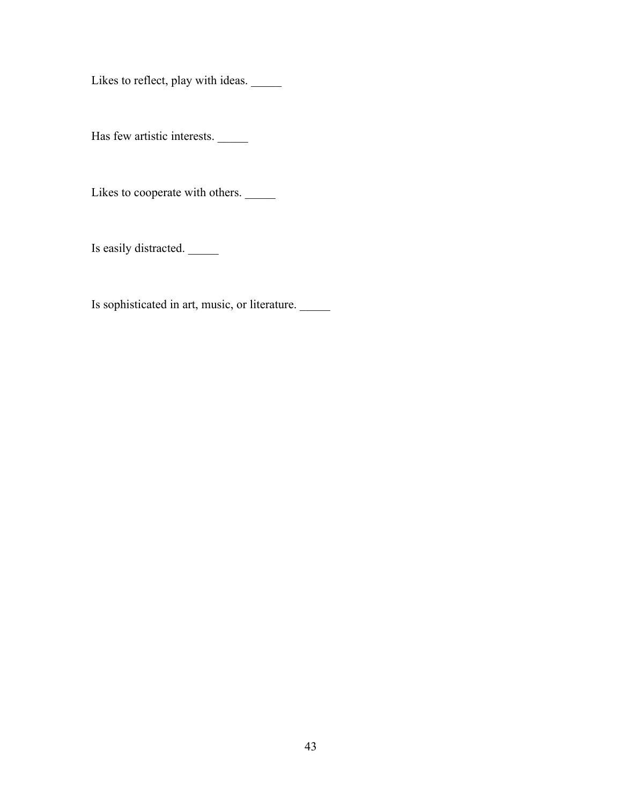Likes to reflect, play with ideas.

Has few artistic interests.

Likes to cooperate with others.

Is easily distracted. \_\_\_\_\_

Is sophisticated in art, music, or literature. \_\_\_\_\_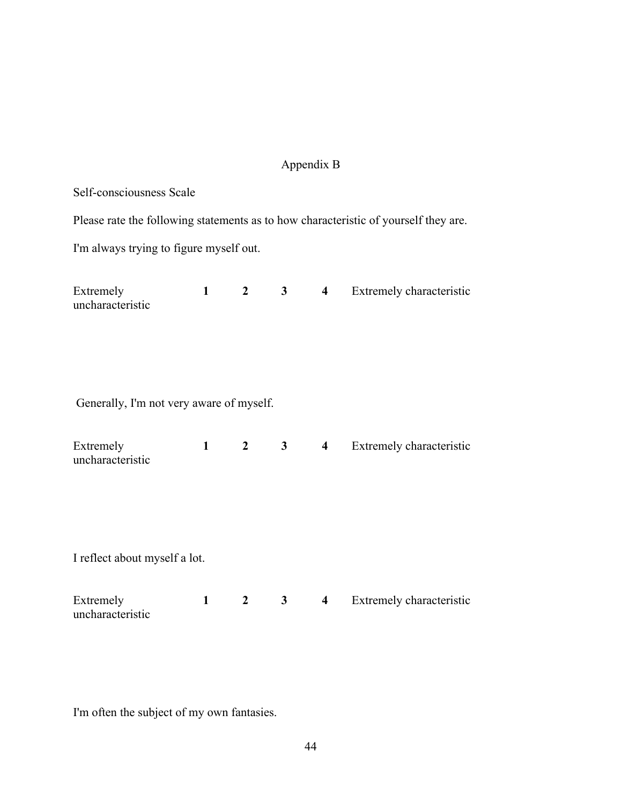# Appendix B

Self-consciousness Scale

Please rate the following statements as to how characteristic of yourself they are.

I'm always trying to figure myself out.

| Extremely<br>uncharacteristic            | $1 \quad \blacksquare$ | $\overline{2}$ | $3^{\circ}$    | $\overline{\mathbf{4}}$ | Extremely characteristic |  |  |  |  |  |  |
|------------------------------------------|------------------------|----------------|----------------|-------------------------|--------------------------|--|--|--|--|--|--|
| Generally, I'm not very aware of myself. |                        |                |                |                         |                          |  |  |  |  |  |  |
| Extremely<br>uncharacteristic            | $1 \quad \blacksquare$ | $\overline{2}$ | 3 <sup>1</sup> | $\overline{\mathbf{4}}$ | Extremely characteristic |  |  |  |  |  |  |
| I reflect about myself a lot.            |                        |                |                |                         |                          |  |  |  |  |  |  |
| Extremely<br>uncharacteristic            | $\mathbf{1}$           | $\overline{2}$ | 3 <sup>7</sup> | $\overline{\mathbf{4}}$ | Extremely characteristic |  |  |  |  |  |  |

I'm often the subject of my own fantasies.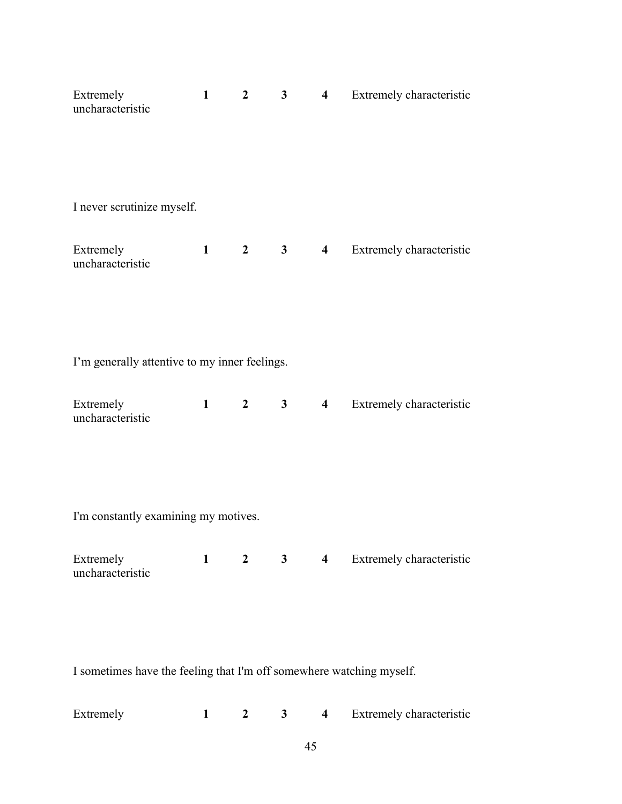| Extremely<br>uncharacteristic                                        | $\mathbf{1}$ | $\overline{2}$ | 3 <sup>7</sup> | $\overline{4}$          | Extremely characteristic |  |  |  |  |  |  |
|----------------------------------------------------------------------|--------------|----------------|----------------|-------------------------|--------------------------|--|--|--|--|--|--|
| I never scrutinize myself.                                           |              |                |                |                         |                          |  |  |  |  |  |  |
| Extremely<br>uncharacteristic                                        | $\mathbf{1}$ | $\overline{2}$ | $3^{\circ}$    | $\overline{\mathbf{4}}$ | Extremely characteristic |  |  |  |  |  |  |
| I'm generally attentive to my inner feelings.                        |              |                |                |                         |                          |  |  |  |  |  |  |
| Extremely<br>uncharacteristic                                        | $\mathbf{1}$ | $\overline{2}$ | 3 <sup>1</sup> | $\overline{\mathbf{4}}$ | Extremely characteristic |  |  |  |  |  |  |
| I'm constantly examining my motives.                                 |              |                |                |                         |                          |  |  |  |  |  |  |
| Extremely<br>uncharacteristic                                        | 1            |                | $2 \qquad 3$   | $\overline{4}$          | Extremely characteristic |  |  |  |  |  |  |
| I sometimes have the feeling that I'm off somewhere watching myself. |              |                |                |                         |                          |  |  |  |  |  |  |
| Extremely                                                            | $\mathbf{1}$ | $\overline{2}$ | $\mathbf{3}$   | $\overline{\mathbf{4}}$ | Extremely characteristic |  |  |  |  |  |  |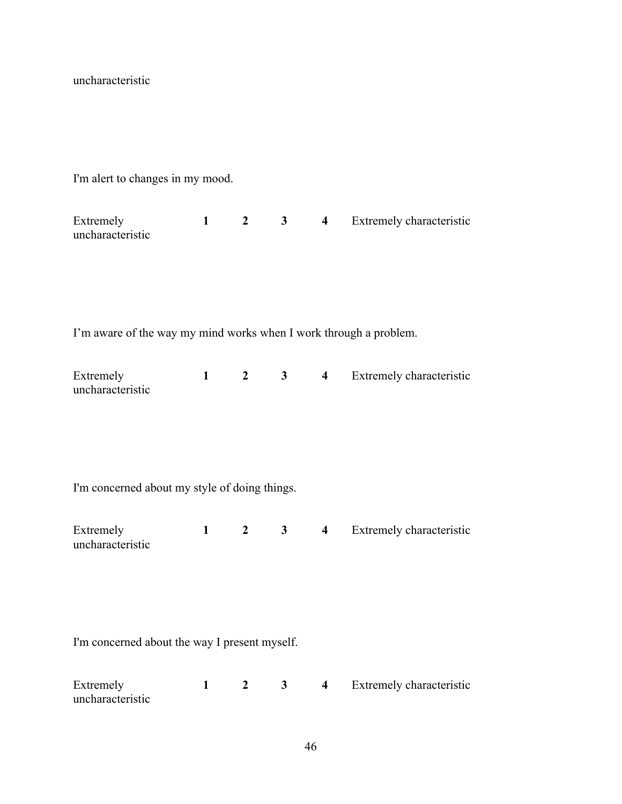uncharacteristic

I'm alert to changes in my mood.

| Extremely<br>uncharacteristic                                     | $1 \quad 2$                                   |                  | 3 <sup>7</sup> | $\overline{4}$          | Extremely characteristic |  |  |  |  |  |  |
|-------------------------------------------------------------------|-----------------------------------------------|------------------|----------------|-------------------------|--------------------------|--|--|--|--|--|--|
| I'm aware of the way my mind works when I work through a problem. |                                               |                  |                |                         |                          |  |  |  |  |  |  |
| Extremely<br>uncharacteristic                                     | $\mathbf{1}$                                  | $2^{\circ}$      | 3 <sup>1</sup> | $\overline{\mathbf{4}}$ | Extremely characteristic |  |  |  |  |  |  |
|                                                                   | I'm concerned about my style of doing things. |                  |                |                         |                          |  |  |  |  |  |  |
| Extremely<br>uncharacteristic                                     | $\mathbf{1}$                                  | $\overline{2}$   | 3 <sup>1</sup> | $\overline{4}$          | Extremely characteristic |  |  |  |  |  |  |
|                                                                   |                                               |                  |                |                         |                          |  |  |  |  |  |  |
| I'm concerned about the way I present myself.                     |                                               |                  |                |                         |                          |  |  |  |  |  |  |
| Extremely<br>uncharacteristic                                     | $\mathbf{1}$                                  | $\boldsymbol{2}$ | $\mathbf{3}$   | $\overline{\mathbf{4}}$ | Extremely characteristic |  |  |  |  |  |  |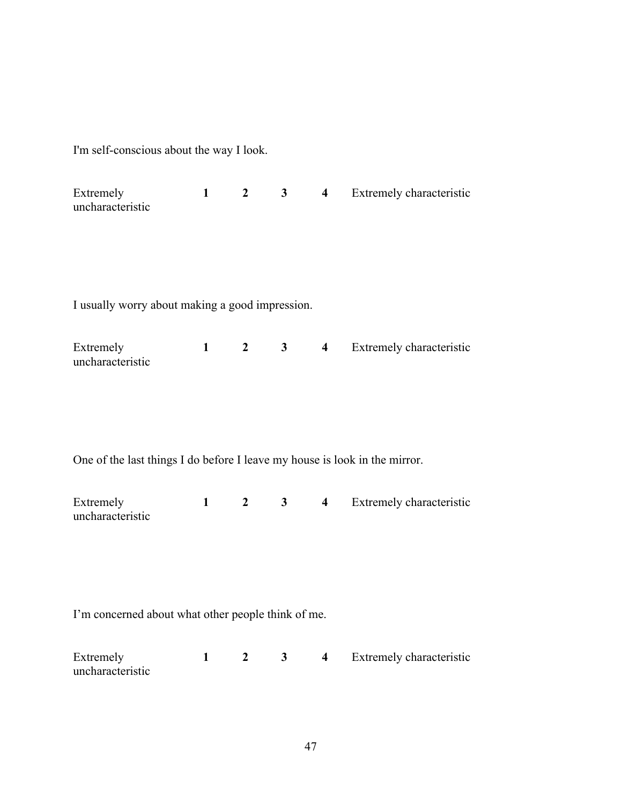I'm self-conscious about the way I look.

| Extremely<br>uncharacteristic                                              | $1 \quad \blacksquare$ | $\overline{2}$   | $3^{\circ}$    | $\overline{4}$          | Extremely characteristic |  |  |  |  |  |
|----------------------------------------------------------------------------|------------------------|------------------|----------------|-------------------------|--------------------------|--|--|--|--|--|
|                                                                            |                        |                  |                |                         |                          |  |  |  |  |  |
| I usually worry about making a good impression.                            |                        |                  |                |                         |                          |  |  |  |  |  |
| Extremely<br>uncharacteristic                                              | $\mathbf{1}$           | $\overline{2}$   | 3 <sup>1</sup> | $\overline{4}$          | Extremely characteristic |  |  |  |  |  |
|                                                                            |                        |                  |                |                         |                          |  |  |  |  |  |
| One of the last things I do before I leave my house is look in the mirror. |                        |                  |                |                         |                          |  |  |  |  |  |
| Extremely<br>uncharacteristic                                              | $\mathbf{1}$           | $\overline{2}$   | 3 <sup>7</sup> | $\overline{4}$          | Extremely characteristic |  |  |  |  |  |
|                                                                            |                        |                  |                |                         |                          |  |  |  |  |  |
| I'm concerned about what other people think of me.                         |                        |                  |                |                         |                          |  |  |  |  |  |
| Extremely<br>uncharacteristic                                              | $\mathbf{1}$           | $\boldsymbol{2}$ | 3              | $\overline{\mathbf{4}}$ | Extremely characteristic |  |  |  |  |  |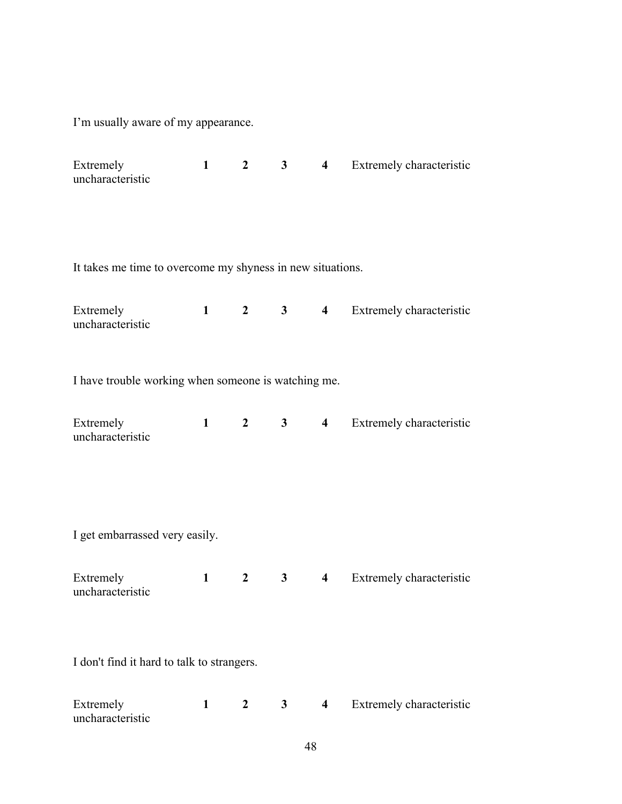I'm usually aware of my appearance.

uncharacteristic

| Extremely<br>uncharacteristic                                                                                                                | $1 \quad \blacksquare$ | $\overline{2}$ | $3^{\circ}$    | $\overline{4}$          | Extremely characteristic |  |  |  |  |  |  |
|----------------------------------------------------------------------------------------------------------------------------------------------|------------------------|----------------|----------------|-------------------------|--------------------------|--|--|--|--|--|--|
| It takes me time to overcome my shyness in new situations.<br>$1 \quad 2 \quad 3$<br>$\overline{4}$<br>Extremely characteristic<br>Extremely |                        |                |                |                         |                          |  |  |  |  |  |  |
| uncharacteristic                                                                                                                             |                        |                |                |                         |                          |  |  |  |  |  |  |
| I have trouble working when someone is watching me.                                                                                          |                        |                |                |                         |                          |  |  |  |  |  |  |
| Extremely<br>uncharacteristic                                                                                                                | $\mathbf{1}$           | $\overline{2}$ | 3 <sup>7</sup> | $\overline{4}$          | Extremely characteristic |  |  |  |  |  |  |
|                                                                                                                                              |                        |                |                |                         |                          |  |  |  |  |  |  |
| I get embarrassed very easily.                                                                                                               |                        |                |                |                         |                          |  |  |  |  |  |  |
| Extremely<br>uncharacteristic                                                                                                                | $\mathbf{1}$           | $\overline{2}$ | 3              | $\overline{\mathbf{4}}$ | Extremely characteristic |  |  |  |  |  |  |
| I don't find it hard to talk to strangers.                                                                                                   |                        |                |                |                         |                          |  |  |  |  |  |  |
| Extremely                                                                                                                                    | $\mathbf{1}$           | $\mathbf{2}$   | 3              | $\overline{\mathbf{4}}$ | Extremely characteristic |  |  |  |  |  |  |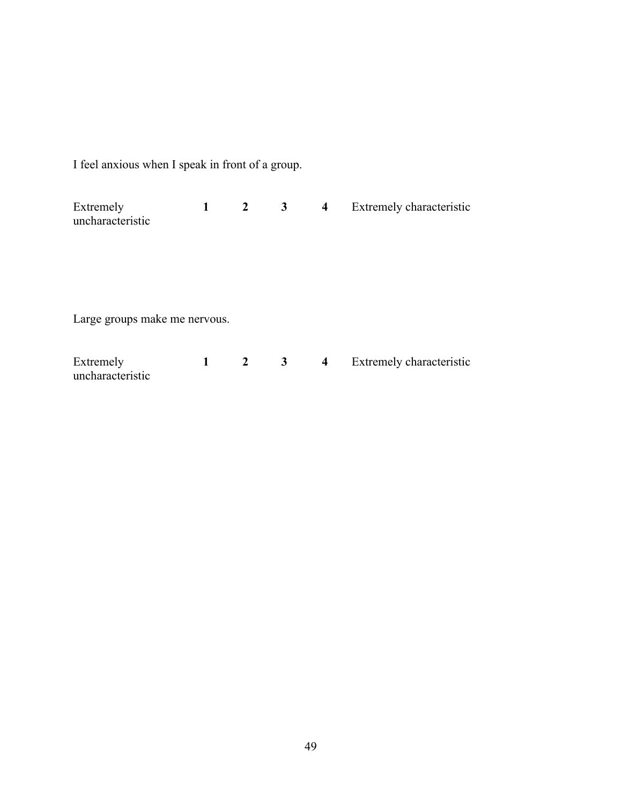I feel anxious when I speak in front of a group.

| Extremely<br>uncharacteristic | $\mathbf{2}$ | $\mathbf{3}$ | $\overline{\mathbf{4}}$ | Extremely characteristic |
|-------------------------------|--------------|--------------|-------------------------|--------------------------|
|                               |              |              |                         |                          |
|                               |              |              |                         |                          |
| Large groups make me nervous. |              |              |                         |                          |
| Extremely<br>uncharacteristic | $\mathbf{2}$ | $\mathbf{3}$ | $\overline{4}$          | Extremely characteristic |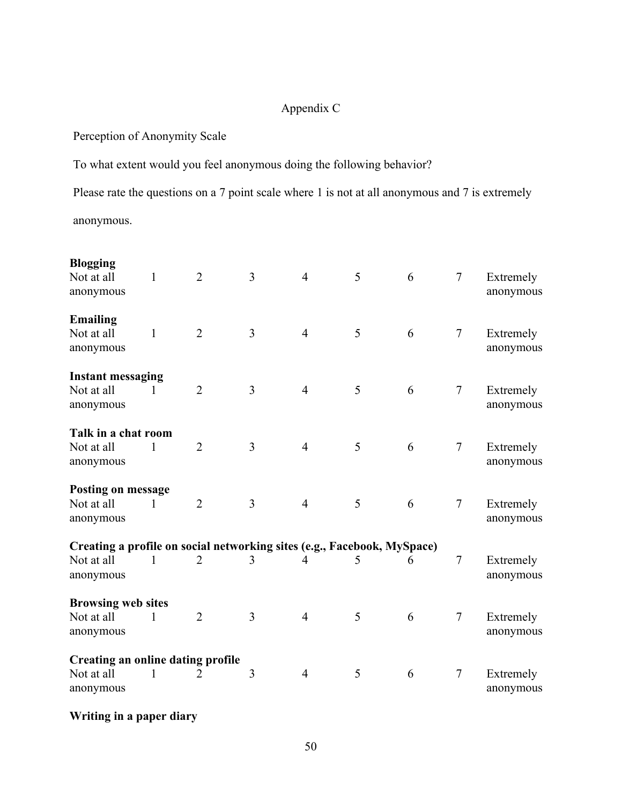# Appendix C

Perception of Anonymity Scale

To what extent would you feel anonymous doing the following behavior?

Please rate the questions on a 7 point scale where 1 is not at all anonymous and 7 is extremely anonymous.

| <b>Blogging</b><br>Not at all<br>anonymous                              | $\mathbf{1}$ | $\overline{2}$ | 3 | $\overline{4}$ | 5 | 6 | 7                        | Extremely<br>anonymous |
|-------------------------------------------------------------------------|--------------|----------------|---|----------------|---|---|--------------------------|------------------------|
| <b>Emailing</b><br>Not at all<br>anonymous                              | 1            | $\overline{2}$ | 3 | $\overline{4}$ | 5 | 6 | $\overline{\mathcal{L}}$ | Extremely<br>anonymous |
| <b>Instant messaging</b><br>Not at all<br>anonymous                     | 1            | $\overline{2}$ | 3 | $\overline{4}$ | 5 | 6 | $\tau$                   | Extremely<br>anonymous |
| Talk in a chat room<br>Not at all<br>anonymous                          | 1            | $\overline{2}$ | 3 | $\overline{4}$ | 5 | 6 | $\overline{\mathcal{L}}$ | Extremely<br>anonymous |
| <b>Posting on message</b><br>Not at all<br>anonymous                    | 1            | $\overline{2}$ | 3 | $\overline{4}$ | 5 | 6 | $\tau$                   | Extremely<br>anonymous |
| Creating a profile on social networking sites (e.g., Facebook, MySpace) |              |                |   |                |   |   |                          |                        |
| Not at all<br>anonymous                                                 | 1            | $\overline{2}$ | 3 | 4              | 5 | 6 | $\overline{7}$           | Extremely<br>anonymous |
| <b>Browsing web sites</b><br>Not at all<br>anonymous                    | 1            | $\overline{2}$ | 3 | $\overline{4}$ | 5 | 6 | $\tau$                   | Extremely<br>anonymous |
| <b>Creating an online dating profile</b><br>Not at all<br>anonymous     | 1            | 2              | 3 | $\overline{4}$ | 5 | 6 | 7                        | Extremely<br>anonymous |
|                                                                         |              |                |   |                |   |   |                          |                        |

**Writing in a paper diary**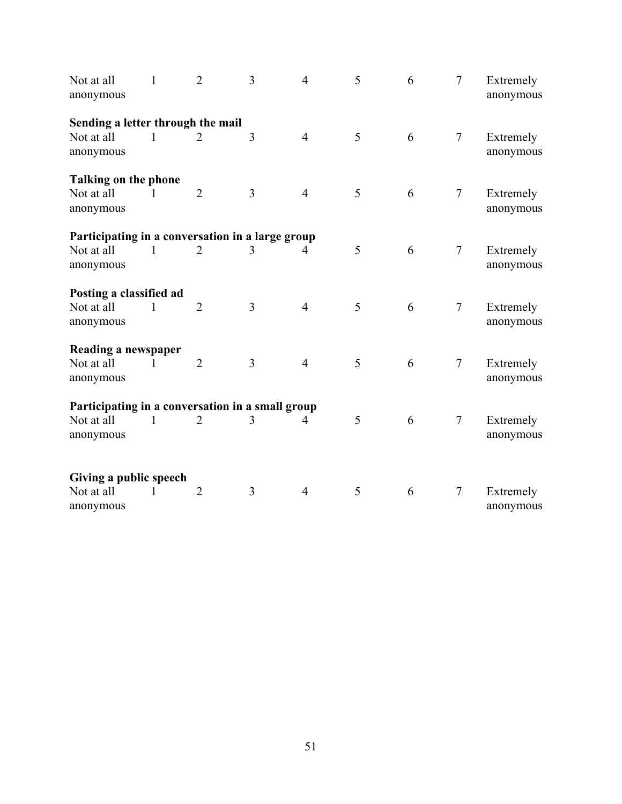| Not at all<br>anonymous                           | 1 | $\overline{2}$        | 3 | $\overline{4}$ | 5 | 6 | 7      | Extremely<br>anonymous |  |  |  |  |  |
|---------------------------------------------------|---|-----------------------|---|----------------|---|---|--------|------------------------|--|--|--|--|--|
| Sending a letter through the mail                 |   |                       |   |                |   |   |        |                        |  |  |  |  |  |
| Not at all<br>anonymous                           |   | $\mathcal{D}_{\cdot}$ | 3 | $\overline{4}$ | 5 | 6 | $\tau$ | Extremely<br>anonymous |  |  |  |  |  |
| <b>Talking on the phone</b>                       |   |                       |   |                |   |   |        |                        |  |  |  |  |  |
| Not at all<br>anonymous                           |   | $\overline{2}$        | 3 | $\overline{4}$ | 5 | 6 | 7      | Extremely<br>anonymous |  |  |  |  |  |
| Participating in a conversation in a large group  |   |                       |   |                |   |   |        |                        |  |  |  |  |  |
| Not at all<br>anonymous                           | 1 | $\overline{2}$        | 3 | 4              | 5 | 6 | $\tau$ | Extremely<br>anonymous |  |  |  |  |  |
| Posting a classified ad                           |   |                       |   |                |   |   |        |                        |  |  |  |  |  |
| Not at all<br>anonymous                           | 1 | $\overline{2}$        | 3 | $\overline{4}$ | 5 | 6 | 7      | Extremely<br>anonymous |  |  |  |  |  |
| Reading a newspaper                               |   |                       |   |                |   |   |        |                        |  |  |  |  |  |
| Not at all<br>anonymous                           |   | $\overline{2}$        | 3 | $\overline{4}$ | 5 | 6 | 7      | Extremely<br>anonymous |  |  |  |  |  |
| Participating in a conversation in a small group  |   |                       |   |                |   |   |        |                        |  |  |  |  |  |
| Not at all<br>anonymous                           | 1 | $\overline{2}$        | 3 | 4              | 5 | 6 | 7      | Extremely<br>anonymous |  |  |  |  |  |
|                                                   |   |                       |   |                |   |   |        |                        |  |  |  |  |  |
| Giving a public speech<br>Not at all<br>anonymous | L | $\overline{2}$        | 3 | $\overline{4}$ | 5 | 6 | 7      | Extremely<br>anonymous |  |  |  |  |  |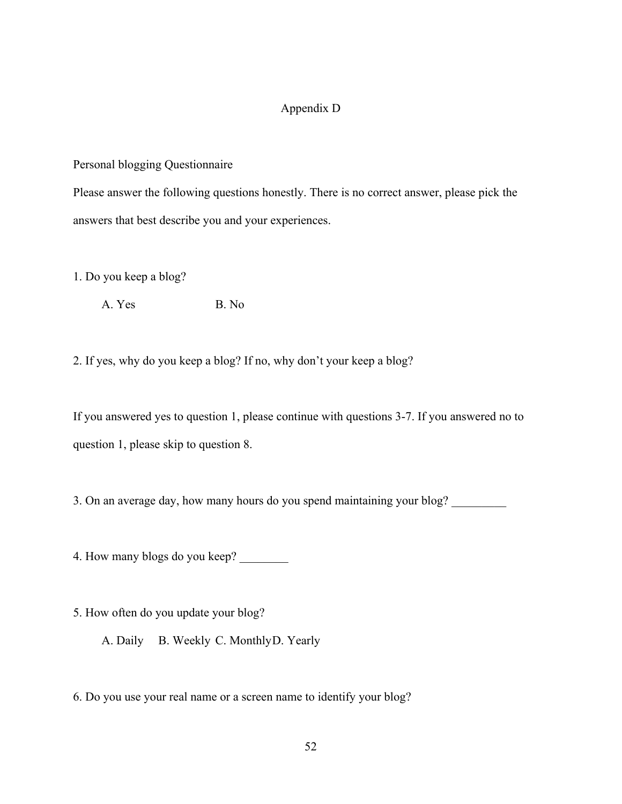## Appendix D

### Personal blogging Questionnaire

Please answer the following questions honestly. There is no correct answer, please pick the answers that best describe you and your experiences.

1. Do you keep a blog?

A. Yes B. No.

2. If yes, why do you keep a blog? If no, why don't your keep a blog?

If you answered yes to question 1, please continue with questions 3-7. If you answered no to question 1, please skip to question 8.

3. On an average day, how many hours do you spend maintaining your blog? \_\_\_\_\_\_\_\_

4. How many blogs do you keep? \_\_\_\_\_\_\_\_

5. How often do you update your blog?

A. Daily B. Weekly C. MonthlyD. Yearly

6. Do you use your real name or a screen name to identify your blog?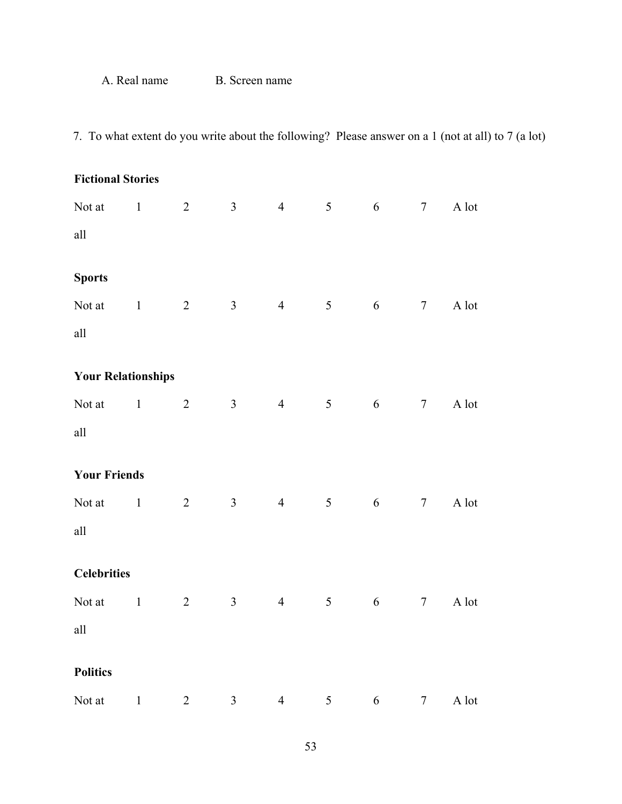## A. Real name B. Screen name

|                           |                |                |                |                 |                |                  |                 | 7. To what extent do you write about the following? Please answer on a 1 (not at all) to 7 (a lot) |
|---------------------------|----------------|----------------|----------------|-----------------|----------------|------------------|-----------------|----------------------------------------------------------------------------------------------------|
| <b>Fictional Stories</b>  |                |                |                |                 |                |                  |                 |                                                                                                    |
| Not at 1                  |                | $\overline{2}$ | $\mathfrak{Z}$ | $4\overline{ }$ | 5 <sup>5</sup> | $6\overline{6}$  | $7\overline{ }$ | A lot                                                                                              |
| $\mathbf{all}$            |                |                |                |                 |                |                  |                 |                                                                                                    |
| <b>Sports</b>             |                |                |                |                 |                |                  |                 |                                                                                                    |
| Not at 1                  | $\overline{2}$ |                | $\mathfrak{Z}$ | $4\overline{ }$ | 5 <sup>5</sup> | $6\overline{6}$  | $7\overline{ }$ | $\mathbf{A}$ lot                                                                                   |
| $\mathbf{all}$            |                |                |                |                 |                |                  |                 |                                                                                                    |
|                           |                |                |                |                 |                |                  |                 |                                                                                                    |
| <b>Your Relationships</b> |                |                |                |                 |                |                  |                 |                                                                                                    |
| Not at 1                  |                | $\overline{2}$ | $\mathfrak{Z}$ | $4\overline{ }$ | $5\qquad 6$    |                  | $7\overline{ }$ | A lot                                                                                              |
| all                       |                |                |                |                 |                |                  |                 |                                                                                                    |
| <b>Your Friends</b>       |                |                |                |                 |                |                  |                 |                                                                                                    |
| Not at 1                  |                | $\overline{2}$ | $\mathfrak{Z}$ | $4\overline{ }$ |                | $5\qquad 6$      | $7\overline{ }$ | A lot                                                                                              |
| all                       |                |                |                |                 |                |                  |                 |                                                                                                    |
| <b>Celebrities</b>        |                |                |                |                 |                |                  |                 |                                                                                                    |
| Not at                    | $\mathbf 1$    | $\overline{2}$ | $\mathfrak{Z}$ | $\overline{4}$  | 5              | 6                | $\tau$          | $\boldsymbol{\mathsf{A}}$ lot                                                                      |
|                           |                |                |                |                 |                |                  |                 |                                                                                                    |
| all                       |                |                |                |                 |                |                  |                 |                                                                                                    |
| <b>Politics</b>           |                |                |                |                 |                |                  |                 |                                                                                                    |
| Not at                    | $\mathbf 1$    | $\overline{c}$ | $\mathfrak{Z}$ | $\overline{4}$  | 5              | $\boldsymbol{6}$ | $7\phantom{.0}$ | $\boldsymbol{\mathsf{A}}$ lot                                                                      |

7. To what extent do you write about the following? Please answer on a 1 (not at all) to 7 (a lot)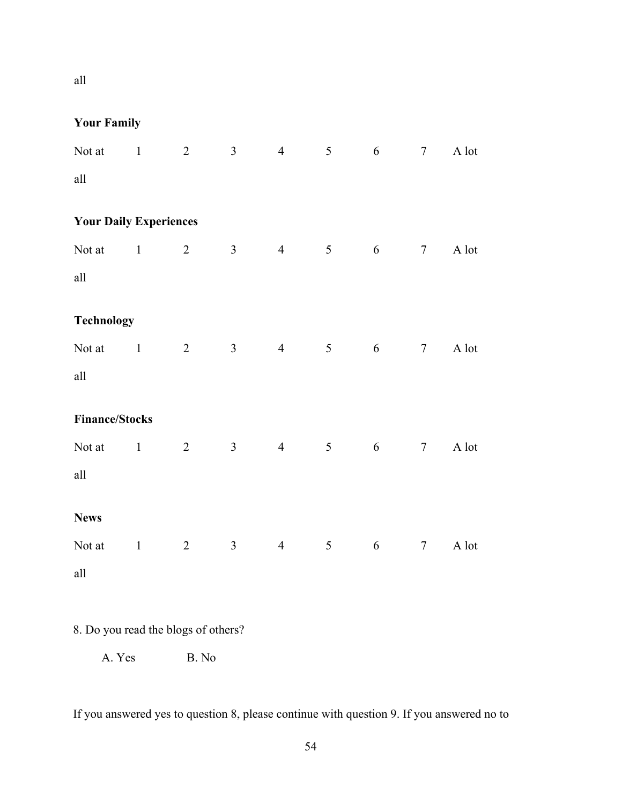all

| <b>Your Family</b>            |              |                |                |                |                 |            |        |       |
|-------------------------------|--------------|----------------|----------------|----------------|-----------------|------------|--------|-------|
| Not at                        | $\mathbf 1$  | $\overline{2}$ | $\overline{3}$ | $\overline{4}$ | 5 <sup>5</sup>  | 6          | $\tau$ | A lot |
| all                           |              |                |                |                |                 |            |        |       |
|                               |              |                |                |                |                 |            |        |       |
| <b>Your Daily Experiences</b> |              |                |                |                |                 |            |        |       |
| Not at                        | $\,1$        | $\overline{2}$ | $\overline{3}$ | $\overline{4}$ | $5\overline{)}$ | 6          | $\tau$ | A lot |
| all                           |              |                |                |                |                 |            |        |       |
|                               |              |                |                |                |                 |            |        |       |
| <b>Technology</b>             |              |                |                |                |                 |            |        |       |
| Not at                        | $\mathbf 1$  | $\overline{2}$ | $\overline{3}$ | $\overline{4}$ | $5\overline{)}$ | 6          | $\tau$ | A lot |
| all                           |              |                |                |                |                 |            |        |       |
|                               |              |                |                |                |                 |            |        |       |
| <b>Finance/Stocks</b>         |              |                |                |                |                 |            |        |       |
| Not at                        | $\mathbf{1}$ | $\overline{2}$ | $\overline{3}$ | $\overline{4}$ | $5\overline{)}$ | 6          | $\tau$ | A lot |
| all                           |              |                |                |                |                 |            |        |       |
|                               |              |                |                |                |                 |            |        |       |
| <b>News</b>                   |              |                |                |                |                 |            |        |       |
| Not at                        | $\,1$        | $\overline{2}$ | $\mathfrak{Z}$ | $\overline{4}$ | $5\overline{)}$ | $\sqrt{6}$ | $\tau$ | A lot |
| all                           |              |                |                |                |                 |            |        |       |

## 8. Do you read the blogs of others?

A. Yes B. No

If you answered yes to question 8, please continue with question 9. If you answered no to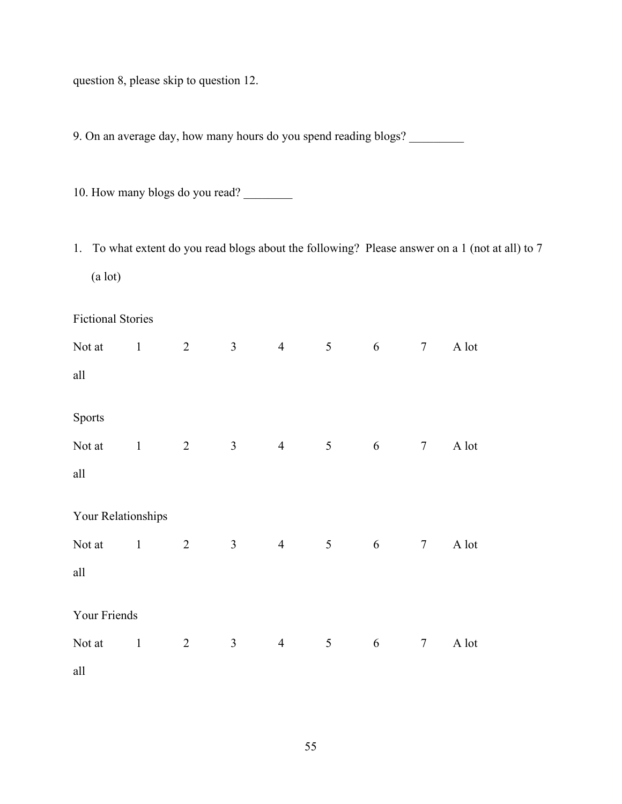question 8, please skip to question 12.

9. On an average day, how many hours do you spend reading blogs? \_\_\_\_\_\_\_\_\_\_\_\_\_\_\_

- 10. How many blogs do you read?
- 1. To what extent do you read blogs about the following? Please answer on a 1 (not at all) to 7 (a lot)

| <b>Fictional Stories</b> |              |                          |                |                |                |            |                |       |
|--------------------------|--------------|--------------------------|----------------|----------------|----------------|------------|----------------|-------|
| Not at                   | $\mathbf{1}$ | $\overline{2}$           | $\mathfrak{Z}$ | $\overline{4}$ | $\mathfrak{S}$ | 6          | $\overline{7}$ | A lot |
| all                      |              |                          |                |                |                |            |                |       |
| Sports                   |              |                          |                |                |                |            |                |       |
| Not at                   | $\mathbf{1}$ | $\overline{\phantom{a}}$ | $\mathfrak{Z}$ | $\overline{4}$ | $\mathfrak{H}$ | 6          | $\overline{7}$ | A lot |
| all                      |              |                          |                |                |                |            |                |       |
| Your Relationships       |              |                          |                |                |                |            |                |       |
| Not at                   | $\mathbf{1}$ | $\overline{2}$           | $\mathfrak{Z}$ | $\overline{4}$ | $\mathfrak{H}$ | $\sqrt{6}$ | $\tau$         | A lot |
| all                      |              |                          |                |                |                |            |                |       |
| Your Friends             |              |                          |                |                |                |            |                |       |
| Not at                   | $\mathbf{1}$ | $\overline{2}$           | $\mathfrak{Z}$ | $\overline{4}$ | $\mathfrak{S}$ | $\sqrt{6}$ | $\tau$         | A lot |
| all                      |              |                          |                |                |                |            |                |       |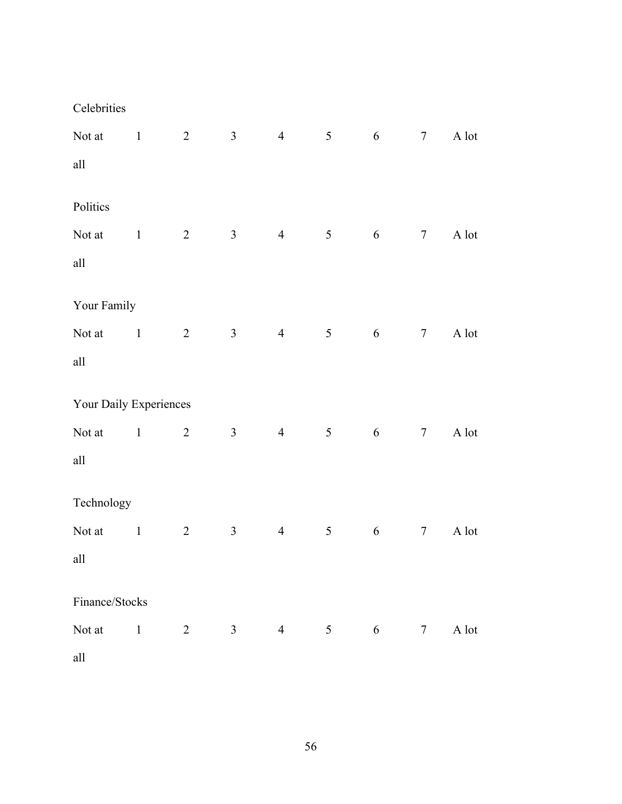| Celebrities            |              |                          |                |                |                 |                 |                 |       |
|------------------------|--------------|--------------------------|----------------|----------------|-----------------|-----------------|-----------------|-------|
| Not at 1               |              | $\overline{2}$           | $\mathfrak{Z}$ | $\overline{4}$ | 5 <sup>5</sup>  | 6               | $7\overline{ }$ | A lot |
| all                    |              |                          |                |                |                 |                 |                 |       |
| Politics               |              |                          |                |                |                 |                 |                 |       |
| Not at 1               |              | $\overline{2}$           | $\mathfrak{Z}$ | $\overline{4}$ | 5 <sup>5</sup>  | 6               | $\overline{7}$  | A lot |
| all                    |              |                          |                |                |                 |                 |                 |       |
| Your Family            |              |                          |                |                |                 |                 |                 |       |
| Not at 1               |              | $\overline{\phantom{a}}$ | $\mathfrak{Z}$ | $\overline{4}$ | 5 <sup>5</sup>  | $6\,$           | $\overline{7}$  | A lot |
| all                    |              |                          |                |                |                 |                 |                 |       |
| Your Daily Experiences |              |                          |                |                |                 |                 |                 |       |
| Not at                 | $\mathbf{1}$ | $\overline{2}$           | $\mathfrak{Z}$ | $\overline{4}$ | $5\overline{)}$ | 6               | $\overline{7}$  | A lot |
| all                    |              |                          |                |                |                 |                 |                 |       |
| Technology             |              |                          |                |                |                 |                 |                 |       |
| Not at                 | $\mathbf{1}$ | $\overline{2}$           | $\mathfrak{Z}$ | $\overline{4}$ | $\mathfrak{S}$  | $\sqrt{6}$      | $\tau$          | A lot |
| all                    |              |                          |                |                |                 |                 |                 |       |
| Finance/Stocks         |              |                          |                |                |                 |                 |                 |       |
| Not at                 | $\mathbf{1}$ | 2                        | $\overline{3}$ | $\overline{4}$ | $5\overline{)}$ | $6\overline{6}$ | $\overline{7}$  | A lot |
| all                    |              |                          |                |                |                 |                 |                 |       |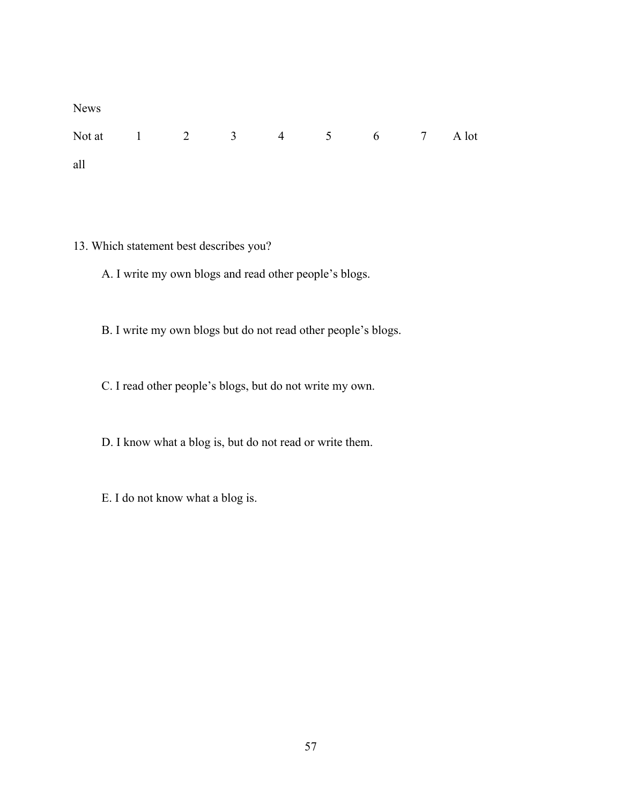| <b>News</b>                |  |  |  |  |
|----------------------------|--|--|--|--|
| Not at 1 2 3 4 5 6 7 A lot |  |  |  |  |
| all                        |  |  |  |  |

13. Which statement best describes you?

A. I write my own blogs and read other people's blogs.

B. I write my own blogs but do not read other people's blogs.

C. I read other people's blogs, but do not write my own.

D. I know what a blog is, but do not read or write them.

E. I do not know what a blog is.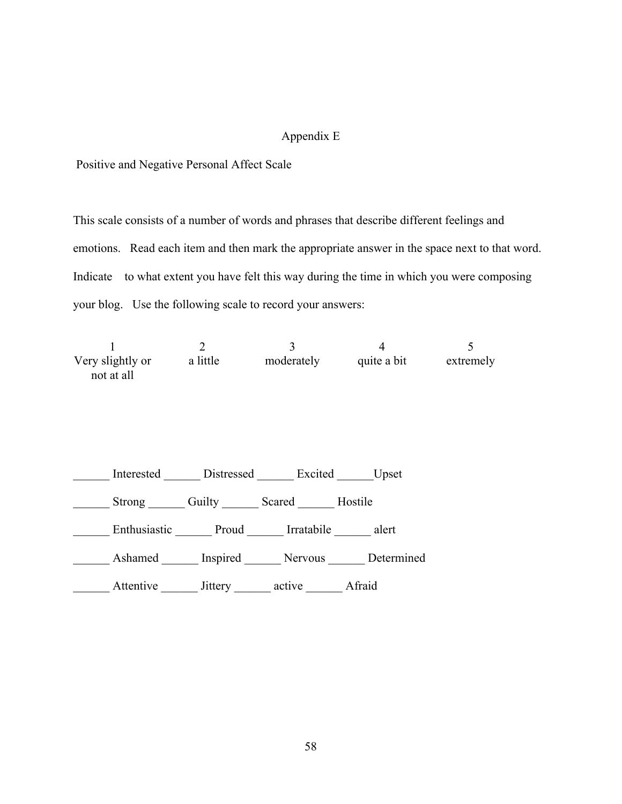## Appendix E

Positive and Negative Personal Affect Scale

This scale consists of a number of words and phrases that describe different feelings and emotions. Read each item and then mark the appropriate answer in the space next to that word. Indicate to what extent you have felt this way during the time in which you were composing your blog. Use the following scale to record your answers:

| Very slightly or | a little | moderately | quite a bit | extremely |
|------------------|----------|------------|-------------|-----------|
| not at all       |          |            |             |           |

| Interested    | Distressed | Excited        | Upset      |
|---------------|------------|----------------|------------|
| <b>Strong</b> | Guilty     | Scared         | Hostile    |
| Enthusiastic  | Proud      | Irratabile     | alert      |
| Ashamed       | Inspired   | <b>Nervous</b> | Determined |
| Attentive     | Jittery    | active         | Afraid     |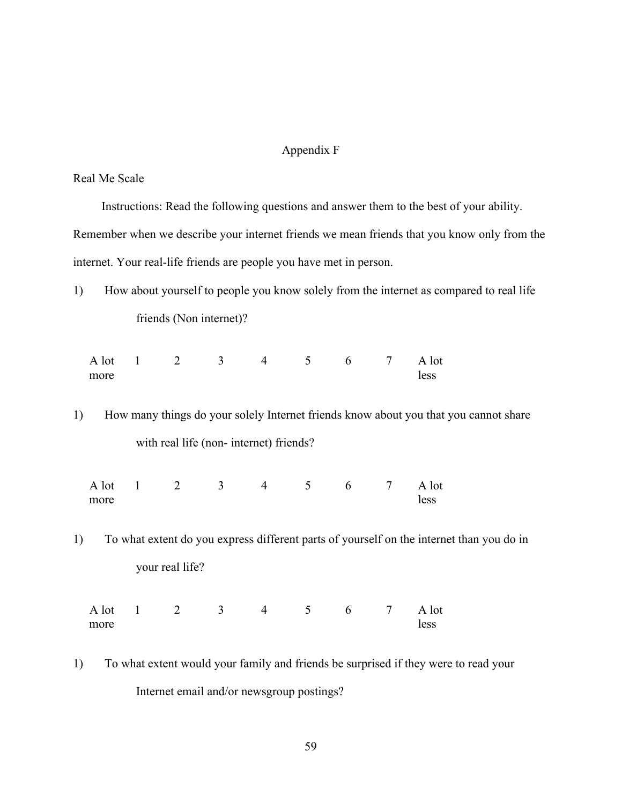## Appendix F

### Real Me Scale

Instructions: Read the following questions and answer them to the best of your ability.

Remember when we describe your internet friends we mean friends that you know only from the internet. Your real-life friends are people you have met in person.

1) How about yourself to people you know solely from the internet as compared to real life friends (Non internet)?

| A lot | $\mathbf{I}$ | $\sim$ |  |  | 7 A lot |
|-------|--------------|--------|--|--|---------|
| more  |              |        |  |  | less    |

1) How many things do your solely Internet friends know about you that you cannot share with real life (non- internet) friends?

| A lot 1 | $\gamma$ x |  | 6 7 A lot |      |
|---------|------------|--|-----------|------|
| more    |            |  |           | less |

1) To what extent do you express different parts of yourself on the internet than you do in your real life?

|      | A lot 1 2 3 |  |  | 6 7 A lot |
|------|-------------|--|--|-----------|
| more |             |  |  | less      |

1) To what extent would your family and friends be surprised if they were to read your Internet email and/or newsgroup postings?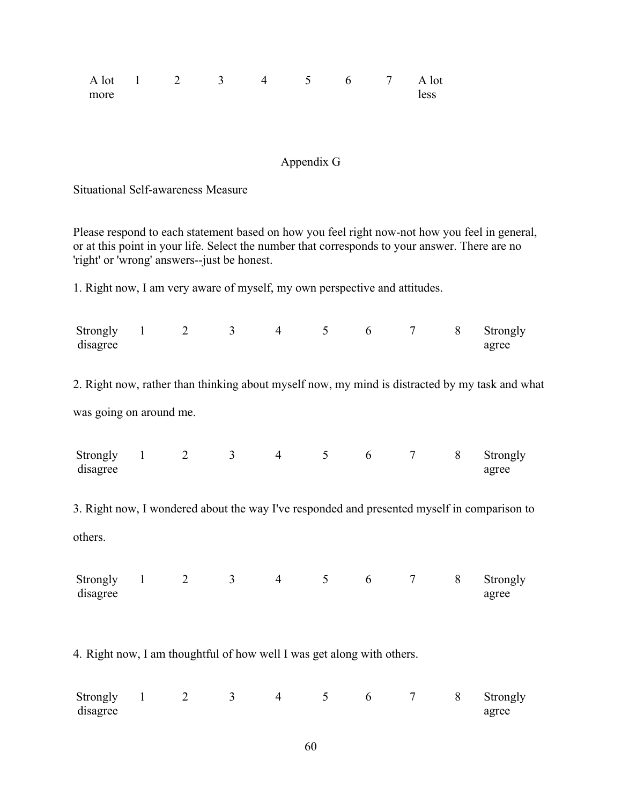| A lot 1 2 3 4 5 6 7 A lot |  |  |  |      |
|---------------------------|--|--|--|------|
| more                      |  |  |  | less |

## Appendix G

Situational Self-awareness Measure

Please respond to each statement based on how you feel right now-not how you feel in general, or at this point in your life. Select the number that corresponds to your answer. There are no 'right' or 'wrong' answers--just be honest.

1. Right now, I am very aware of myself, my own perspective and attitudes.

| Strongly<br>disagree                                                   | $\overline{1}$ | $\overline{2}$                 | 3 <sup>7</sup> | $4\overline{ }$ | 5 <sup>5</sup> | 6           | $\tau$          | 8 | Strongly<br>agree                                                                              |
|------------------------------------------------------------------------|----------------|--------------------------------|----------------|-----------------|----------------|-------------|-----------------|---|------------------------------------------------------------------------------------------------|
|                                                                        |                |                                |                |                 |                |             |                 |   | 2. Right now, rather than thinking about myself now, my mind is distracted by my task and what |
| was going on around me.                                                |                |                                |                |                 |                |             |                 |   |                                                                                                |
| Strongly<br>disagree                                                   | $\sim$ 1       | $\overline{2}$                 |                | $3 \t 4$        |                | $5\qquad 6$ | $7 \qquad 8$    |   | Strongly<br>agree                                                                              |
| others.                                                                |                |                                |                |                 |                |             |                 |   | 3. Right now, I wondered about the way I've responded and presented myself in comparison to    |
| <b>Strongly</b><br>disagree                                            |                | $1 \qquad 2 \qquad 3 \qquad 4$ |                |                 |                | $5\qquad 6$ | $7\overline{ }$ | 8 | Strongly<br>agree                                                                              |
| 4. Right now, I am thoughtful of how well I was get along with others. |                |                                |                |                 |                |             |                 |   |                                                                                                |
| Strongly<br>disagree                                                   | $\overline{1}$ | $\overline{2}$                 | $\mathfrak{Z}$ | $\overline{4}$  | 5              | 6           | $7\phantom{.0}$ | 8 | Strongly<br>agree                                                                              |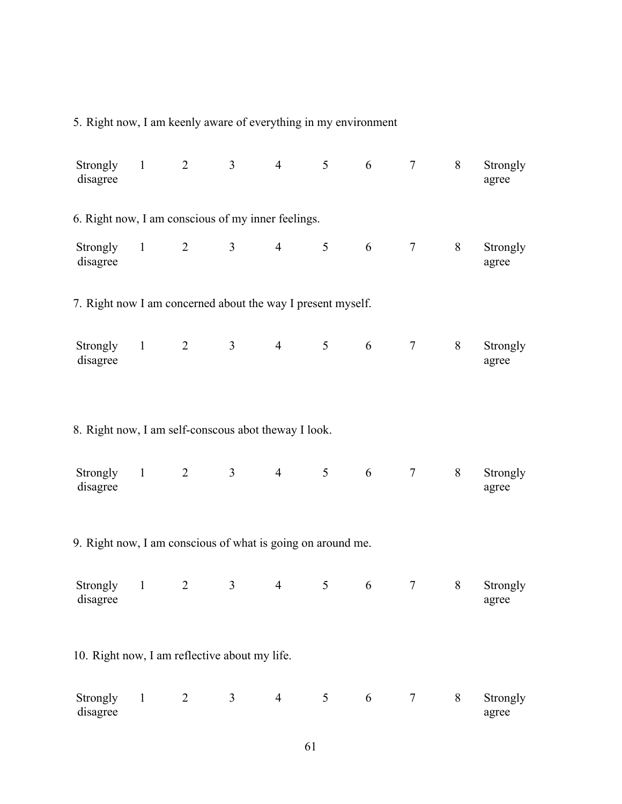5. Right now, I am keenly aware of everything in my environment

| Strongly<br>disagree                                        | $\mathbf{1}$ | $\overline{2}$ | 3              | $\overline{4}$ | 5              | 6               | $\overline{7}$  | 8     | Strongly<br>agree |
|-------------------------------------------------------------|--------------|----------------|----------------|----------------|----------------|-----------------|-----------------|-------|-------------------|
| 6. Right now, I am conscious of my inner feelings.          |              |                |                |                |                |                 |                 |       |                   |
| Strongly<br>disagree                                        | $\mathbf{1}$ | $\overline{2}$ | $\overline{3}$ | $\overline{4}$ | 5              | 6               | $\tau$          | $8\,$ | Strongly<br>agree |
| 7. Right now I am concerned about the way I present myself. |              |                |                |                |                |                 |                 |       |                   |
| Strongly<br>disagree                                        | $\mathbf{1}$ | 2              | 3              | $\overline{4}$ | 5 <sup>5</sup> | 6               | $7\overline{ }$ | 8     | Strongly<br>agree |
| 8. Right now, I am self-conscous abot theway I look.        |              |                |                |                |                |                 |                 |       |                   |
| Strongly<br>disagree                                        | $\mathbf{1}$ | 2              | 3              | $\overline{4}$ | 5 <sup>5</sup> | $6\overline{6}$ | $\tau$          | 8     | Strongly<br>agree |
| 9. Right now, I am conscious of what is going on around me. |              |                |                |                |                |                 |                 |       |                   |
| Strongly<br>disagree                                        | $\mathbf{1}$ | $\overline{2}$ | $\overline{3}$ | $\overline{4}$ | 5              | 6               | $\overline{7}$  | $8\,$ | Strongly<br>agree |
| 10. Right now, I am reflective about my life.               |              |                |                |                |                |                 |                 |       |                   |
| Strongly<br>disagree                                        | $\mathbf{1}$ | 2              | 3              | $\overline{4}$ | 5 <sup>5</sup> | $6\overline{6}$ | $7\overline{ }$ | 8     | Strongly<br>agree |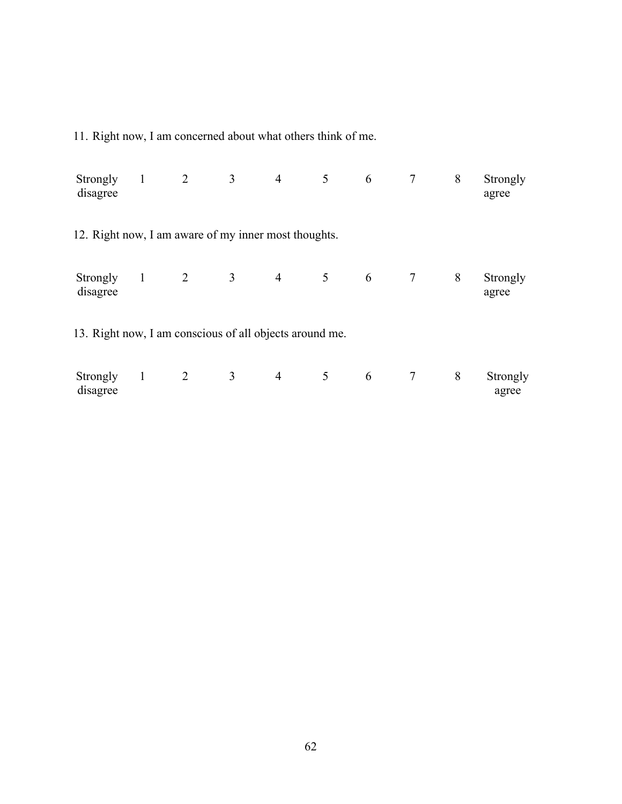11. Right now, I am concerned about what others think of me.

| Strongly<br>disagree                                    | 1            | 2              | 3              | $\overline{4}$ | 5 | 6               | $\tau$          | 8 | Strongly<br>agree |
|---------------------------------------------------------|--------------|----------------|----------------|----------------|---|-----------------|-----------------|---|-------------------|
| 12. Right now, I am aware of my inner most thoughts.    |              |                |                |                |   |                 |                 |   |                   |
| Strongly<br>disagree                                    | $\mathbf{1}$ | $\overline{2}$ | $\mathfrak{Z}$ | $\overline{4}$ | 5 | $6\overline{6}$ | $7\overline{ }$ | 8 | Strongly<br>agree |
| 13. Right now, I am conscious of all objects around me. |              |                |                |                |   |                 |                 |   |                   |
| Strongly<br>disagree                                    | 1            | 2              | 3              | $\overline{4}$ | 5 | 6               | $\overline{7}$  | 8 | Strongly<br>agree |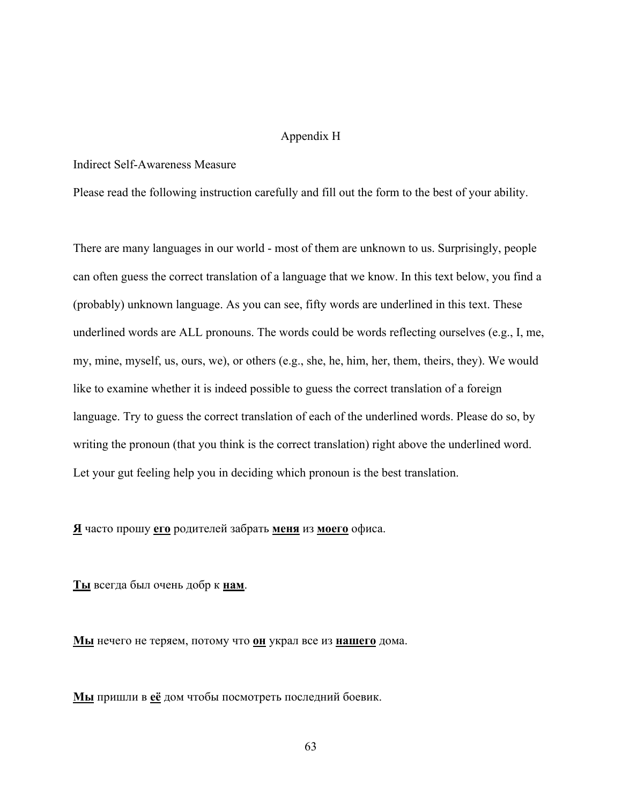### Appendix H

#### Indirect Self-Awareness Measure

Please read the following instruction carefully and fill out the form to the best of your ability.

There are many languages in our world - most of them are unknown to us. Surprisingly, people can often guess the correct translation of a language that we know. In this text below, you find a (probably) unknown language. As you can see, fifty words are underlined in this text. These underlined words are ALL pronouns. The words could be words reflecting ourselves (e.g., I, me, my, mine, myself, us, ours, we), or others (e.g., she, he, him, her, them, theirs, they). We would like to examine whether it is indeed possible to guess the correct translation of a foreign language. Try to guess the correct translation of each of the underlined words. Please do so, by writing the pronoun (that you think is the correct translation) right above the underlined word. Let your gut feeling help you in deciding which pronoun is the best translation.

**Я** часто прошу **его** родителей забрать **меня** из **моего** офиса.

**Ты** всегда был очень добр к **нам**.

**Мы** нечего не теряем, потому что **он** украл все из **нашего** дома.

**Мы** пришли в **её** дом чтобы посмотреть последний боевик.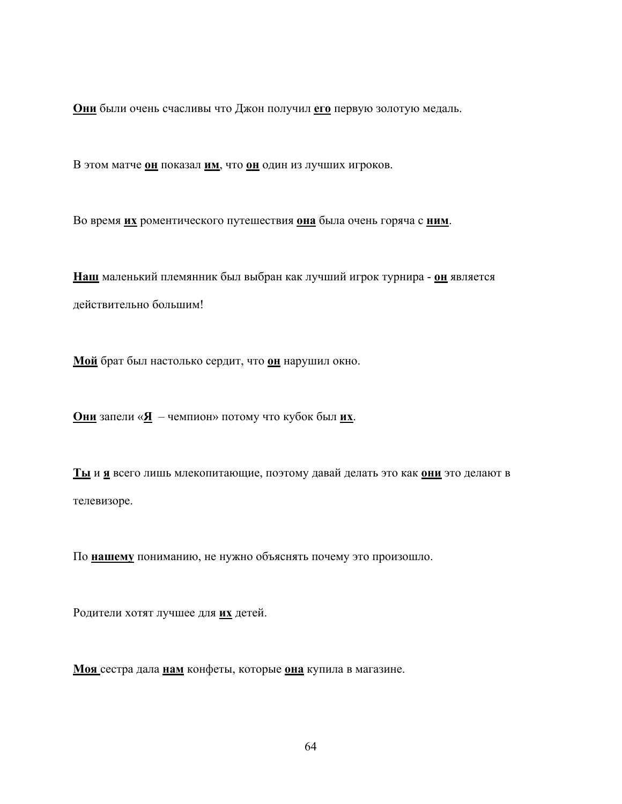**Они** были очень счасливы что Джон получил **его** первую золотую медаль.

В этом матче **он** показал **им**, что **он** один из лучших игроков.

Во время **их** роментического путешествия **она** была очень горяча с **ним**.

**Наш** маленький племянник был выбран как лучший игрок турнира - **он** является действительно большим!

**Мой** брат был настолько сердит, что **он** нарушил окно.

**Они** запели «**Я** – чемпион» потому что кубок был **их**.

**Ты** и **я** всего лишь млекопитающие, поэтому давай делать это как **они** это делают в телевизоре.

По **нашему** пониманию, не нужно объяснять почему это произошло.

Родители хотят лучшее для **их** детей.

**Моя** сестра дала **нам** конфеты, которые **она** купила в магазине.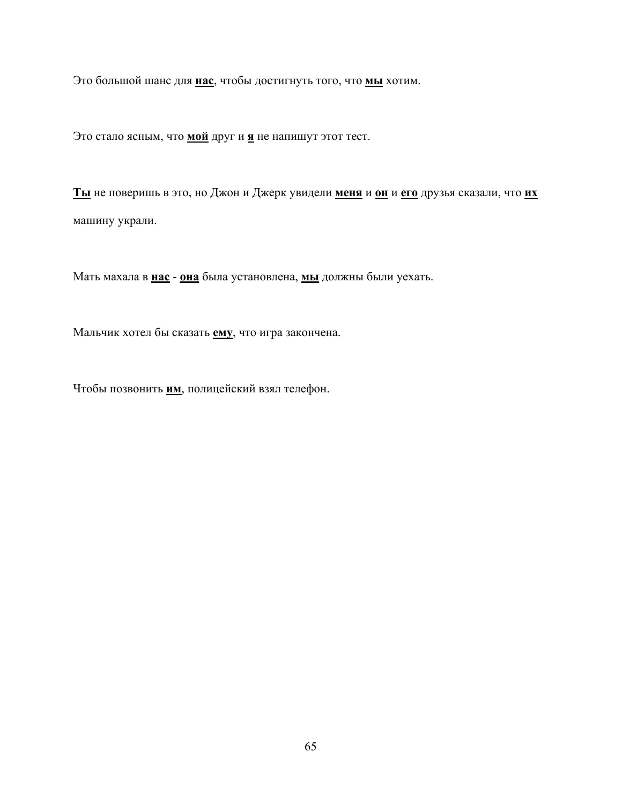Это большой шанс для **нас**, чтобы достигнуть того, что **мы** хотим.

Это стало ясным, что **мой** друг и **я** не напишут этот тест.

**Ты** не поверишь в это, но Джон и Джерк увидели **меня** и **он** и **его** друзья сказали, что **их** машину украли.

Мать махала в **нас** - **она** была установлена, **мы** должны были уехать.

Мальчик хотел бы сказать **ему**, что игра закончена.

Чтобы позвонить **им**, полицейский взял телефон.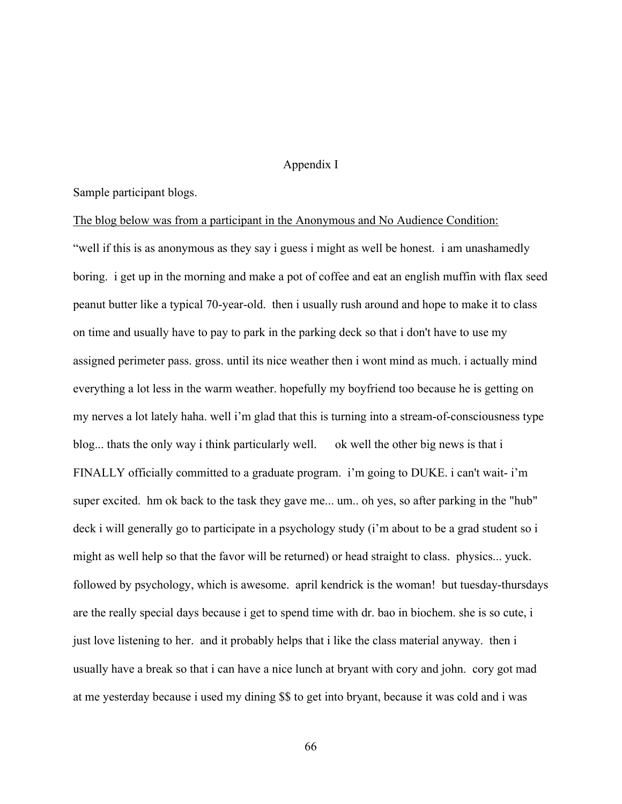## Appendix I

Sample participant blogs.

The blog below was from a participant in the Anonymous and No Audience Condition: "well if this is as anonymous as they say i guess i might as well be honest. i am unashamedly boring. i get up in the morning and make a pot of coffee and eat an english muffin with flax seed peanut butter like a typical 70-year-old. then i usually rush around and hope to make it to class on time and usually have to pay to park in the parking deck so that i don't have to use my assigned perimeter pass. gross. until its nice weather then i wont mind as much. i actually mind everything a lot less in the warm weather. hopefully my boyfriend too because he is getting on my nerves a lot lately haha. well i'm glad that this is turning into a stream-of-consciousness type blog... thats the only way i think particularly well. ok well the other big news is that i FINALLY officially committed to a graduate program. i'm going to DUKE. i can't wait- i'm super excited. hm ok back to the task they gave me... um.. oh yes, so after parking in the "hub" deck i will generally go to participate in a psychology study (i'm about to be a grad student so i might as well help so that the favor will be returned) or head straight to class. physics... yuck. followed by psychology, which is awesome. april kendrick is the woman! but tuesday-thursdays are the really special days because i get to spend time with dr. bao in biochem. she is so cute, i just love listening to her. and it probably helps that i like the class material anyway. then i usually have a break so that i can have a nice lunch at bryant with cory and john. cory got mad at me yesterday because i used my dining \$\$ to get into bryant, because it was cold and i was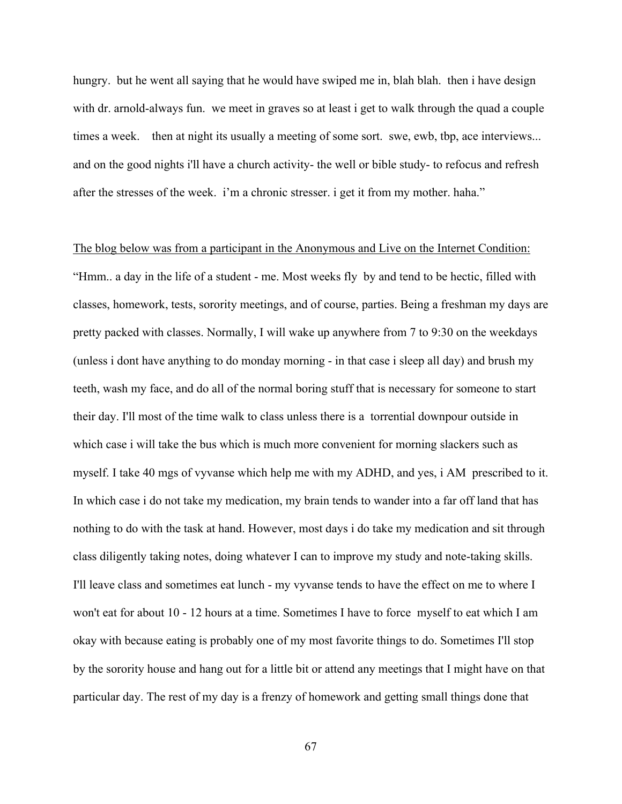hungry. but he went all saying that he would have swiped me in, blah blah. then i have design with dr. arnold-always fun. we meet in graves so at least i get to walk through the quad a couple times a week. then at night its usually a meeting of some sort. swe, ewb, tbp, ace interviews... and on the good nights i'll have a church activity- the well or bible study- to refocus and refresh after the stresses of the week. i'm a chronic stresser. i get it from my mother. haha."

The blog below was from a participant in the Anonymous and Live on the Internet Condition: "Hmm.. a day in the life of a student - me. Most weeks fly by and tend to be hectic, filled with classes, homework, tests, sorority meetings, and of course, parties. Being a freshman my days are pretty packed with classes. Normally, I will wake up anywhere from 7 to 9:30 on the weekdays (unless i dont have anything to do monday morning - in that case i sleep all day) and brush my teeth, wash my face, and do all of the normal boring stuff that is necessary for someone to start their day. I'll most of the time walk to class unless there is a torrential downpour outside in which case i will take the bus which is much more convenient for morning slackers such as myself. I take 40 mgs of vyvanse which help me with my ADHD, and yes, i AM prescribed to it. In which case i do not take my medication, my brain tends to wander into a far off land that has nothing to do with the task at hand. However, most days i do take my medication and sit through class diligently taking notes, doing whatever I can to improve my study and note-taking skills. I'll leave class and sometimes eat lunch - my vyvanse tends to have the effect on me to where I won't eat for about 10 - 12 hours at a time. Sometimes I have to force myself to eat which I am okay with because eating is probably one of my most favorite things to do. Sometimes I'll stop by the sorority house and hang out for a little bit or attend any meetings that I might have on that particular day. The rest of my day is a frenzy of homework and getting small things done that